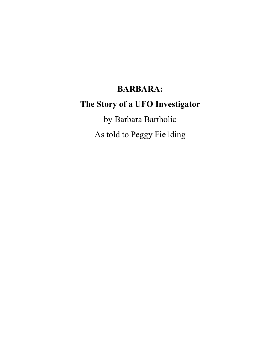## **BARBARA:**

# **The Story of a UFO Investigator**

by Barbara Bartholic As told to Peggy Fie1ding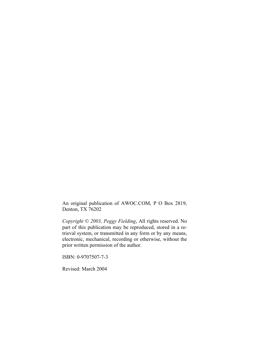An original publication of AWOC.COM, P O Box 2819, Denton, TX 76202

*Copyright © 2003, Peggy Fielding*, All rights reserved. No part of this publication may be reproduced, stored in a retrieval system, or transmitted in any form or by any means, electronic, mechanical, recording or otherwise, without the prior written permission of the author.

ISBN: 0-9707507-7-3

Revised: March 2004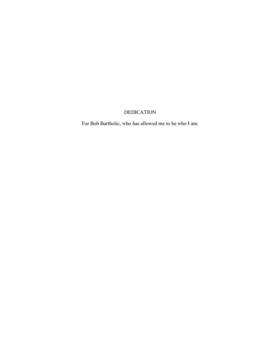## DEDICATION

For Bob Bartholic, who has allowed me to be who I am.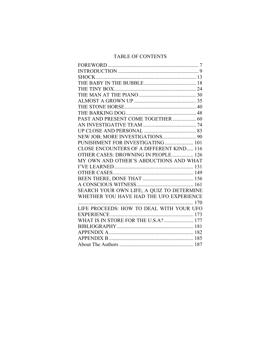### TABLE OF CONTENTS

| PAST AND PRESENT COME TOGETHER  60              |
|-------------------------------------------------|
|                                                 |
|                                                 |
|                                                 |
| PUNISHMENT FOR INVESTIGATING 101                |
| <b>CLOSE ENCOUNTERS OF A DIFFERENT KIND 116</b> |
| OTHER CASES: DROWNING IN PEOPLE 126             |
| MY OWN AND OTHER'S ABDUCTIONS AND WHAT          |
|                                                 |
|                                                 |
|                                                 |
|                                                 |
| SEARCH YOUR OWN LIFE; A QUIZ TO DETERMINE       |
| WHETHER YOU HAVE HAD THE UFO EXPERIENCE         |
|                                                 |
| LIFE PROCEEDS: HOW TO DEAL WITH YOUR UFO        |
|                                                 |
| WHAT IS IN STORE FOR THE U.S.A? 177             |
|                                                 |
|                                                 |
|                                                 |
|                                                 |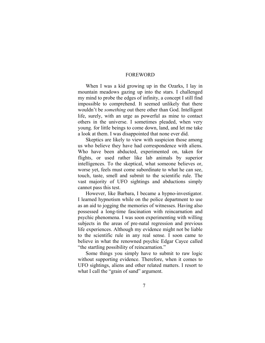#### FOREWORD

<span id="page-6-0"></span>When I was a kid growing up in the Ozarks, I lay in mountain meadows gazing up into the stars. I challenged my mind to probe the edges of infinity, a concept I still find impossible to comprehend. It seemed unlikely that there wouldn't be *something* out there other than God. Intelligent life, surely, with an urge as powerful as mine to contact others in the universe. I sometimes pleaded, when very young. for little beings to come down, land, and let me take a look at them. I was disappointed that none ever did.

Skeptics are likely to view with suspicion those among us who believe they have had correspondence with aliens. Who have been abducted, experimented on, taken for flights, or used rather like lab animals by superior intelligences. To the skeptical, what someone believes or, worse yet, feels must come subordinate to what he can see, touch, taste, smell and submit to the scientific rule. The vast majority of UFO sightings and abductions simply cannot pass this test.

However, like Barbara, I became a hypno-investigator. I learned hypnotism while on the police department to use as an aid to jogging the memories of witnesses. Having also possessed a long-time fascination with reincarnation and psychic phenomena. I was soon experimenting with willing subjects in the areas of pre-natal regression and previous life experiences. Although my evidence might not be liable to the scientific rule in any real sense. I soon came to believe in what the renowned psychic Edgar Cayce called "the startling possibility of reincarnation."

Some things you simply have to submit to raw logic without supporting evidence. Therefore, when it comes to UFO sightings, aliens and other related matters. I resort to what I call the "grain of sand" argument.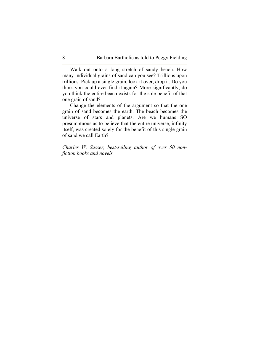Walk out onto a long stretch of sandy beach. How many individual grains of sand can you see? Trillions upon trillions. Pick up a single grain, look it over, drop it. Do you think you could ever find it again? More significantly, do you think the entire beach exists for the sole benefit of that one grain of sand?

Change the elements of the argument so that the one grain of sand becomes the earth. The beach becomes the universe of stars and planets. Are we humans SO presumptuous as to believe that the entire universe, infinity itself, was created solely for the benefit of this single grain of sand we call Earth?

*Charles W. Sasser, best-selling author of over 50 nonfiction books and novels.*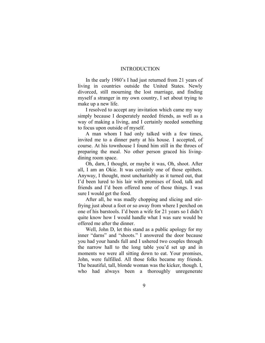#### INTRODUCTION

<span id="page-8-0"></span>In the early 1980's I had just returned from 21 years of living in countries outside the United States. Newly divorced, still mourning the lost marriage, and finding myself a stranger in my own country, I set about trying to make up a new life.

I resolved to accept any invitation which came my way simply because I desperately needed friends, as well as a way of making a living, and I certainly needed something to focus upon outside of myself.

A man whom I had only talked with a few times, invited me to a dinner party at his house. I accepted, of course. At his townhouse I found him still in the throes of preparing the meal. No other person graced his livingdining room space.

Oh, darn, I thought, or maybe it was, Oh, shoot. After all, I am an Okie. It was certainly one of those epithets. Anyway, I thought, most uncharitably as it turned out, that I'd been lured to his lair with promises of food, talk and friends and I'd been offered none of those things. I was sure I would get the food.

After all, he was madly chopping and slicing and stirfrying just about a foot or so away from where I perched on one of his barstools. I'd been a wife for 21 years so I didn't quite know how I would handle what I was sure would be offered me after the dinner.

Well, John D, let this stand as a public apology for my inner "darns" and "shoots." I answered the door because you had your hands full and I ushered two couples through the narrow hall to the long table you'd set up and in moments we were all sitting down to eat. Your promises, John, were fulfilled. All those folks became my friends. The beautiful, tall, blonde woman was the kicker, though. I, who had always been a thoroughly unregenerate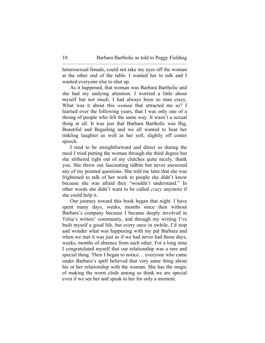heterosexual female, could not take my eyes off the woman at the other end of the table. I wanted her to talk and I wanted everyone else to shut up.

As it happened, that woman was Barbara Bartholic and she had my undying attention. I worried a little about myself but not much. I had always been so man crazy. What was it about this *woman* that attracted me so? I learned over the following years, that I was only one of a throng of people who felt the same way. It wasn't a sexual thing at all. It was just that Barbara Bartholic was Big, Beautiful and Beguiling and we all wanted to hear her tinkling laughter as well as her soft, slightly off center speech.

I tend to be straightforward and direct so during the meal I tried putting the woman through the third degree but she slithered right out of my clutches quite nicely, thank you. She threw out fascinating tidbits but never answered any of my pointed questions. She told me later that she was frightened to talk of her work to people she didn't know because she was afraid they "wouldn't understand." In other words she didn't want to be called *crazy* anymore if she could help it.

Our journey toward this book began that night. I have spent many days, weeks, months since then without Barbara's company because I became deeply involved in Tulsa's writers' community, and through my writing I've built myself a good life, but every once in awhile, I'd stop and wonder what was happening with my pal Barbara and when we met it was just as if we had never had those days, weeks, months of absence from each other. For a long time I congratulated myself that our relationship was a rare and special thing. Then I began to notice… everyone who came under Barbara's spell believed that very same thing about his or her relationship with the woman. She has the magic of making the worst clods among us think we are special even if we see her and speak to her for only a moment.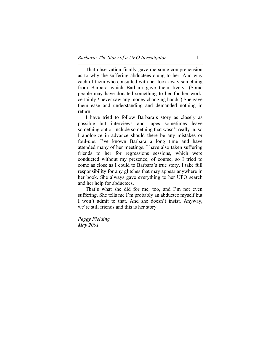That observation finally gave me some comprehension as to why the suffering abductees clung to her. And why each of them who consulted with her took away something from Barbara which Barbara gave them freely. (Some people may have donated something to her for her work, certainly *I* never saw any money changing hands.) She gave them ease and understanding and demanded nothing in return.

I have tried to follow Barbara's story as closely as possible but interviews and tapes sometimes leave something out or include something that wasn't really in, so I apologize in advance should there be any mistakes or foul-ups. I've known Barbara a long time and have attended many of her meetings. I have also taken suffering friends to her for regressions sessions, which were conducted without my presence, of course, so I tried to come as close as I could to Barbara's true story. I take full responsibility for any glitches that may appear anywhere in her book. She always gave everything to her UFO search and her help for abductees.

That's what she did for me, too, and I'm not even suffering. She tells me I'm probably an abductee myself but I won't admit to that. And she doesn't insist. Anyway, we're still friends and this is her story.

*Peggy Fielding May 2001*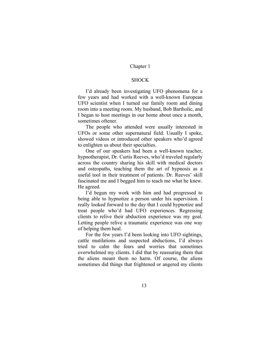#### Chapter 1

#### SHOCK

<span id="page-12-0"></span>I'd already been investigating UFO phenomena for a few years and had worked with a well-known European UFO scientist when I turned our family room and dining room into a meeting room. My husband, Bob Bartholic, and I began to host meetings in our home about once a month, sometimes oftener.

The people who attended were usually interested in UFOs or some other supernatural field. Usually I spoke, showed videos or introduced other speakers who'd agreed to enlighten us about their specialties.

One of our speakers had been a well-known teacher, hypnotherapist, Dr. Curtis Reeves, who'd traveled regularly across the country sharing his skill with medical doctors and osteopaths, teaching them the art of hypnosis as a useful tool in their treatment of patients. Dr. Reeves' skill fascinated me and I begged him to teach me what he knew. He agreed.

I'd begun my work with him and had progressed to being able to hypnotize a person under his supervision. I really looked forward to the day that I could hypnotize and treat people who'd had UFO experiences. Regressing clients to relive their abduction experience was my goal. Letting people relive a traumatic experience was one way of helping them heal.

For the few years I'd been looking into UFO sightings, cattle mutilations and suspected abductions, I'd always tried to calm the fears and worries that sometimes overwhelmed my clients. I did that by reassuring them that the aliens meant them no harm. Of course, the aliens sometimes did things that frightened or angered my clients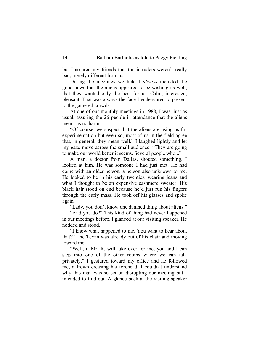but I assured my friends that the intruders weren't really bad, merely different from us.

During the meetings we held I *always* included the good news that the aliens appeared to be wishing us well, that they wanted only the best for us. Calm, interested, pleasant. That was always the face I endeavored to present to the gathered crowds.

At one of our monthly meetings in 1988, I was, just as usual, assuring the 26 people in attendance that the aliens meant us no harm.

"Of course, we suspect that the aliens are using us for experimentation but even so, most of us in the field agree that, in general, they mean well." I laughed lightly and let my gaze move across the small audience. "They are going to make our world better it seems. Several people who..."

A man, a doctor from Dallas, shouted something. I looked at him. He was someone I had just met. He had come with an older person, a person also unknown to me. He looked to be in his early twenties, wearing jeans and what I thought to be an expensive cashmere sweater. His black hair stood on end because he'd just run his fingers through the curly mass. He took off his glasses and spoke again.

"Lady, you don't know one damned thing about aliens."

"And you do?" This kind of thing had never happened in our meetings before. I glanced at our visiting speaker. He nodded and stood.

"I know what happened to me. You want to hear about that?" The Texan was already out of his chair and moving toward me.

"Well, if Mr. R. will take over for me, you and I can step into one of the other rooms where we can talk privately." I gestured toward my office and he followed me, a frown creasing his forehead. I couldn't understand why this man was so set on disrupting our meeting but I intended to find out. A glance back at the visiting speaker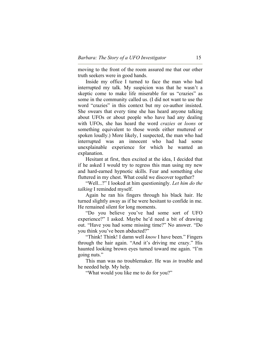moving to the front of the room assured me that our other truth seekers were in good hands.

Inside my office I turned to face the man who had interrupted my talk. My suspicion was that he wasn't a skeptic come to make life miserable for us "crazies" as some in the community called us. (I did not want to use the word "crazies" in this context but my co-author insisted. She swears that every time she has heard anyone talking about UFOs or about people who have had any dealing with UFOs, she has heard the word *crazies* or *loons* or something equivalent to those words either muttered or spoken loudly.) More likely, I suspected, the man who had interrupted was an innocent who had had some unexplainable experience for which he wanted an explanation.

Hesitant at first, then excited at the idea, I decided that if he asked I would try to regress this man using my new and hard-earned hypnotic skills. Fear and something else fluttered in my chest. What could we discover together?

"Well...?" I looked at him questioningly. *Let him do the talking* I reminded myself.

Again he ran his fingers through his black hair. He turned slightly away as if he were hesitant to confide in me. He remained silent for long moments.

"Do you believe you've had some sort of UFO experience?" I asked. Maybe he'd need a bit of drawing out. "Have you had some missing time?" No answer. "Do you think you've been abducted?"

"Think! Think! I damn well *know* I have been." Fingers through the hair again. "And it's driving me crazy." His haunted looking brown eyes turned toward me again. "I'm going nuts."

This man was no troublemaker. He was *in* trouble and he needed help. My help.

"What would you like me to do for you?"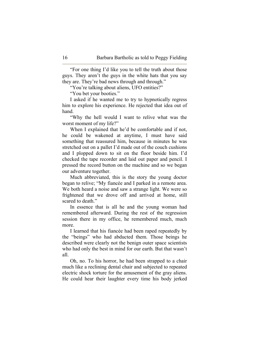"For one thing I'd like you to tell the truth about those guys. They aren't the guys in the white hats that you say they are. They're bad news through and through."

"You're talking about aliens, UFO entities?"

"You bet your booties."

I asked if he wanted me to try to hypnotically regress him to explore his experience. He rejected that idea out of hand.

"Why the hell would I want to relive what was the worst moment of my life?"

When I explained that he'd be comfortable and if not, he could be wakened at anytime, I must have said something that reassured him, because in minutes he was stretched out on a pallet I'd made out of the couch cushions and I plopped down to sit on the floor beside him. I'd checked the tape recorder and laid out paper and pencil. I pressed the record button on the machine and so we began our adventure together.

Much abbreviated, this is the story the young doctor began to relive; "My fiancée and I parked in a remote area. We both heard a noise and saw a strange light. We were so frightened that we drove off and arrived at home, still scared to death."

In essence that is all he and the young woman had remembered afterward. During the rest of the regression session there in my office, he remembered much, much more.

I learned that his fiancée had been raped repeatedly by the "beings" who had abducted them. Those beings he described were clearly not the benign outer space scientists who had only the best in mind for our earth. But that wasn't all.

Oh, no. To his horror, he had been strapped to a chair much like a reclining dental chair and subjected to repeated electric shock torture for the amusement of the gray aliens. He could hear their laughter every time his body jerked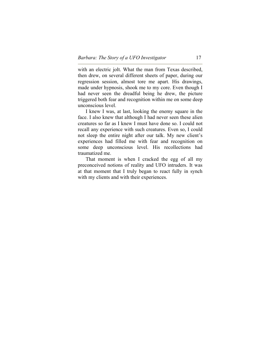with an electric jolt. What the man from Texas described, then drew, on several different sheets of paper, during our regression session, almost tore me apart. His drawings, made under hypnosis, shook me to my core. Even though I had never seen the dreadful being he drew, the picture triggered both fear and recognition within me on some deep unconscious level.

I knew I was, at last, looking the enemy square in the face. I also knew that although I had never seen these alien creatures so far as I knew I must have done so. I could not recall any experience with such creatures. Even so, I could not sleep the entire night after our talk. My new client's experiences had filled me with fear and recognition on some deep unconscious level. His recollections had traumatized me.

That moment is when I cracked the egg of all my preconceived notions of reality and UFO intruders. It was at that moment that I truly began to react fully in synch with my clients and with their experiences.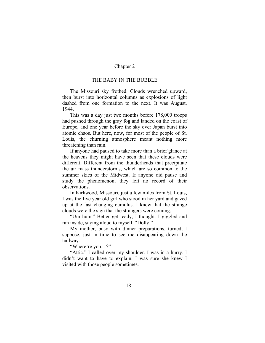#### Chapter 2

#### THE BABY IN THE BUBBLE

<span id="page-17-0"></span>The Missouri sky frothed. Clouds wrenched upward, then burst into horizontal columns as explosions of light dashed from one formation to the next. It was August, 1944.

This was a day just two months before 178,000 troops had pushed through the gray fog and landed on the coast of Europe, and one year before the sky over Japan burst into atomic chaos. But here, now, for most of the people of St. Louis, the churning atmosphere meant nothing more threatening than rain.

If anyone had paused to take more than a brief glance at the heavens they might have seen that these clouds were different. Different from the thunderheads that precipitate the air mass thunderstorms, which are so common to the summer skies of the Midwest. If anyone did pause and study the phenomenon, they left no record of their observations.

In Kirkwood, Missouri, just a few miles from St. Louis, I was the five year old girl who stood in her yard and gazed up at the fast changing cumulus. I knew that the strange clouds were the sign that the strangers were coming.

"Um hum." Better get ready, I thought. I giggled and ran inside, saying aloud to myself. "Dolly."

My mother, busy with dinner preparations, turned, I suppose, just in time to see me disappearing down the hallway.

"Where're you... ?"

"Attic." I called over my shoulder. I was in a hurry. I didn't want to have to explain. I was sure she knew I visited with those people sometimes.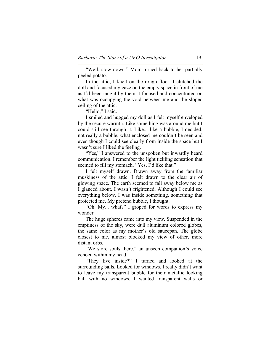"Well, slow down." Mom turned back to her partially peeled potato.

In the attic, I knelt on the rough floor, I clutched the doll and focused my gaze on the empty space in front of me as I'd been taught by them. I focused and concentrated on what was occupying the void between me and the sloped ceiling of the attic.

"Hello," I said.

I smiled and hugged my doll as I felt myself enveloped by the secure warmth. Like something was around me but I could still see through it. Like... like a bubble, I decided, not really a bubble, what enclosed me couldn't be seen and even though I could see clearly from inside the space but I wasn't sure I liked the feeling.

"Yes," I answered to the unspoken but inwardly heard communication. I remember the light tickling sensation that seemed to fill my stomach. "Yes, I'd like that."

I felt myself drawn. Drawn away from the familiar muskiness of the attic. I felt drawn to the clear air of glowing space. The earth seemed to fall away below me as I glanced about. I wasn't frightened. Although I could see everything below, I was inside something, something that protected me. My pretend bubble, I thought.

"Oh. My... what?" I groped for words to express my wonder.

The huge spheres came into my view. Suspended in the emptiness of the sky, were dull aluminum colored globes, the same color as my mother's old saucepan. The globe closest to me, almost blocked my view of other, more distant orbs.

"We store souls there." an unseen companion's voice echoed within my head.

"They live inside?" I turned and looked at the surrounding balls. Looked for windows. I really didn't want to leave my transparent bubble for their metallic looking ball with no windows. I wanted transparent walls or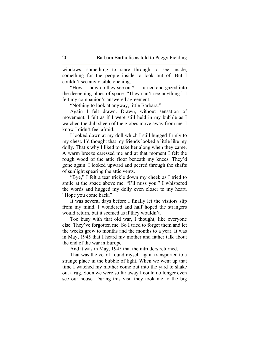windows, something to stare through to see inside, something for the people inside to look out of. But I couldn't see any visible openings.

"How ... how do they see out?" I turned and gazed into the deepening blues of space. "They can't see anything." I felt my companion's answered agreement.

"Nothing to look at anyway, little Barbara."

Again I felt drawn. Drawn, without sensation of movement. I felt as if I were still held in my bubble as I watched the dull sheen of the globes move away from me. I know I didn't feel afraid.

I looked down at my doll which I still hugged firmly to my chest. I'd thought that my friends looked a little like my dolly. That's why I liked to take her along when they came. A warm breeze caressed me and at that moment I felt the rough wood of the attic floor beneath my knees. They'd gone again. I looked upward and peered through the shafts of sunlight spearing the attic vents.

"Bye," I felt a tear trickle down my cheek as I tried to smile at the space above me. "I'll miss you." I whispered the words and hugged my dolly even closer to my heart. "Hope you come back."

It was several days before I finally let the visitors slip from my mind. I wondered and half hoped the strangers would return, but it seemed as if they wouldn't.

Too busy with that old war, I thought, like everyone else. They've forgotten me. So I tried to forget them and let the weeks grow to months and the months to a year. It was in May, 1945 that I heard my mother and father talk about the end of the war in Europe.

And it was in May, 1945 that the intruders returned.

That was the year I found myself again transported to a strange place in the bubble of light. When we went up that time I watched my mother come out into the yard to shake out a rug. Soon we were so far away I could no longer even see our house. During this visit they took me to the big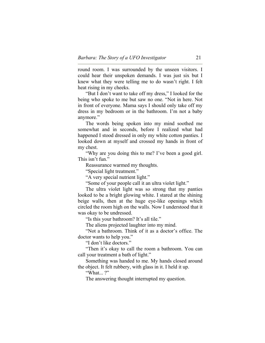round room. I was surrounded by the unseen visitors. I could hear their unspoken demands. I was just six but I knew what they were telling me to do wasn't right. I felt heat rising in my cheeks.

"But I don't want to take off my dress," I looked for the being who spoke to me but saw no one. "Not in here. Not in front of everyone. Mama says I should only take off my dress in my bedroom or in the bathroom. I'm not a baby anymore."

The words being spoken into my mind soothed me somewhat and in seconds, before I realized what had happened I stood dressed in only my white cotton panties. I looked down at myself and crossed my hands in front of my chest.

"Why are you doing this to me? I've been a good girl. This isn't fun."

Reassurance warmed my thoughts.

"Special light treatment."

"A very special nutrient light."

"Some of your people call it an ultra violet light."

The ultra violet light was so strong that my panties looked to be a bright glowing white. I stared at the shining beige walls, then at the huge eye-like openings which circled the room high on the walls. Now I understood that it was okay to be undressed.

"Is this your bathroom? It's all tile."

The aliens projected laughter into my mind.

"Not a bathroom. Think of it as a doctor's office. The doctor wants to help you."

"I don't like doctors."

"Then it's okay to call the room a bathroom. You can call your treatment a bath of light."

Something was handed to me. My hands closed around the object. It felt rubbery, with glass in it. I held it up.

"What... ?"

The answering thought interrupted my question.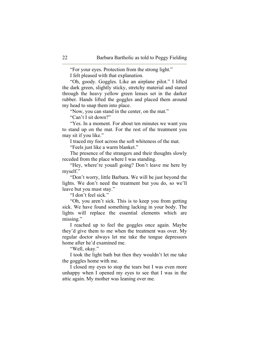"For your eyes. Protection from the strong light."

I felt pleased with that explanation.

"Oh, goody. Goggles. Like an airplane pilot." I lifted the dark green, slightly sticky, stretchy material and stared through the heavy yellow green lenses set in the darker rubber. Hands lifted the goggles and placed them around my head to snap them into place.

"Now, you can stand in the center, on the mat."

"Can't I sit down?"

"Yes. In a moment. For about ten minutes we want you to stand up on the mat. For the rest of the treatment you may sit if you like."

I traced my foot across the soft whiteness of the mat.

"Feels just like a warm blanket."

The presence of the strangers and their thoughts slowly receded from the place where I was standing.

"Hey, where're youall going? Don't leave me here by myself."

"Don't worry, little Barbara. We will be just beyond the lights. We don't need the treatment but you do, so we'll leave but you must stay."

"I don't feel sick."

"Oh, you aren't sick. This is to keep you from getting sick. We have found something lacking in your body. The lights will replace the essential elements which are missing."

I reached up to feel the goggles once again. Maybe they'd give them to me when the treatment was over. My regular doctor always let me take the tongue depressors home after he'd examined me.

"Well, okay."

I took the light bath but then they wouldn't let me take the goggles home with me.

I closed my eyes to stop the tears but I was even more unhappy when I opened my eyes to see that I was in the attic again. My mother was leaning over me.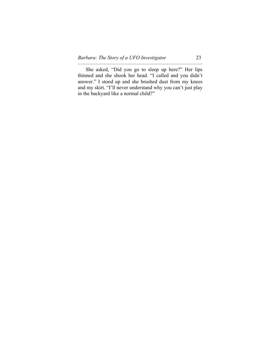She asked, "Did you go to sleep up here?" Her lips thinned and she shook her head. "I called and you didn't answer." I stood up and she brushed dust from my knees and my skirt. "I'll never understand why you can't just play in the backyard like a normal child?"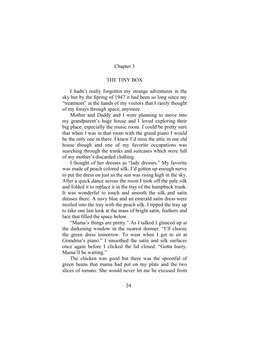#### Chapter 3

#### THE TINY BOX

<span id="page-23-0"></span>I hadn't really forgotten my strange adventures in the sky but by the Spring of 1947 it had been so long since my "treatment" at the hands of my visitors that I rarely thought of my forays through space, anymore.

Mother and Daddy and I were planning to move into my grandparent's huge house and I loved exploring their big place, especially the music room. I could be pretty sure that when I was in that room with the grand piano I would be the only one in there. I knew I'd miss the attic in our old house though and one of my favorite occupations was searching through the trunks and suitcases which were full of my mother's discarded clothing.

I thought of her dresses as "lady dresses." My favorite was made of peach colored silk. I'd gotten up enough nerve to put the dress on just as the sun was rising high in the sky. After a quick dance across the room I took off the pale silk and folded it to replace it in the tray of the humpback trunk. It was wonderful to touch and smooth the silk and satin dresses there. A navy blue and an emerald satin dress were nestled into the tray with the peach silk. I tipped the tray up to take one last look at the mass of bright satin, feathers and lace that filled the space below.

"Mama's things are pretty." As I talked I glanced up at the darkening window in the nearest dormer. "I'll choose the green dress tomorrow. To wear when I get to sit at Grandma's piano." I smoothed the satin and silk surfaces once again before I clicked the lid closed. "Gotta hurry. Mama'll be waiting."

The chicken was good but there was the spoonful of green beans that mama had put on my plate and the two slices of tomato. She would never let me be excused from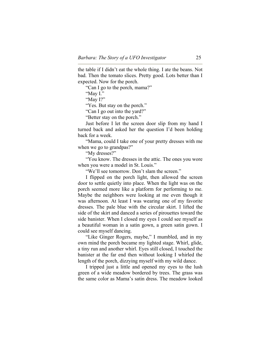the table if I didn't eat the whole thing. I ate the beans. Not bad. Then the tomato slices. Pretty good. Lots better than I expected. Now for the porch.

"Can I go to the porch, mama?"

"May I."

"May I?"

"Yes. But stay on the porch."

"Can I go out into the yard?"

"Better stay on the porch."

Just before I let the screen door slip from my hand I turned back and asked her the question I'd been holding back for a week.

"Mama, could I take one of your pretty dresses with me when we go to grandpas?"

"My dresses?"

"You know. The dresses in the attic. The ones you wore when you were a model in St. Louis."

"We'll see tomorrow. Don't slam the screen."

I flipped on the porch light, then allowed the screen door to settle quietly into place. When the light was on the porch seemed more like a platform for performing to me. Maybe the neighbors were looking at me even though it was afternoon. At least I was wearing one of my favorite dresses. The pale blue with the circular skirt. I lifted the side of the skirt and danced a series of pirouettes toward the side banister. When I closed my eyes I could see myself as a beautiful woman in a satin gown, a green satin gown. I could see myself dancing.

"Like Ginger Rogers, maybe," I mumbled, and in my own mind the porch became my lighted stage. Whirl, glide, a tiny run and another whirl. Eyes still closed, I touched the banister at the far end then without looking I whirled the length of the porch, dizzying myself with my wild dance.

I tripped just a little and opened my eyes to the lush green of a wide meadow bordered by trees. The grass was the same color as Mama's satin dress. The meadow looked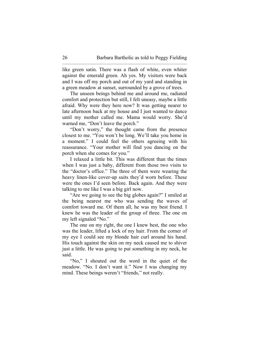like green satin. There was a flash of white, even whiter against the emerald green. Ah yes. My visitors were back and I was off my porch and out of my yard and standing in a green meadow at sunset, surrounded by a grove of trees.

The unseen beings behind me and around me, radiated comfort and protection but still, I felt uneasy, maybe a little afraid. Why were they here now? It was getting nearer to late afternoon back at my house and I just wanted to dance until my mother called me. Mama would worry. She'd warned me, "Don't leave the porch."

"Don't worry," the thought came from the presence closest to me. "You won't be long. We'll take you home in a moment." I could feel the others agreeing with his reassurance. "Your mother will find you dancing on the porch when she comes for you."

I relaxed a little bit. This was different than the times when I was just a baby, different from those two visits to the "doctor's office." The three of them were wearing the heavy linen-like cover-up suits they'd worn before. These were the ones I'd seen before. Back again. And they were talking to me like I was a big girl now.

"Are we going to see the big globes again?" I smiled at the being nearest me who was sending the waves of comfort toward me. Of them all, he was my best friend. I knew he was the leader of the group of three. The one on my left signaled "No."

The one on my right, the one I knew best, the one who was the leader, lifted a lock of my hair. From the corner of my eye I could see my blonde hair curl around his hand. His touch against the skin on my neck caused me to shiver just a little. He was going to put something in my neck, he said.

"No," I shouted out the word in the quiet of the meadow. "No. I don't want it." Now I was changing my mind. These beings weren't "friends," not really.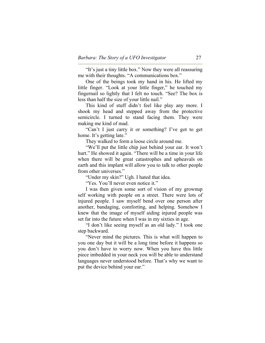"It's just a tiny little box." Now they were all reassuring me with their thoughts. "A communications box."

One of the beings took my hand in his. He lifted my little finger. "Look at your little finger," he touched my fingernail so lightly that I felt no touch. "See? The box is less than half the size of your little nail."

This kind of stuff didn't feel like play any more. I shook my head and stepped away from the protective semicircle. I turned to stand facing them. They were making me kind of mad.

"Can't I just carry it or something? I've got to get home. It's getting late."

They walked to form a loose circle around me.

"We'll put the little chip just behind your ear. It won't hurt." He showed it again. "There will be a time in your life when there will be great catastrophes and upheavals on earth and this implant will allow you to talk to other people from other universes."

"Under my skin?" Ugh. I hated that idea.

"Yes. You'll never even notice it."

I was then given some sort of vision of my grownup self working with people on a street. There were lots of injured people. I saw myself bend over one person after another, bandaging, comforting, and helping. Somehow I knew that the image of myself aiding injured people was set far into the future when I was in my sixties in age.

"I don't like seeing myself as an old lady." I took one step backward.

"Never mind the pictures. This is what will happen to you one day but it will be a long time before it happens so you don't have to worry now. When you have this little piece imbedded in your neck you will be able to understand languages never understood before. That's why we want to put the device behind your ear."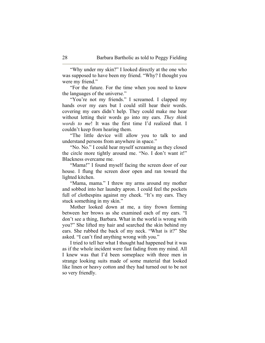"Why under my skin?" I looked directly at the one who was supposed to have been my friend. "Why? I thought you were my friend."

"For the future. For the time when you need to know the languages of the universe."

"You're not my friends." I screamed. I clapped my hands over my ears but I could still hear their words. covering my ears didn't help. They could make me hear without letting their words go into my ears. *They think words to me*! It was the first time I'd realized that. I couldn't keep from hearing them.

"The little device will allow you to talk to and understand persons from anywhere in space."

"No. No." I could hear myself screaming as they closed the circle more tightly around me. "No. I don't want it!" Blackness overcame me.

"Mama!" I found myself facing the screen door of our house. I flung the screen door open and ran toward the lighted kitchen.

"Mama, mama." I threw my arms around my mother and sobbed into her laundry apron. I could feel the pockets full of clothespins against my cheek. "It's my ears. They stuck something in my skin."

Mother looked down at me, a tiny frown forming between her brows as she examined each of my ears. "I don't see a thing, Barbara. What in the world is wrong with you?" She lifted my hair and searched the skin behind my ears. She rubbed the back of my neck. "What is it?" She asked. "I can't find anything wrong with you."

I tried to tell her what I thought had happened but it was as if the whole incident were fast fading from my mind. All I knew was that I'd been someplace with three men in strange looking suits made of some material that looked like linen or heavy cotton and they had turned out to be not so very friendly.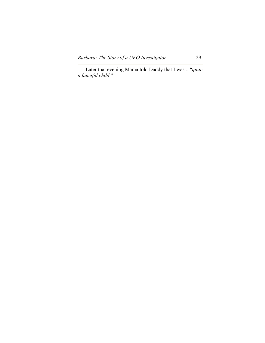Later that evening Mama told Daddy that I was... "*quite a fanciful child*."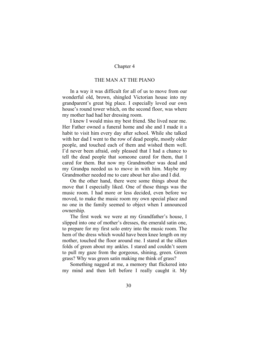#### Chapter 4

#### THE MAN AT THE PIANO

<span id="page-29-0"></span>In a way it was difficult for all of us to move from our wonderful old, brown, shingled Victorian house into my grandparent's great big place. I especially loved our own house's round tower which, on the second floor, was where my mother had had her dressing room.

I knew I would miss my best friend. She lived near me. Her Father owned a funeral home and she and I made it a habit to visit him every day after school. While she talked with her dad I went to the row of dead people, mostly older people, and touched each of them and wished them well. I'd never been afraid, only pleased that I had a chance to tell the dead people that someone cared for them, that I cared for them. But now my Grandmother was dead and my Grandpa needed us to move in with him. Maybe my Grandmother needed me to care about her also and I did.

On the other hand, there were some things about the move that I especially liked. One of those things was the music room. I had more or less decided, even before we moved, to make the music room my own special place and no one in the family seemed to object when I announced ownership.

The first week we were at my Grandfather's house, I slipped into one of mother's dresses, the emerald satin one, to prepare for my first solo entry into the music room. The hem of the dress which would have been knee length on my mother, touched the floor around me. I stared at the silken folds of green about my ankles. I stared and couldn't seem to pull my gaze from the gorgeous, shining, green. Green grass? Why was green satin making me think of grass?

Something nagged at me, a memory that flickered into my mind and then left before I really caught it. My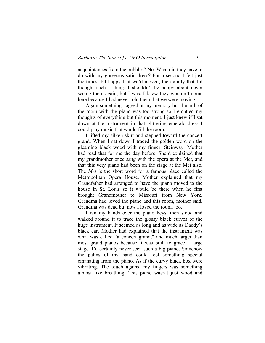acquaintances from the bubbles? No. What did they have to do with my gorgeous satin dress? For a second I felt just the tiniest bit happy that we'd moved, then guilty that I'd thought such a thing. I shouldn't be happy about never seeing them again, but I was. I knew they wouldn't come here because I had never told them that we were moving.

Again something nagged at my memory but the pull of the room with the piano was too strong so I emptied my thoughts of everything but this moment. I just knew if I sat down at the instrument in that glittering emerald dress I could play music that would fill the room.

I lifted my silken skirt and stepped toward the concert grand. When I sat down I traced the golden word on the gleaming black wood with my finger. Steinway. Mother had read that for me the day before. She'd explained that my grandmother once sang with the opera at the Met, and that this very piano had been on the stage at the Met also. The *Met* is the short word for a famous place called the Metropolitan Opera House. Mother explained that my Grandfather had arranged to have the piano moved to the house in St. Louis so it would be there when he first brought Grandmother to Missouri from New York. Grandma had loved the piano and this room, mother said. Grandma was dead but now I loved the room, too.

I ran my hands over the piano keys, then stood and walked around it to trace the glossy black curves of the huge instrument. It seemed as long and as wide as Daddy's black car. Mother had explained that the instrument was what was called "a concert grand," and much larger than most grand pianos because it was built to grace a large stage. I'd certainly never seen such a big piano. Somehow the palms of my hand could feel something special emanating from the piano. As if the curvy black box were vibrating. The touch against my fingers was something almost like breathing. This piano wasn't just wood and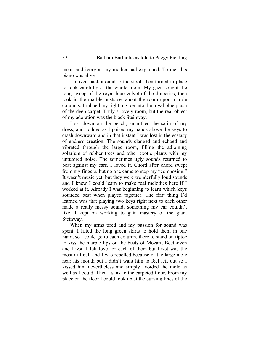metal and ivory as my mother had explained. To me, this piano was alive.

I moved back around to the stool, then turned in place to look carefully at the whole room. My gaze sought the long sweep of the royal blue velvet of the draperies, then took in the marble busts set about the room upon marble columns. I rubbed my right big toe into the royal blue plush of the deep carpet. Truly a lovely room, but the real object of my adoration was the black Steinway.

I sat down on the bench, smoothed the satin of my dress, and nodded as I poised my hands above the keys to crash downward and in that instant I was lost in the ecstasy of endless creation. The sounds clanged and echoed and vibrated through the large room, filling the adjoining solarium of rubber trees and other exotic plants with my untutored noise. The sometimes ugly sounds returned to beat against my ears. I loved it. Chord after chord swept from my fingers, but no one came to stop my "composing." It wasn't music yet, but they were wonderfully loud sounds and I knew I could learn to make real melodies here if I worked at it. Already I was beginning to learn which keys sounded best when played together. The first thing I'd learned was that playing two keys right next to each other made a really messy sound, something my ear couldn't like. I kept on working to gain mastery of the giant Steinway.

When my arms tired and my passion for sound was spent, I lifted the long green skirts to hold them in one hand, so I could go to each column, there to stand on tiptoe to kiss the marble lips on the busts of Mozart, Beethoven and Lizst. I felt love for each of them but Lizst was the most difficult and I was repelled because of the large mole near his mouth but I didn't want him to feel left out so I kissed him nevertheless and simply avoided the mole as well as I could. Then I sank to the carpeted floor. From my place on the floor I could look up at the curving lines of the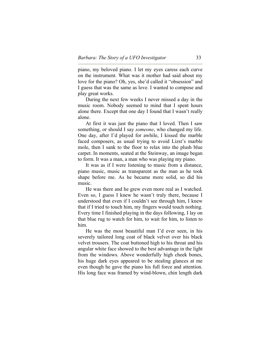piano, my beloved piano. I let my eyes caress each curve on the instrument. What was it mother had said about my love for the piano? Oh, yes, she'd called it "obsession" and I guess that was the same as love. I wanted to compose and play great works.

During the next few weeks I never missed a day in the music room. Nobody seemed to mind that I spent hours alone there. Except that one day I found that I wasn't really alone.

At first it was just the piano that I loved. Then I saw something, or should I say *someone*, who changed my life. One day, after I'd played for awhile, I kissed the marble faced composers, as usual trying to avoid Lizst's marble mole, then I sank to the floor to relax into the plush blue carpet. In moments, seated at the Steinway, an image began to form. It was a man, a man who was playing my piano.

It was as if I were listening to music from a distance, piano music, music as transparent as the man as he took shape before me. As he became more solid, so did his music.

He was there and he grew even more real as I watched. Even so, I guess I knew he wasn't truly there, because I understood that even if I couldn't see through him, I knew that if I tried to touch him, my fingers would touch nothing. Every time I finished playing in the days following, I lay on that blue rug to watch for him, to wait for him, to listen to him.

He was the most beautiful man I'd ever seen, in his severely tailored long coat of black velvet over his black velvet trousers. The coat buttoned high to his throat and his angular white face showed to the best advantage in the light from the windows. Above wonderfully high cheek bones, his huge dark eyes appeared to be stealing glances at me even though he gave the piano his full force and attention. His long face was framed by wind-blown, chin length dark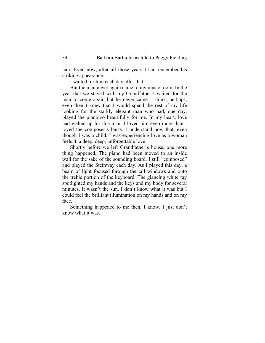hair. Even now, after all those years I can remember his striking appearance.

I waited for him each day after that.

But the man never again came to my music room. In the year that we stayed with my Grandfather I waited for the man to come again but he never came. I think, perhaps, even then I knew that I would spend the rest of my life looking for the starkly elegant man who had, one day, played the piano so beautifully for me. In my heart, love had welled up for this man. I loved him even more than I loved the composer's busts. I understand now that, even though I was a child, I was experiencing love as a woman feels it, a deep, deep, unforgettable love.

Shortly before we left Grandfather's house, one more thing happened. The piano had been moved to an inside wall for the sake of the sounding board. I still "composed" and played the Steinway each day. As I played this day, a beam of light focused through the tall windows and onto the treble portion of the keyboard. The glancing white ray spotlighted my hands and the keys and my body for several minutes. It wasn't the sun. I don't know what it was but I could feel the brilliant illumination on my hands and on my face.

Something happened to me then, I know. I just don't know what it was.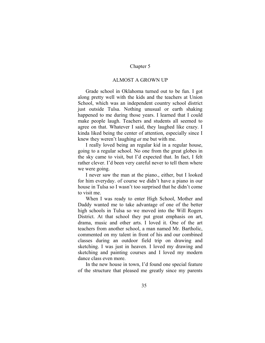#### Chapter 5

#### ALMOST A GROWN UP

<span id="page-34-0"></span>Grade school in Oklahoma turned out to be fun. I got along pretty well with the kids and the teachers at Union School, which was an independent country school district just outside Tulsa. Nothing unusual or earth shaking happened to me during those years. I learned that I could make people laugh. Teachers and students all seemed to agree on that. Whatever I said, they laughed like crazy. I kinda liked being the center of attention, especially since I knew they weren't laughing *at* me but with me.

I really loved being an regular kid in a regular house, going to a regular school. No one from the great globes in the sky came to visit, but I'd expected that. In fact, I felt rather clever. I'd been very careful never to tell them where we were going.

I never saw the man at the piano., either, but I looked for him everyday. of course we didn't have a piano in our house in Tulsa so I wasn't too surprised that he didn't come to visit me.

When I was ready to enter High School, Mother and Daddy wanted me to take advantage of one of the better high schools in Tulsa so we moved into the Will Rogers District. At that school they put great emphasis on art, drama, music and other arts. I loved it. One of the art teachers from another school, a man named Mr. Bartholic, commented on my talent in front of his and our combined classes during an outdoor field trip on drawing and sketching. I was just in heaven. I loved my drawing and sketching and painting courses and I loved my modern dance class even more.

In the new house in town, I'd found one special feature of the structure that pleased me greatly since my parents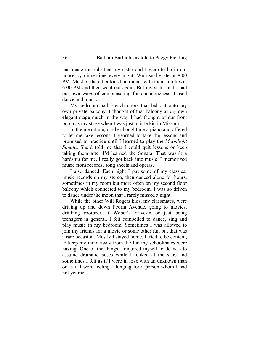had made the rule that my sister and I were to be in our house by dinnertime every night. We usually ate at 8:00 PM. Most of the other kids had dinner with their families at 6:00 PM and then went out again. But my sister and I had our own ways of compensating for our aloneness. I used dance and music.

My bedroom had French doors that led out onto my own private balcony. I thought of that balcony as *my* own elegant stage much in the way I had thought of our front porch as my stage when I was just a little kid in Missouri.

In the meantime, mother bought me a piano and offered to let me take lessons. I yearned to take the lessons and promised to practice until I learned to play the *Moonlight Sonata*. She'd told me that I could quit lessons or keep taking them after I'd learned the Sonata. That wasn't a hardship for me. I really got back into music. I memorized music from records, song sheets and operas.

I also danced. Each night I put some of my classical music records on my stereo, then danced alone for hours, sometimes in my room but more often on my second floor balcony which connected to my bedroom. I was so driven to dance under the moon that I rarely missed a night.

While the other Will Rogers kids, my classmates, were driving up and down Peoria Avenue, going to movies, drinking rootbeer at Weber's drive-in or just being teenagers in general, I felt compelled to dance, sing and play music in my bedroom. Sometimes I was allowed to join my friends for a movie or some other fun but that was a rare occasion. Mostly I stayed home. I tried to be content, to keep my mind away from the fun my schoolmates were having. One of the things I required myself to do was to assume dramatic poses while I looked at the stars and sometimes I felt as if I were in love with an unknown man or as if I were feeling a longing for a person whom I had not yet met.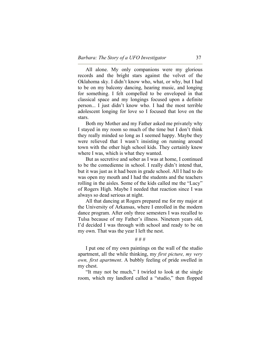All alone. My only companions were my glorious records and the bright stars against the velvet of the Oklahoma sky. I didn't know who, what, or why, but I had to be on my balcony dancing, hearing music, and longing for something. I felt compelled to be enveloped in that classical space and my longings focused upon a definite person... I just didn't know who. I had the most terrible adolescent longing for love so I focused that love on the stars.

Both my Mother and my Father asked me privately why I stayed in my room so much of the time but I don't think they really minded so long as I seemed happy. Maybe they were relieved that I wasn't insisting on running around town with the other high school kids. They certainly knew where I was, which is what they wanted.

But as secretive and sober as I was at home, I continued to be the comedienne in school. I really didn't intend that, but it was just as it had been in grade school. All I had to do was open my mouth and I had the students and the teachers rolling in the aisles. Some of the kids called me the "Lucy" of Rogers High. Maybe I needed that reaction since I was always so dead serious at night.

All that dancing at Rogers prepared me for my major at the University of Arkansas, where I enrolled in the modern dance program. After only three semesters I was recalled to Tulsa because of my Father's illness. Nineteen years old, I'd decided I was through with school and ready to be on my own. That was the year I left the nest.

# # # #

I put one of my own paintings on the wall of the studio apartment, all the while thinking, my *first picture, my very own, first apartment*. A bubbly feeling of pride swelled in my chest.

"It may not be much," I twirled to look at the single room, which my landlord called a "studio," then flopped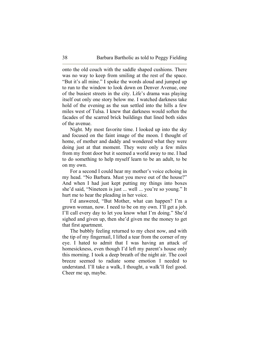onto the old couch with the saddle shaped cushions. There was no way to keep from smiling at the rest of the space. "But it's all mine." I spoke the words aloud and jumped up to run to the window to look down on Denver Avenue, one of the busiest streets in the city. Life's drama was playing itself out only one story below me. I watched darkness take hold of the evening as the sun settled into the hills a few miles west of Tulsa. I knew that darkness would soften the facades of the scarred brick buildings that lined both sides of the avenue.

Night. My most favorite time. I looked up into the sky and focused on the faint image of the moon. I thought of home, of mother and daddy and wondered what they were doing just at that moment. They were only a few miles from my front door but it seemed a world away to me. I had to do something to help myself learn to be an adult, to be on my own.

For a second I could hear my mother's voice echoing in my head. "No Barbara. Must you move out of the house?" And when I had just kept putting my things into boxes she'd said, "Nineteen is just ... well ... you're so young." It hurt me to hear the pleading in her voice.

I'd answered, "But Mother, what can happen? I'm a grown woman, now. I need to be on my own. I'll get a job. I'll call every day to let you know what I'm doing." She'd sighed and given up, then she'd given me the money to get that first apartment.

The bubbly feeling returned to my chest now, and with the tip of my fingernail, I lifted a tear from the corner of my eye. I hated to admit that I was having an attack of homesickness, even though I'd left my parent's house only this morning. I took a deep breath of the night air. The cool breeze seemed to radiate some emotion I needed to understand. I'll take a walk, I thought, a walk'll feel good. Cheer me up, maybe.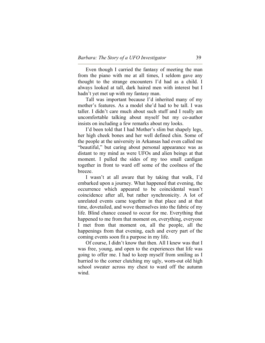Even though I carried the fantasy of meeting the man from the piano with me at all times, I seldom gave any thought to the strange encounters I'd had as a child. I always looked at tall, dark haired men with interest but I hadn't yet met up with my fantasy man.

Tall was important because I'd inherited many of my mother's features. As a model she'd had to be tall. I was taller. I didn't care much about such stuff and I really am uncomfortable talking about myself but my co-author insists on including a few remarks about my looks.

I'd been told that I had Mother's slim but shapely legs, her high cheek bones and her well defined chin. Some of the people at the university in Arkansas had even called me "beautiful," but caring about personal appearance was as distant to my mind as were UFOs and alien beings at that moment. I pulled the sides of my too small cardigan together in front to ward off some of the coolness of the breeze.

I wasn't at all aware that by taking that walk, I'd embarked upon a journey. What happened that evening, the occurrence which appeared to be coincidental wasn't coincidence after all, but rather synchronicity. A lot of unrelated events came together in that place and at that time, dovetailed, and wove themselves into the fabric of my life. Blind chance ceased to occur for me. Everything that happened to me from that moment on, everything, everyone I met from that moment on, all the people, all the happenings from that evening, each and every part of the coming events soon fit a purpose in my life.

Of course, I didn't know that then. All I knew was that I was free, young, and open to the experiences that life was going to offer me. I had to keep myself from smiling as I hurried to the corner clutching my ugly, worn-out old high school sweater across my chest to ward off the autumn wind.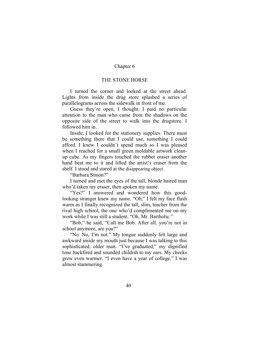# Chapter 6

#### THE STONE HORSE

I turned the corner and looked at the street ahead. Lights from inside the drug store splashed a series of parallelograms across the sidewalk in front of me.

Guess they're open, I thought. I paid no particular attention to the man who came from the shadows on the opposite side of the street to walk into the drugstore. I followed him in.

Inside, I looked for the stationery supplies. There must be something there that I could use, something I could afford. I knew I couldn't spend much so I was pleased when I reached for a small green moldable artwork cleanup cube. As my fingers touched the rubber eraser another hand beat me to it and lifted the artist's eraser from the shelf. I stood and stared at the disappearing object.

"Barbara Simon?"

I turned and met the eyes of the tall, blonde haired man who'd taken my eraser, then spoken my name.

"Yes?" I answered and wondered how this goodlooking stranger knew my name. "Oh," I felt my face flush warm as I finally recognized the tall, slim, teacher from the rival high school, the one who'd complimented me on my work while I was still a student. "Oh, Mr. Bartholic."

"Bob," he said, "Call me Bob. After all, you're not in school anymore, are you?"

"No. No, I'm not." My tongue suddenly felt large and awkward inside my mouth just because I was talking to this sophisticated, older man. "I've graduated," my dignified tone backfired and sounded childish to my ears. My cheeks grew even warmer. "I even have a year of college." I was almost stammering.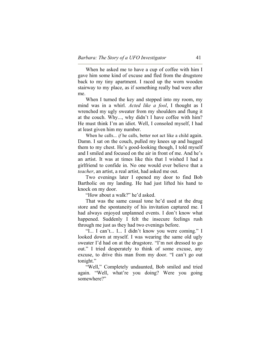When he asked me to have a cup of coffee with him I gave him some kind of excuse and fled from the drugstore back to my tiny apartment. I raced up the worn wooden stairway to my place, as if something really bad were after me.

When I turned the key and stepped into my room, my mind was in a whirl. *Acted like a fool*, I thought as I wrenched my ugly sweater from my shoulders and flung it at the couch. Why..., why didn't I have coffee with him? He must think I'm an idiot. Well, I consoled myself, I had at least given him my number.

When he calls... *if* he calls, better not act like a child again. Damn. I sat on the couch, pulled my knees up and hugged them to my chest. He's good-looking though, I told myself and I smiled and focused on the air in front of me. And he's an artist. It was at times like this that I wished I had a girlfriend to confide in. No one would ever believe that a *teacher*, an artist, a real artist, had asked me out.

Two evenings later I opened my door to find Bob Bartholic on my landing. He had just lifted his hand to knock on my door.

"How about a walk?" he'd asked.

That was the same casual tone he'd used at the drug store and the spontaneity of his invitation captured me. I had always enjoyed unplanned events. I don't know what happened. Suddenly I felt the insecure feelings rush through me just as they had two evenings before.

"I... I can't... I... I didn't know you were coming." I looked down at myself. I was wearing the same old ugly sweater I'd had on at the drugstore. "I'm not dressed to go out." I tried desperately to think of some excuse, any excuse, to drive this man from my door. "I can't go out tonight."

"Well," Completely undaunted, Bob smiled and tried again. "Well, what're you doing? Were you going somewhere?"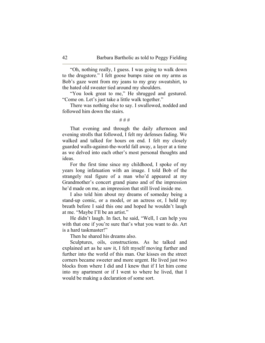"Oh, nothing really, I guess. I was going to walk down to the drugstore." I felt goose bumps raise on my arms as Bob's gaze went from my jeans to my gray sweatshirt, to the hated old sweater tied around my shoulders.

"You look great to me," He shrugged and gestured. "Come on. Let's just take a little walk together."

There was nothing else to say. I swallowed, nodded and followed him down the stairs.

## # # #

That evening and through the daily afternoon and evening strolls that followed, I felt my defenses fading. We walked and talked for hours on end. I felt my closely guarded walls-against-the-world fall away, a layer at a time as we delved into each other's most personal thoughts and ideas.

For the first time since my childhood, I spoke of my years long infatuation with an image. I told Bob of the strangely real figure of a man who'd appeared at my Grandmother's concert grand piano and of the impression he'd made on me, an impression that still lived inside me.

I also told him about my dreams of someday being a stand-up comic, or a model, or an actress or, I held my breath before I said this one and hoped he wouldn't laugh at me. "Maybe I'll be an artist."

He didn't laugh. In fact, he said, "Well, I can help you with that one if you're sure that's what you want to do. Art is a hard taskmaster!"

Then he shared his dreams also.

Sculptures, oils, constructions. As he talked and explained art as he saw it, I felt myself moving further and further into the world of this man. Our kisses on the street corners became sweeter and more urgent. He lived just two blocks from where I did and I knew that if I let him come into my apartment or if I went to where he lived, that I would be making a declaration of some sort.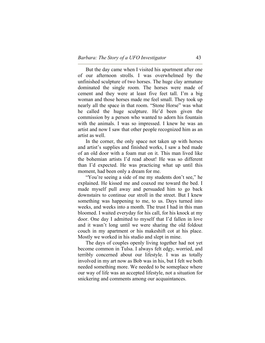But the day came when I visited his apartment after one of our afternoon strolls. I was overwhelmed by the unfinished sculpture of two horses. The huge clay armature dominated the single room. The horses were made of cement and they were at least five feet tall. I'm a big woman and those horses made me feel small. They took up nearly all the space in that room. "Stone Horse" was what he called the huge sculpture. He'd been given the commission by a person who wanted to adorn his fountain with the animals. I was so impressed. I knew he was an artist and now I saw that other people recognized him as an artist as well.

In the corner, the only space not taken up with horses and artist's supplies and finished works, I saw a bed made of an old door with a foam mat on it. This man lived like the bohemian artists I'd read about! He was so different than I'd expected. He was practicing what up until this moment, had been only a dream for me.

"You're seeing a side of me my students don't see," he explained. He kissed me and coaxed me toward the bed. I made myself pull away and persuaded him to go back downstairs to continue our stroll in the street. But I knew something was happening to me, to us. Days turned into weeks, and weeks into a month. The trust I had in this man bloomed. I waited everyday for his call, for his knock at my door. One day I admitted to myself that I'd fallen in love and it wasn't long until we were sharing the old foldout couch in my apartment or his makeshift cot at his place. Mostly we worked in his studio and slept in mine.

The days of couples openly living together had not yet become common in Tulsa. I always felt edgy, worried, and terribly concerned about our lifestyle. I was as totally involved in my art now as Bob was in his, but I felt we both needed something more. We needed to be someplace where our way of life was an accepted lifestyle, not a situation for snickering and comments among our acquaintances.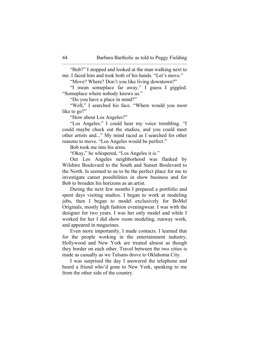"Bob?" I stopped and looked at the man walking next to me. I faced him and took both of his hands. "Let's move."

"Move? Where? Don't you like living downtown?"

"I mean someplace far away." I guess I giggled. "Someplace where nobody knows us."

"Do you have a place in mind?"

"Well," I searched his face. "Where would you most like to go?"

"How about Los Angeles?"

"Los Angeles." I could hear my voice trembling. "I could maybe check out the studios, and you could meet other artists and..." My mind raced as I searched for other reasons to move. "Los Angeles would be perfect."

Bob took me into his arms.

"Okay," he whispered, "Los Angeles it is."

Our Los Angeles neighborhood was flanked by Wilshire Boulevard to the South and Sunset Boulevard to the North. Is seemed to us to be the perfect place for me to investigate career possibilities in show business and for Bob to broaden his horizons as an artist.

During the next few months I prepared a portfolio and spent days visiting studios. I began to work at modeling jobs, then I began to model exclusively for BoMel Originals, mostly high fashion eveningwear. I was with the designer for two years. I was her only model and while I worked for her I did show room modeling, runway work, and appeared in magazines.

Even more importantly, I made contacts. I learned that for the people working in the entertainment industry, Hollywood and New York are treated almost as though they border on each other. Travel between the two cities is made as casually as we Tulsans drove to Oklahoma City.

I was surprised the day I answered the telephone and heard a friend who'd gone to New York, speaking to me from the other side of the country.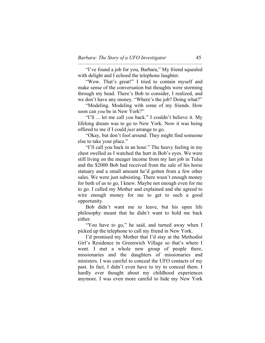"I've found a job for you, Barbara," My friend squealed with delight and I echoed the telephone laughter.

"Wow. That's great!" I tried to contain myself and make sense of the conversation but thoughts were storming through my head. There's Bob to consider, I realized, and we don't have any money. "Where's the job? Doing what?"

"Modeling. Modeling with some of my friends. How soon can *you* be in New York?"

"I'll ... let me call *you* back." I couldn't believe it. My lifelong dream was to go to New York. Now it was being offered to me if I could *just* arrange to go.

"Okay, but don't fool around. They might find someone else to take your place."

"I'll call you back in an hour." The heavy feeling in my chest swelled as I watched the hurt in Bob's eyes. We were still living on the meager income from my last job in Tulsa and the \$2000 Bob had received from the sale of his horse statuary and a small amount he'd gotten from a few other sales. We were just subsisting. There wasn't enough money for both of us to go, I knew. Maybe not enough even for me to go. I called my Mother and explained and she agreed to wire enough money for me to get to such a good opportunity.

Bob didn't want me to leave, but his open life philosophy meant that he didn't want to hold me back either.

"You have to go," he said, and turned away when I picked up the telephone to call my friend in New York.

I'd promised my Mother that I'd stay at the Methodist Girl's Residence in Greenwich Village so that's where I went. I met a whole new group of people there, missionaries and the daughters of missionaries and ministers. I was careful to conceal the UFO contacts of my past. In fact, I didn't even have to try to conceal them. I hardly ever thought about my childhood experiences anymore. I was even more careful to hide my New York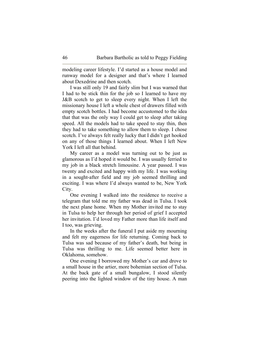modeling career lifestyle. I'd started as a house model and runway model for a designer and that's where I learned about Dexedrine and then scotch.

I was still only 19 and fairly slim but I was warned that I had to be stick thin for the job so I learned to have my J&B scotch to get to sleep every night. When I left the missionary house I left a whole chest of drawers filled with empty scotch bottles. I had become accustomed to the idea that that was the only way I could get to sleep after taking speed. All the models had to take speed to stay thin, then they had to take something to allow them to sleep. I chose scotch. I've always felt really lucky that I didn't get hooked on any of those things I learned about. When I left New York I left all that behind.

My career as a model was turning out to be just as glamorous as I'd hoped it would be. I was usually ferried to my job in a black stretch limousine. A year passed. I was twenty and excited and happy with my life. I was working in a sought-after field and my job seemed thrilling and exciting. I was where I'd always wanted to be, New York City.

One evening I walked into the residence to receive a telegram that told me my father was dead in Tulsa. I took the next plane home. When my Mother invited me to stay in Tulsa to help her through her period of grief I accepted her invitation. I'd loved my Father more than life itself and I too, was grieving.

In the weeks after the funeral I put aside my mourning and felt my eagerness for life returning. Coming back to Tulsa was sad because of my father's death, but being in Tulsa was thrilling to me. Life seemed better here in Oklahoma, somehow.

One evening I borrowed my Mother's car and drove to a small house in the artier, more bohemian section of Tulsa. At the back gate of a small bungalow, I stood silently peering into the lighted window of the tiny house. A man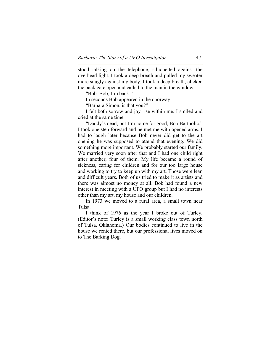stood talking on the telephone, silhouetted against the overhead light. I took a deep breath and pulled my sweater more snugly against my body. I took a deep breath, clicked the back gate open and called to the man in the window.

"Bob. Bob, I'm back."

In seconds Bob appeared in the doorway.

"Barbara Simon, is that you?"

I felt both sorrow and joy rise within me. I smiled and cried at the same time.

"Daddy's dead, but I'm home for good, Bob Bartholic." I took one step forward and he met me with opened arms. I had to laugh later because Bob never did get to the art opening he was supposed to attend that evening. We did something more important. We probably started our family. We married very soon after that and I had one child right after another, four of them. My life became a round of sickness, caring for children and for our too large house and working to try to keep up with my art. Those were lean and difficult years. Both of us tried to make it as artists and there was almost no money at all. Bob had found a new interest in meeting with a UFO group but I had no interests other than my art, my house and our children.

In 1973 we moved to a rural area, a small town near Tulsa.

I think of 1976 as the year I broke out of Turley. (Editor's note: Turley is a small working class town north of Tulsa, Oklahoma.) Our bodies continued to live in the house we rented there, but our professional lives moved on to The Barking Dog.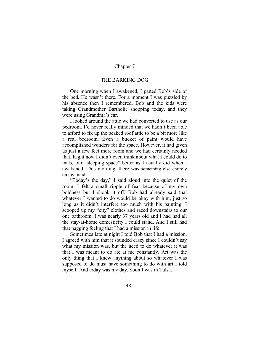# Chapter 7

### THE BARKING DOG

One morning when I awakened, I patted Bob's side of the bed. He wasn't there. For a moment I was puzzled by his absence then I remembered. Bob and the kids were taking Grandmother Bartholic shopping today, and they were using Grandma's car.

I looked around the attic we had converted to use as our bedroom. I'd never really minded that we hadn't been able to afford to fix up the peaked roof attic to be a bit more like a real bedroom. Even a bucket of paint would have accomplished wonders for the space. However, it had given us just a few feet more room and we had certainly needed that. Right now I didn't even think about what I could do to make our "sleeping space" better as I usually did when I awakened. This morning, there was something else entirely on my mind.

"Today's the day," I said aloud into the quiet of the room. I felt a small ripple of fear because of my own boldness but I shook it off. Bob had already said that whatever I wanted to do would be okay with him, just so long as it didn't interfere too much with his painting. I scooped up my "city" clothes and raced downstairs to our one bathroom. I was nearly 37 years old and I had had all the stay-at-home domesticity I could stand. And I still had that nagging feeling that I had a mission in life.

Sometimes late at night I told Bob that I had a mission. I agreed with him that it sounded crazy since I couldn't say what my mission was, but the need to do whatever it was that I was meant to do ate at me constantly. Art was the only thing that I knew anything about so whatever I was supposed to do must have something to do with art I told myself. And today was my day. Soon I was in Tulsa.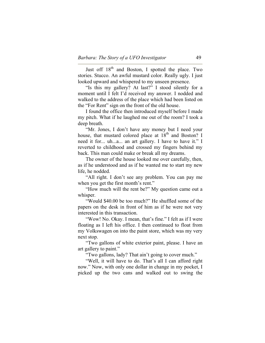Just off  $18<sup>th</sup>$  and Boston, I spotted the place. Two stories. Stucco. An awful mustard color. Really ugly. I just looked upward and whispered to my unseen presence.

"Is this my gallery? At last?" I stood silently for a moment until I felt I'd received my answer. I nodded and walked to the address of the place which had been listed on the "For Rent" sign on the front of the old house.

I found the office then introduced myself before I made my pitch. What if he laughed me out of the room? I took a deep breath.

"Mr. Jones, I don't have any money but I need your house, that mustard colored place at 18<sup>th</sup> and Boston? I need it for... uh...a... an art gallery. I have to have it." I reverted to childhood and crossed my fingers behind my back. This man could make or break all my dreams.

The owner of the house looked me over carefully, then, as if he understood and as if he wanted me to start my new life, he nodded.

"All right. I don't see any problem. You can pay me when you get the first month's rent."

"How much will the rent be?" My question came out a whisper.

"Would \$40.00 be too much?" He shuffled some of the papers on the desk in front of him as if he were not very interested in this transaction.

"Wow! No. Okay. I mean, that's fine." I felt as if I were floating as I left his office. I then continued to float from my Volkswagen on into the paint store, which was my very next stop.

"Two gallons of white exterior paint, please. I have an art gallery to paint."

"Two gallons, lady? That ain't going to cover much."

"Well, it will have to do. That's all I can afford right now." Now, with only one dollar in change in my pocket, I picked up the two cans and walked out to swing the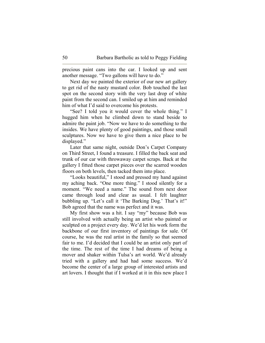precious paint cans into the car. I looked up and sent another message. "Two gallons will have to do."

Next day we painted the exterior of our new art gallery to get rid of the nasty mustard color. Bob touched the last spot on the second story with the very last drop of white paint from the second can. I smiled up at him and reminded him of what I'd said to overcome his protests.

"See? I told you it would cover the whole thing." I hugged him when he climbed down to stand beside to admire the paint job. "Now we have to do something to the insides. We have plenty of good paintings, and those small sculptures. Now we have to give them a nice place to be displayed."

Later that same night, outside Don's Carpet Company on Third Street, I found a treasure. I filled the back seat and trunk of our car with throwaway carpet scraps. Back at the gallery I fitted those carpet pieces over the scarred wooden floors on both levels, then tacked them into place.

"Looks beautiful," I stood and pressed my hand against my aching back. "One more thing." I stood silently for a moment. "We need a name." The sound from next door came through loud and clear as usual. I felt laughter bubbling up. "Let's call it 'The Barking Dog.' That's it!" Bob agreed that the name was perfect and it was.

My first show was a hit. I say "my" because Bob was still involved with actually being an artist who painted or sculpted on a project every day. We'd let his work form the backbone of our first inventory of paintings for sale. Of course, he was the real artist in the family so that seemed fair to me. I'd decided that I could be an artist only part of the time. The rest of the time I had dreams of being a mover and shaker within Tulsa's art world. We'd already tried with a gallery and had had some success. We'd become the center of a large group of interested artists and art lovers. I thought that if I worked at it in this new place I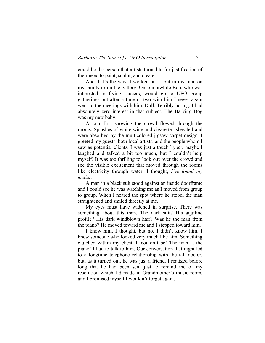could be the person that artists turned to for justification of their need to paint, sculpt, and create.

And that's the way it worked out. I put in my time on my family or on the gallery. Once in awhile Bob, who was interested in flying saucers, would go to UFO group gatherings but after a time or two with him I never again went to the meetings with him. Dull. Terribly boring. I had absolutely zero interest in that subject. The Barking Dog was my new baby.

At our first showing the crowd flowed through the rooms. Splashes of white wine and cigarette ashes fell and were absorbed by the multicolored jigsaw carpet design. I greeted my guests, both local artists, and the people whom I saw as potential clients. I was just a touch hyper, maybe I laughed and talked a bit too much, but I couldn't help myself. It was too thrilling to look out over the crowd and see the visible excitement that moved through the rooms like electricity through water. I thought, *I've found my metier*.

A man in a black suit stood against an inside doorframe and I could see he was watching me as I moved from group to group. When I neared the spot where he stood, the man straightened and smiled directly at me.

My eyes must have widened in surprise. There was something about this man. The dark suit? His aquiline profile? His dark windblown hair? Was he the man from the piano? He moved toward me and I stepped toward him.

I know him, I thought, but no, I didn't know him. I knew someone who looked very much like him. Something clutched within my chest. It couldn't be! The man at the piano! I had to talk to him. Our conversation that night led to a longtime telephone relationship with the tall doctor, but, as it turned out, he was just a friend. I realized before long that he had been sent just to remind me of my resolution which I'd made in Grandmother's music room, and I promised myself I wouldn't forget again.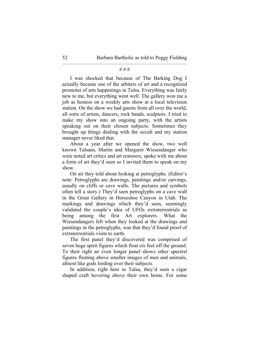### # # #

I was shocked that because of The Barking Dog I actually became one of the arbiters of art and a recognized promoter of arts happenings in Tulsa. Everything was fairly new to me, but everything went well. The gallery won me a job as hostess on a weekly arts show at a local television station. On the show we had guests from all over the world, all sorts of artists, dancers, rock bands, sculptors. I tried to make my show into an ongoing party, with the artists speaking out on their chosen subjects. Sometimes they brought up things dealing with the occult and my station manager never liked that.

About a year after we opened the show, two well known Tulsans, Martin and Margaret Wiesendanger who were noted art critics and art restorers, spoke with me about a form of art they'd seen so I invited them to speak on my show.

On air they told about looking at petroglyphs. (Editor's note: Petroglyphs are drawings, paintings and/or carvings, usually on cliffs or cave walls. The pictures and symbols often tell a story.) They'd seen petroglyphs on a cave wall in the Great Gallery in Horseshoe Canyon in Utah. The markings and drawings which they'd seen, seemingly validated the couple's idea of UFOs extraterrestrials as being among the first Art explorers. What the Wiesendangers felt when they looked at the drawings and paintings in the petroglyphs, was that they'd found proof of extraterrestrials visits to earth.

The first panel they'd discovered was comprised of seven huge spirit figures which float six feet off the ground. To their right an even longer panel shows other spectral figures floating above smaller images of men and animals, almost like gods lording over their subjects.

In addition, right here in Tulsa, they'd seen a cigar shaped craft hovering above their own home. For some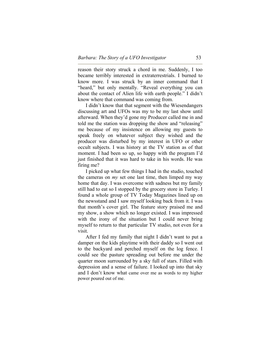reason their story struck a chord in me. Suddenly, I too became terribly interested in extraterrestrials. I burned to know more. I was struck by an inner command that I "heard," but only mentally. "Reveal everything you can about the contact of Alien life with earth people." I didn't know where that command was coming from.

I didn't know that that segment with the Wiesendangers discussing art and UFOs was my to be my last show until afterward. When they'd gone my Producer called me in and told me the station was dropping the show and "releasing" me because of my insistence on allowing my guests to speak freely on whatever subject they wished and the producer was disturbed by my interest in UFO or other occult subjects. I was history at the TV station as of that moment. I had been so up, so happy with the program I'd just finished that it was hard to take in his words. He was firing me?

I picked up what few things I had in the studio, touched the cameras on *my* set one last time, then limped my way home that day. I was overcome with sadness but my family still had to eat so I stopped by the grocery store in Turley. I found a whole group of TV Today Magazines lined up on the newsstand and I saw myself looking back from it. I was that month's cover girl. The feature story praised me and my show, a show which no longer existed. I was impressed with the irony of the situation but I could never bring myself to return to that particular TV studio, not even for a visit.

After I fed my family that night I didn't want to put a damper on the kids playtime with their daddy so I went out to the backyard and perched myself on the log fence. I could see the pasture spreading out before me under the quarter moon surrounded by a sky full of stars. Filled with depression and a sense of failure. I looked up into that sky and I don't know what came over me as words to my higher power poured out of me.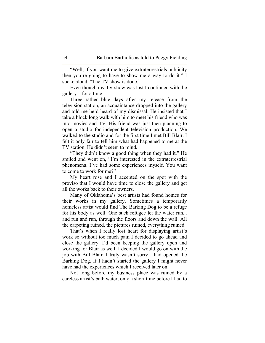"Well, if you want me to give extraterrestrials publicity then you're going to have to show me a way to do it." I spoke aloud. "The TV show is done."

Even though my TV show was lost I continued with the gallery... for a time.

Three rather blue days after my release from the television station, an acquaintance dropped into the gallery and told me he'd heard of my dismissal. He insisted that I take a block long walk with him to meet his friend who was into movies and TV. His friend was just then planning to open a studio for independent television production. We walked to the studio and for the first time I met Bill Blair. I felt it only fair to tell him what had happened to me at the TV station. He didn't seem to mind.

"They didn't know a good thing when they had it." He smiled and went on, "I'm interested in the extraterrestrial phenomena. I've had some experiences myself. You want to come to work for me?"

My heart rose and I accepted on the spot with the proviso that I would have time to close the gallery and get all the works back to their owners.

Many of Oklahoma's best artists had found homes for their works in my gallery. Sometimes a temporarily homeless artist would find The Barking Dog to be a refuge for his body as well. One such refugee let the water run... and run and run, through the floors and down the wall. All the carpeting ruined, the pictures ruined, everything ruined.

That's when I really lost heart for displaying artist's work so without too much pain I decided to go ahead and close the gallery. I'd been keeping the gallery open and working for Blair as well. I decided I would go on with the job with Bill Blair. I truly wasn't sorry I had opened the Barking Dog. If I hadn't started the gallery I might never have had the experiences which I received later on.

Not long before my business place was ruined by a careless artist's bath water, only a short time before I had to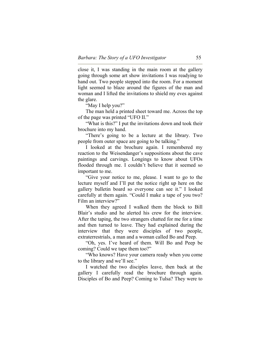close it, I was standing in the main room at the gallery going through some art show invitations I was readying to hand out. Two people stepped into the room. For a moment light seemed to blaze around the figures of the man and woman and I lifted the invitations to shield my eves against the glare.

"May I help you?"

The man held a printed sheet toward me. Across the top of the page was printed "UFO II."

"What is this?" I put the invitations down and took their brochure into my hand.

"There's going to be a lecture at the library. Two people from outer space are going to be talking."

I looked at the brochure again. I remembered my reaction to the Weisendanger's suppositions about the cave paintings and carvings. Longings to know about UFOs flooded through me. I couldn't believe that it seemed so important to me.

"Give your notice to me, please. I want to go to the lecture myself and I'll put the notice right up here on the gallery bulletin board so everyone can see it." I looked carefully at them again. "Could I make a tape of you two? Film an interview?"

When they agreed I walked them the block to Bill Blair's studio and he alerted his crew for the interview. After the taping, the two strangers chatted for me for a time and then turned to leave. They had explained during the interview that they were disciples of two people, extraterrestrials, a man and a woman called Bo and Peep.

"Oh, yes. I've heard of them. Will Bo and Peep be coming? Could we tape them too?"

"Who knows? Have your camera ready when you come to the library and we'll see."

I watched the two disciples leave, then back at the gallery I carefully read the brochure through again. Disciples of Bo and Peep? Coming to Tulsa? They were to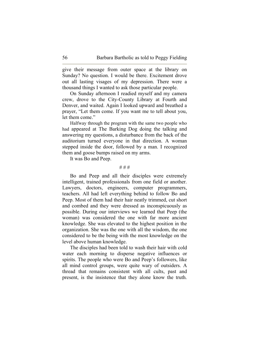give their message from outer space at the library on Sunday? No question. I would be there. Excitement drove out all lasting visages of my depression. There were a thousand things I wanted to ask those particular people.

On Sunday afternoon I readied myself and my camera crew, drove to the City-County Library at Fourth and Denver, and waited. Again I looked upward and breathed a prayer, "Let them come. If you want me to tell about you, let them come."

Halfway through the program with the same two people who had appeared at The Barking Dog doing the talking and answering my questions, a disturbance from the back of the auditorium turned everyone in that direction. A woman stepped inside the door, followed by a man. I recognized them and goose bumps raised on my arms.

It was Bo and Peep.

### # # #

Bo and Peep and all their disciples were extremely intelligent, trained professionals from one field or another. Lawyers, doctors, engineers, computer programmers, teachers. All had left everything behind to follow Bo and Peep. Most of them had their hair neatly trimmed, cut short and combed and they were dressed as inconspicuously as possible. During our interviews we learned that Peep (the woman) was considered the one with far more ancient knowledge. She was elevated to the highest position in the organization. She was the one with all the wisdom, the one considered to be the being with the most knowledge on the level above human knowledge.

The disciples had been told to wash their hair with cold water each morning to disperse negative influences or spirits. The people who were Bo and Peep's followers, like all mind control groups, were quite wary of outsiders. A thread that remains consistent with all cults, past and present, is the insistence that they alone know the truth.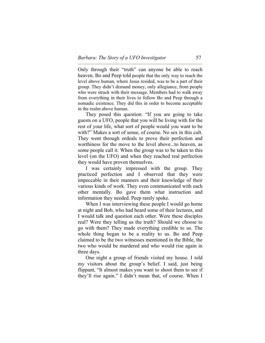Only through their "truth" can anyone be able to reach heaven. Bo and Peep told people that the only way to reach the level above human, where Jesus resided, was to be a part of their group. They didn't demand money, only allegiance, from people who were struck with their message. Members had to walk away from everything in their lives to follow Bo and Peep through a nomadic existence. They did this in order to become acceptable in the realm above human.

They posed this question: "If you are going to take guests on a UFO, people that you will be living with for the rest of your life, what sort of people would you want to be with?" Makes a sort of sense, of course. No sex in this cult. They went through ordeals to prove their perfection and worthiness for the move to the level above...to heaven, as some people call it. When the group was to be taken to this level (on the UFO) and when they reached real perfection they would have proven themselves.

I was certainly impressed with the group. They practiced perfection and I observed that they were impeccable in their manners and their knowledge of their various kinds of work. They even communicated with each other mentally. Bo gave them what instruction and information they needed. Peep rarely spoke.

When I was interviewing these people I would go home at night and Bob, who had heard some of their lectures, and I would talk and question each other. Were these disciples real? Were they telling us the truth? Should we choose to go with them? They made everything credible to us. The whole thing began to be a reality to us. Bo and Peep claimed to be the two witnesses mentioned in the Bible, the two who would be murdered and who would rise again in three days.

One night a group of friends visited my house. I told my visitors about the group's belief. I said, just being flippant, "It almost makes you want to shoot them to see if they'll rise again." I didn't mean that, of course. When I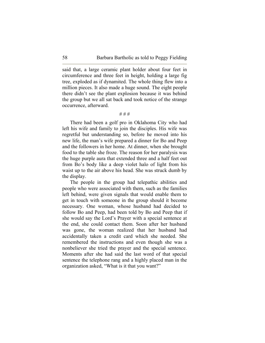said that, a large ceramic plant holder about four feet in circumference and three feet in height, holding a large fig tree, exploded as if dynamited. The whole thing flew into a million pieces. It also made a huge sound. The eight people there didn't see the plant explosion because it was behind the group but we all sat back and took notice of the strange occurrence, afterward.

#### # # #

There had been a golf pro in Oklahoma City who had left his wife and family to join the disciples. His wife was regretful but understanding so, before he moved into his new life, the man's wife prepared a dinner for Bo and Peep and the followers in her home. At dinner, when she brought food to the table she froze. The reason for her paralysis was the huge purple aura that extended three and a half feet out from Bo's body like a deep violet halo of light from his waist up to the air above his head. She was struck dumb by the display.

The people in the group had telepathic abilities and people who were associated with them, such as the families left behind, were given signals that would enable them to get in touch with someone in the group should it become necessary. One woman, whose husband had decided to follow Bo and Peep, had been told by Bo and Peep that if she would say the Lord's Prayer with a special sentence at the end, she could contact them. Soon after her husband was gone, the woman realized that her husband had accidentally taken a credit card which she needed. She remembered the instructions and even though she was a nonbeliever she tried the prayer and the special sentence. Moments after she had said the last word of that special sentence the telephone rang and a highly placed man in the organization asked, "What is it that you want?"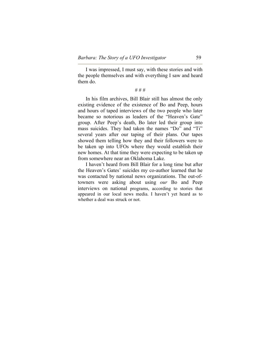I was impressed, I must say, with these stories and with the people themselves and with everything I saw and heard them do.

# # # #

In his film archives, Bill Blair still has almost the only existing evidence of the existence of Bo and Peep, hours and hours of taped interviews of the two people who later became so notorious as leaders of the "Heaven's Gate" group. After Peep's death, Bo later led their group into mass suicides. They had taken the names "Do" and "Ti" several years after our taping of their plans. Our tapes showed them telling how they and their followers were to be taken up into UFOs where they would establish their new homes. At that time they were expecting to be taken up from somewhere near an Oklahoma Lake.

I haven't heard from Bill Blair for a long time but after the Heaven's Gates' suicides my co-author learned that he was contacted by national news organizations. The out-oftowners were asking about using *our* Bo and Peep interviews on national programs, according to stories that appeared in our local news media. I haven't yet heard as to whether a deal was struck or not.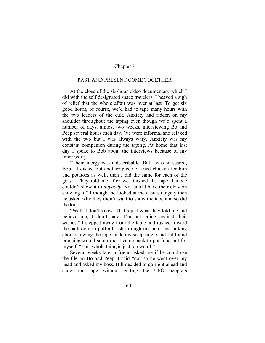### Chapter 8

### PAST AND PRESENT COME TOGETHER

At the close of the six-hour video documentary which I did with the self designated space travelers, I heaved a sigh of relief that the whole affair was over at last. To get six good hours, of course, we'd had to tape many hours with the two leaders of the cult. Anxiety had ridden on my shoulder throughout the taping even though we'd spent a number of days, almost two weeks, interviewing Bo and Peep several hours each day. We were informal and relaxed with the two but I was always wary. Anxiety was my constant companion during the taping. At home that last day I spoke to Bob about the interviews because of my inner worry.

"Their energy was indescribable. But I was so scared, Bob." I dished out another piece of fried chicken for him and potatoes as well, then I did the same for each of the girls. "They told me after we finished the tape that we couldn't show it to *anybody*. Not until I have their okay on showing it." I thought he looked at me a bit strangely then he asked why they didn't want to show the tape and so did the kids.

"Well, I don't know. That's just what they told me and believe me, I don't care. I'm not going against their wishes." I stepped away from the table and rushed toward the bathroom to pull a brush through my hair. Just talking about showing the tape made my scalp tingle and I'd found brushing would sooth me. I came back to put food out for myself. "This whole thing is just too weird."

Several weeks later a friend asked me if he could see the file on Bo and Peep. I said "no" so he went over my head and asked my boss. Bill decided to go right ahead and show the tape without getting the UFO people's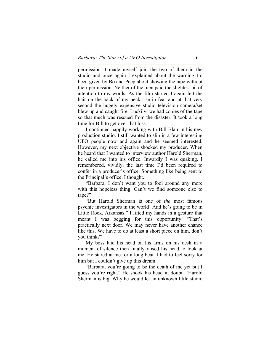permission. I made myself join the two of them in the studio and once again I explained about the warning I'd been given by Bo and Peep about showing the tape without their permission. Neither of the men paid the slightest bit of attention to my words. As the film started I again felt the hair on the back of my neck rise in fear and at that very second the hugely expensive studio television camera/set blew up and caught fire. Luckily, we had copies of the tape so that much was rescued from the disaster. It took a long time for Bill to get over that loss.

I continued happily working with Bill Blair in his new production studio. I still wanted to slip in a few interesting UFO people now and again and he seemed interested. However, my next objective shocked my producer. When he heard that I wanted to interview author Harold Sherman, he called me into his office. Inwardly I was quaking. I remembered, vividly, the last time I'd been required to confer in a producer's office. Something like being sent to the Principal's office, I thought.

"Barbara, I don't want you to fool around any more with this hopeless thing. Can't we find someone else to tape?"

"But Harold Sherman is one of *the* most famous psychic investigators in the world! And he's going to be in Little Rock, Arkansas." I lifted my hands in a gesture that meant I was begging for this opportunity. "That's practically next door. We may never have another chance like this. We have to do at least a short piece on him, don't you think?"

My boss laid his head on his arms on his desk in a moment of silence then finally raised his head to look at me. He stared at me for a long beat. I had to feel sorry for him but I couldn't give up this dream.

"Barbara, you're going to be the death of me yet but I guess you're right." He shook his head in doubt. "Harold Sherman is big. Why he would let an unknown little studio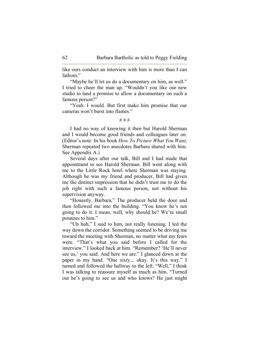like ours conduct an interview with him is more than I can fathom<sup>"</sup>

"Maybe he'll let us do a documentary on him, as well." I tried to cheer the man up. "Wouldn't you like our new studio to land a promise to allow a documentary on such a famous person?"

"Yeah. I would. But first make him promise that our cameras won't burst into flames"

#### # # #

I had no way of knowing it then but Harold Sherman and I would become good friends and colleagues later on. (Editor's note: In his book *How To Picture What You Want*, Sherman repeated two anecdotes Barbara shared with him. See Appendix A.)

Several days after our talk, Bill and I had made that appointment to see Harold Sherman. Bill went along with me to the Little Rock hotel where Sherman was staying. Although he was my friend and producer, Bill had given me the distinct impression that he didn't trust me to do the job right with such a famous person, not without his supervision anyway.

"Honestly, Barbara," The producer held the door and then followed me into the building. "You know he's not going to do it. I mean, well, why should he? We're small potatoes to him."

"Uh huh," I said to him, not really listening. I led the way down the corridor. Something seemed to be driving me toward the meeting with Sherman, no matter what my fears were. "That's what you said before I called for the interview." I looked back at him. "Remember? 'He'll never see us,' you said. And here we are." I glanced down at the paper in my hand. "One sixty... okay. It's this way." I turned and followed the hallway to the left. "Well," I think I was talking to reassure myself as much as him. "Turned out he's going to see us and who knows? He just might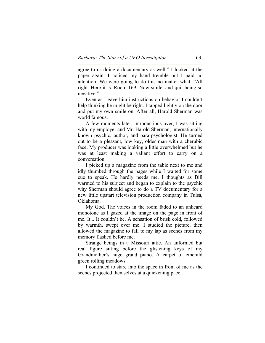agree to us doing a documentary as well." I looked at the paper again. I noticed my hand tremble but I paid no attention. We were going to do this no matter what. "All right. Here it is. Room 169. Now smile, and quit being so negative."

Even as I gave him instructions on behavior I couldn't help thinking he might be right. I tapped lightly on the door and put my own smile on. After all, Harold Sherman was world famous.

A few moments later, introductions over, I was sitting with my employer and Mr. Harold Sherman, internationally known psychic, author, and para-psychologist. He turned out to be a pleasant, low key, older man with a cherubic face. My producer was looking a little overwhelmed but he was at least making a valiant effort to carry on a conversation.

I picked up a magazine from the table next to me and idly thumbed through the pages while I waited for some cue to speak. He hardly needs me, I thoughts as Bill warmed to his subject and began to explain to the psychic why Sherman should agree to do a TV documentary for a new little upstart television production company in Tulsa, Oklahoma.

My God. The voices in the room faded to an unheard monotone as I gazed at the image on the page in front of me. It... It couldn't be. A sensation of brisk cold, followed by warmth, swept over me. I studied the picture, then allowed the magazine to fall to my lap as scenes from my memory flashed before me.

Strange beings in a Missouri attic. An unformed but real figure sitting before the glistening keys of my Grandmother's huge grand piano. A carpet of emerald green rolling meadows.

I continued to stare into the space in front of me as the scenes projected themselves at a quickening pace.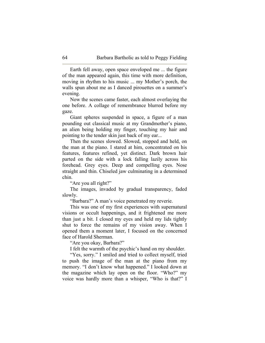Earth fell away, open space enveloped me ... the figure of the man appeared again, this time with more definition, moving in rhythm to his music ... my Mother's porch, the walls spun about me as I danced pirouettes on a summer's evening.

Now the scenes came faster, each almost overlaying the one before. A collage of remembrance blurred before my gaze.

Giant spheres suspended in space, a figure of a man pounding out classical music at my Grandmother's piano, an alien being holding my finger, touching my hair and pointing to the tender skin just back of my ear...

Then the scenes slowed. Slowed, stopped and held, on the man at the piano. I stared at him, concentrated on his features, features refined, yet distinct. Dark brown hair parted on the side with a lock falling lazily across his forehead. Grey eyes. Deep and compelling eyes. Nose straight and thin. Chiseled jaw culminating in a determined chin.

"Are you all right?"

The images, invaded by gradual transparency, faded slowly.

"Barbara?" A man's voice penetrated my reverie.

This was one of my first experiences with supernatural visions or occult happenings, and it frightened me more than just a bit. I closed my eyes and held my lids tightly shut to force the remains of my vision away. When I opened them a moment later, I focused on the concerned face of Harold Sherman.

"Are you okay, Barbara?"

I felt the warmth of the psychic's hand on my shoulder.

"Yes, sorry." I smiled and tried to collect myself, tried to push the image of the man at the piano from my memory. "I don't know what happened." I looked down at the magazine which lay open on the floor. "Who?" my voice was hardly more than a whisper, "Who is that?" I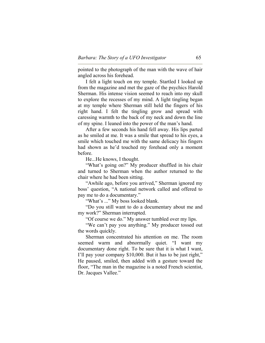pointed to the photograph of the man with the wave of hair angled across his forehead.

I felt a light touch on my temple. Startled I looked up from the magazine and met the gaze of the psychics Harold Sherman. His intense vision seemed to reach into my skull to explore the recesses of my mind. A light tingling began at my temple where Sherman still held the fingers of his right hand. I felt the tingling grow and spread with caressing warmth to the back of my neck and down the line of my spine. I leaned into the power of the man's hand.

After a few seconds his hand fell away. His lips parted as he smiled at me. It was a smile that spread to his eyes, a smile which touched me with the same delicacy his fingers had shown as he'd touched my forehead only a moment before.

He...He knows, I thought.

"What's going on?" My producer shuffled in his chair and turned to Sherman when the author returned to the chair where he had been sitting.

"Awhile ago, before you arrived," Sherman ignored my boss' question, "A national network called and offered to pay me to do a documentary."

"What's ..." My boss looked blank.

"Do you still want to do a documentary about me and my work?" Sherman interrupted.

"Of course we do." My answer tumbled over my lips.

"We can't pay you anything." My producer tossed out the words quickly.

Sherman concentrated his attention on me. The room seemed warm and abnormally quiet. "I want my documentary done right. To be sure that it is what I want, I'll pay your company \$10,000. But it has to be just right," He paused, smiled, then added with a gesture toward the floor, "The man in the magazine is a noted French scientist, Dr. Jacques Vallee."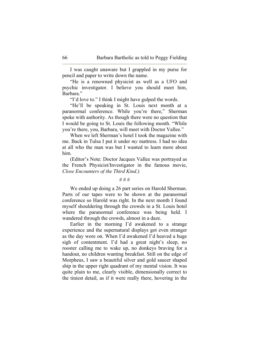I was caught unaware but I grappled in my purse for pencil and paper to write down the name.

"He is a renowned physicist as well as a UFO and psychic investigator. I believe you should meet him, Barbara."

"I'd love to." I think I might have gulped the words.

"He'll be speaking in St. Louis next month at a paranormal conference. While you're there," Sherman spoke with authority. As though there were no question that I would be going to St. Louis the following month. "While you're there, you, Barbara, will meet with Doctor Vallee."

When we left Sherman's hotel I took the magazine with me. Back in Tulsa I put it under *my* mattress. I had no idea at all who the man was but I wanted to learn more about him.

(Editor's Note: Doctor Jacques Vallee was portrayed as the French Physicist/Investigator in the famous movie, *Close Encounters of the Third Kind*.)

### # # #

We ended up doing a 26 part series on Harold Sherman. Parts of our tapes were to be shown at the paranormal conference so Harold was right. In the next month I found myself shouldering through the crowds in a St. Louis hotel where the paranormal conference was being held. I wandered through the crowds, almost in a daze.

Earlier in the morning I'd awakened to a strange experience and the supernatural displays got even stranger as the day wore on. When I'd awakened I'd heaved a huge sigh of contentment. I'd had a great night's sleep, no rooster calling me to wake up, no donkeys braving for a handout, no children wanting breakfast. Still on the edge of Morpheus, I saw a beautiful silver and gold saucer shaped ship in the upper right quadrant of my mental vision. It was quite plain to me, clearly visible, dimensionally correct to the tiniest detail, as if it were really there, hovering in the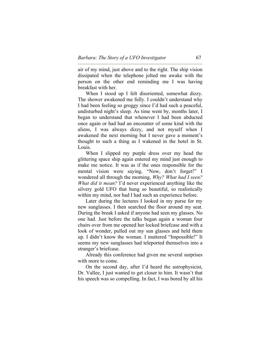air of my mind, just above and to the right. The ship vision dissipated when the telephone jolted me awake with the person on the other end reminding me I was having breakfast with her.

When I stood up I felt disoriented, somewhat dizzy. The shower awakened me fully. I couldn't understand why I had been feeling so groggy since I'd had such a peaceful, undisturbed night's sleep. As time went by, months later, I began to understand that whenever I had been abducted once again or had had an encounter of some kind with the aliens, I was always dizzy, and not myself when I awakened the next morning but I never gave a moment's thought to such a thing as I wakened in the hotel in St. Louis.

When I slipped my purple dress over my head the glittering space ship again entered my mind just enough to make me notice. It was as if the ones responsible for the mental vision were saying, "Now, don't forget!" I wondered all through the morning, *Why? What had I seen? What did it mean?* I'd never experienced anything like the silvery gold UFO that hung so beautiful, so realistically within my mind, nor had I had such an experience before.

Later during the lectures I looked in my purse for my new sunglasses. I then searched the floor around my seat. During the break I asked if anyone had seen my glasses. No one had. Just before the talks began again a woman four chairs over from me opened her locked briefcase and with a look of wonder, pulled out my sun glasses and held them up. I didn't know the woman. I muttered "Impossible!" It seems my new sunglasses had teleported themselves into a stranger's briefcase.

Already this conference had given me several surprises with more to come.

On the second day, after I'd heard the astrophysicist, Dr. Vallee, I just wanted to get closer to him. It wasn't that his speech was so compelling. In fact, I was bored by all his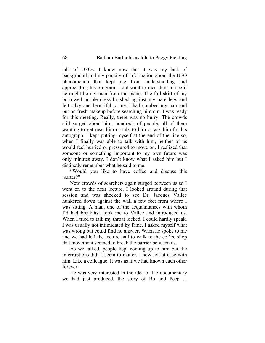talk of UFOs. I know now that it was my lack of background and my paucity of information about the UFO phenomenon that kept me from understanding and appreciating his program. I did want to meet him to see if he might be my man from the piano. The full skirt of my borrowed purple dress brushed against my bare legs and felt silky and beautiful to me. I had combed my hair and put on fresh makeup before searching him out. I was ready for this meeting. Really, there was no hurry. The crowds still surged about him, hundreds of people, all of them wanting to get near him or talk to him or ask him for his autograph. I kept putting myself at the end of the line so, when I finally was able to talk with him, neither of us would feel hurried or pressured to move on. I realized that someone or something important to my own future was only minutes away. I don't know what I asked him but I distinctly remember what he said to me.

"Would you like to have coffee and discuss this matter?"

New crowds of searchers again surged between us so I went on to the next lecture. I looked around during that session and was shocked to see Dr. Jacques Vallee hunkered down against the wall a few feet from where I was sitting. A man, one of the acquaintances with whom I'd had breakfast, took me to Vallee and introduced us. When I tried to talk my throat locked. I could hardly speak. I was usually not intimidated by fame. I asked myself what was wrong but could find no answer. When he spoke to me and we had left the lecture hall to walk to the coffee shop that movement seemed to break the barrier between us.

As we talked, people kept coming up to him but the interruptions didn't seem to matter. I now felt at ease with him. Like a colleague. It was as if we had known each other forever.

He was very interested in the idea of the documentary we had just produced, the story of Bo and Peep ...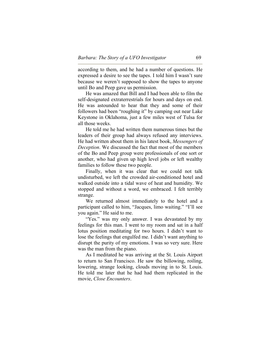according to them, and he had a number of questions. He expressed a desire to see the tapes. I told him I wasn't sure because we weren't supposed to show the tapes to anyone until Bo and Peep gave us permission.

He was amazed that Bill and I had been able to film the self-designated extraterrestrials for hours and days on end. He was astounded to hear that they and some of their followers had been "roughing it" by camping out near Lake Keystone in Oklahoma, just a few miles west of Tulsa for all those weeks.

He told me he had written them numerous times but the leaders of their group had always refused any interviews. He had written about them in his latest book, *Messengers of Deception*. We discussed the fact that most of the members of the Bo and Peep group were professionals of one sort or another, who had given up high level jobs or left wealthy families to follow these two people.

Finally, when it was clear that we could not talk undisturbed, we left the crowded air-conditioned hotel and walked outside into a tidal wave of heat and humidity. We stopped and without a word, we embraced. I felt terribly strange.

We returned almost immediately to the hotel and a participant called to him, "Jacques, limo waiting." "I'll see you again." He said to me.

"Yes." was my only answer. I was devastated by my feelings for this man. I went to my room and sat in a half lotus position meditating for two hours. I didn't want to lose the feelings that engulfed me. I didn't want anything to disrupt the purity of my emotions. I was so very sure. Here was the man from the piano.

As I meditated he was arriving at the St. Louis Airport to return to San Francisco. He saw the billowing, roiling, lowering, strange looking, clouds moving in to St. Louis. He told me later that he had had them replicated in the movie, *Close Encounters*.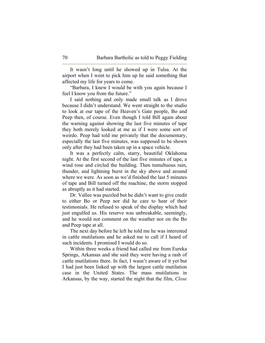It wasn't long until he showed up in Tulsa. At the airport when I went to pick him up he said something that affected my life for years to come.

"Barbara, I knew I would be with you again because I feel I know you from the future."

I said nothing and only made small talk as I drove because I didn't understand. We went straight to the studio to look at our tape of the Heaven's Gate people, Bo and Peep then, of course. Even though I told Bill again about the warning against showing the last five minutes of tape they both merely looked at me as if I were some sort of weirdo. Peep had told me privately that the documentary, especially the last five minutes, was supposed to be shown only after they had been taken up in a space vehicle.

It was a perfectly calm, starry, beautiful Oklahoma night. At the first second of the last five minutes of tape, a wind rose and circled the building. Then tumultuous rain, thunder, and lightning burst in the sky above and around where we were. As soon as we'd finished the last 5 minutes of tape and Bill turned off the machine, the storm stopped as abruptly as it had started.

Dr. Vallee was puzzled but he didn't want to give credit to either Bo or Peep nor did he care to hear of their testimonials. He refused to speak of the display which had just engulfed us. His reserve was unbreakable, seemingly, and he would not comment on the weather nor on the Bo and Peep tape at all.

The next day before he left he told me he was interested in cattle mutilations and he asked me to call if I heard of such incidents. I promised I would do so.

Within three weeks a friend had called me from Eureka Springs, Arkansas and she said they were having a rash of cattle mutilations there. In fact, I wasn't aware of it yet but I had just been linked up with the largest cattle mutilation case in the United States. The mass mutilations in Arkansas, by the way, started the night that the film, *Close*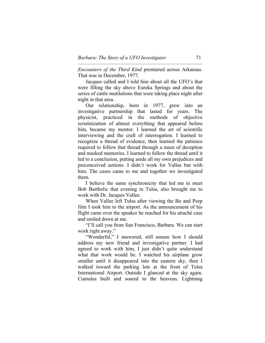*Encounters of the Third Kind* premiered across Arkansas. That was in December, 1977.

Jacques called and I told him about all the UFO's that were filling the sky above Eureka Springs and about the series of cattle mutilations that were taking place night after night in that area.

Our relationship, born in 1977, grew into an investigative partnership that lasted for years. The physicist, practiced in the methods of objective scrutinization of almost everything that appeared before him, became my mentor. I learned the art of scientific interviewing and the craft of interrogation. I learned to recognize a thread of evidence, then learned the patience required to follow that thread through a maze of deception and masked memories. I learned to follow the thread until it led to a conclusion, putting aside all my own prejudices and preconceived notions. I didn't work for Vallee but with him. The cases came to me and together we investigated them.

I believe the same synchronicity that led me to meet Bob Bartholic that evening in Tulsa, also brought me to work with Dr. Jacques Vallee.

When Vallee left Tulsa after viewing the Bo and Peep film I took him to the airport. As the announcement of his flight came over the speaker he reached for his attaché case and smiled down at me.

"I'll call you from San Francisco, Barbara. We can start work right away."

"Wonderful," I answered, still unsure how I should address my new friend and investigative partner. I had agreed to work with him, I just didn't quite understand what that work would be. I watched his airplane grow smaller until it disappeared into the eastern sky, then I walked toward the parking lots at the front of Tulsa International Airport. Outside I glanced at the sky again. Cumulus built and soared to the heavens. Lightning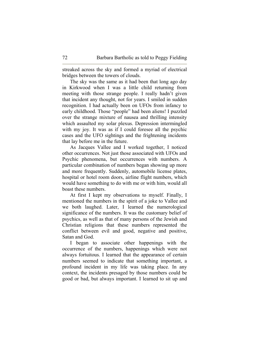streaked across the sky and formed a myriad of electrical bridges between the towers of clouds.

The sky was the same as it had been that long ago day in Kirkwood when I was a little child returning from meeting with those strange people. I really hadn't given that incident any thought, not for years. I smiled in sudden recognition. I had actually been on UFOs from infancy to early childhood. Those "people" had been aliens! I puzzled over the strange mixture of nausea and thrilling intensity which assaulted my solar plexus. Depression intermingled with my joy. It was as if I could foresee all the psychic cases and the UFO sightings and the frightening incidents that lay before me in the future.

As Jacques Vallee and I worked together, I noticed other occurrences. Not just those associated with UFOs and Psychic phenomena, but occurrences with numbers. A particular combination of numbers began showing up more and more frequently. Suddenly, automobile license plates, hospital or hotel room doors, airline flight numbers, which would have something to do with me or with him, would all boast these numbers.

At first I kept my observations to myself. Finally, I mentioned the numbers in the spirit of a joke to Vallee and we both laughed. Later, I learned the numerological significance of the numbers. It was the customary belief of psychics, as well as that of many persons of the Jewish and Christian religions that these numbers represented the conflict between evil and good, negative and positive, Satan and God.

I began to associate other happenings with the occurrence of the numbers, happenings which were not always fortuitous. I learned that the appearance of certain numbers seemed to indicate that something important, a profound incident in my life was taking place. In any context, the incidents presaged by those numbers could be good or bad, but always important. I learned to sit up and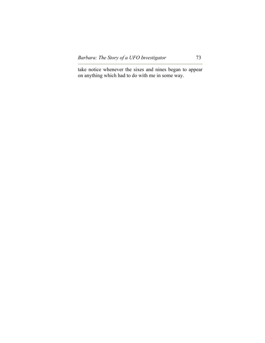take notice whenever the sixes and nines began to appear on anything which had to do with me in some way.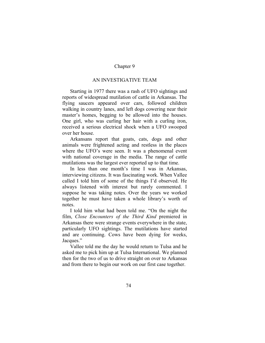## Chapter 9

### AN INVESTIGATIVE TEAM

Starting in 1977 there was a rash of UFO sightings and reports of widespread mutilation of cattle in Arkansas. The flying saucers appeared over cars, followed children walking in country lanes, and left dogs cowering near their master's homes, begging to be allowed into the houses. One girl, who was curling her hair with a curling iron, received a serious electrical shock when a UFO swooped over her house.

Arkansans report that goats, cats, dogs and other animals were frightened acting and restless in the places where the UFO's were seen. It was a phenomenal event with national coverage in the media. The range of cattle mutilations was the largest ever reported up to that time.

In less than one month's time I was in Arkansas, interviewing citizens. It was fascinating work. When Vallee called I told him of some of the things I'd observed. He always listened with interest but rarely commented. I suppose he was taking notes. Over the years we worked together he must have taken a whole library's worth of notes.

I told him what had been told me. "On the night the film, *Close Encounters of the Third Kind* premiered in Arkansas there were strange events everywhere in the state, particularly UFO sightings. The mutilations have started and are continuing. Cows have been dying for weeks, Jacques."

Vallee told me the day he would return to Tulsa and he asked me to pick him up at Tulsa International. We planned then for the two of us to drive straight on over to Arkansas and from there to begin our work on our first case together.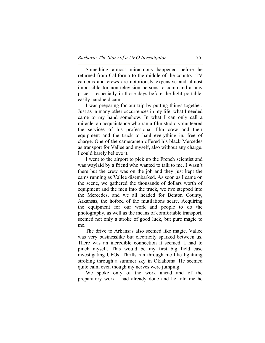Something almost miraculous happened before he returned from California to the middle of the country. TV cameras and crews are notoriously expensive and almost impossible for non-television persons to command at any price ... especially in those days before the light portable, easily handheld cam.

I was preparing for our trip by putting things together. Just as in many other occurrences in my life, what I needed came to my hand somehow. In what I can only call a miracle, an acquaintance who ran a film studio volunteered the services of his professional film crew and their equipment and the truck to haul everything in, free of charge. One of the cameramen offered his black Mercedes as transport for Vallee and myself, also without any charge. I could barely believe it.

I went to the airport to pick up the French scientist and was waylaid by a friend who wanted to talk to me. I wasn't there but the crew was on the job and they just kept the cams running as Vallee disembarked. As soon as I came on the scene, we gathered the thousands of dollars worth of equipment and the men into the truck, we two stepped into the Mercedes, and we all headed for Benton County, Arkansas, the hotbed of the mutilations scare. Acquiring the equipment for our work and people to do the photography, as well as the means of comfortable transport, seemed not only a stroke of good luck, but pure magic to me.

The drive to Arkansas also seemed like magic. Vallee was very businesslike but electricity sparked between us. There was an incredible connection it seemed. I had to pinch myself. This would be my first big field case investigating UFOs. Thrills ran through me like lightning stroking through a summer sky in Oklahoma. He seemed quite calm even though my nerves were jumping.

We spoke only of the work ahead and of the preparatory work I had already done and he told me he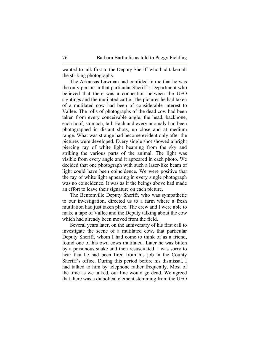wanted to talk first to the Deputy Sheriff who had taken all the striking photographs.

The Arkansas Lawman had confided in me that he was the only person in that particular Sheriff's Department who believed that there was a connection between the UFO sightings and the mutilated cattle. The pictures he had taken of a mutilated cow had been of considerable interest to Vallee. The rolls of photographs of the dead cow had been taken from every conceivable angle; the head, backbone, each hoof, stomach, tail. Each and every anomaly had been photographed in distant shots, up close and at medium range. What was strange had become evident only after the pictures were developed. Every single shot showed a bright piercing ray of white light beaming from the sky and striking the various parts of the animal. The light was visible from every angle and it appeared in each photo. We decided that one photograph with such a laser-like beam of light could have been coincidence. We were positive that the ray of white light appearing in every single photograph was no coincidence. It was as if the beings above had made an effort to leave their signature on each picture.

The Bentonville Deputy Sheriff, who was sympathetic to our investigation, directed us to a farm where a fresh mutilation had just taken place. The crew and I were able to make a tape of Vallee and the Deputy talking about the cow which had already been moved from the field.

Several years later, on the anniversary of his first call to investigate the scene of a mutilated cow, that particular Deputy Sheriff, whom I had come to think of as a friend, found one of his own cows mutilated. Later he was bitten by a poisonous snake and then resuscitated. I was sorry to hear that he had been fired from his job in the County Sheriff's office. During this period before his dismissal, I had talked to him by telephone rather frequently. Most of the time as we talked, our line would go dead. We agreed that there was a diabolical element stemming from the UFO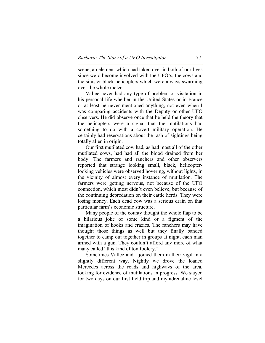scene, an element which had taken over in both of our lives since we'd become involved with the UFO's, the cows and the sinister black helicopters which were always swarming over the whole melee.

Vallee never had any type of problem or visitation in his personal life whether in the United States or in France or at least he never mentioned anything, not even when I was comparing accidents with the Deputy or other UFO observers. He did observe once that he held the theory that the helicopters were a signal that the mutilations had something to do with a covert military operation. He certainly had reservations about the rash of sightings being totally alien in origin.

Our first mutilated cow had, as had most all of the other mutilated cows, had had all the blood drained from her body. The farmers and ranchers and other observers reported that strange looking small, black, helicopterlooking vehicles were observed hovering, without lights, in the vicinity of almost every instance of mutilation. The farmers were getting nervous, not because of the UFO connection, which most didn't even believe, but because of the continuing depredation on their cattle herds. They were losing money. Each dead cow was a serious drain on that particular farm's economic structure.

Many people of the county thought the whole flap to be a hilarious joke of some kind or a figment of the imagination of kooks and crazies. The ranchers may have thought those things as well but they finally banded together to camp out together in groups at night, each man armed with a gun. They couldn't afford any more of what many called "this kind of tomfoolery."

Sometimes Vallee and I joined them in their vigil in a slightly different way. Nightly we drove the loaned Mercedes across the roads and highways of the area, looking for evidence of mutilations in progress. We stayed for two days on our first field trip and my adrenaline level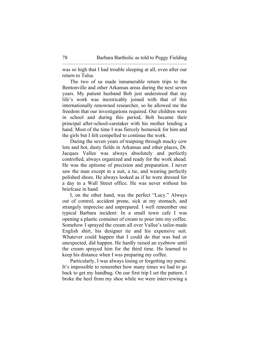was so high that I had trouble sleeping at all, even after our return to Tulsa.

The two of us made innumerable return trips to the Bentonville and other Arkansas areas during the next seven years. My patient husband Bob just understood that my life's work was inextricably joined with that of this internationally renowned researcher, so he allowed me the freedom that our investigations required. Our children were in school and during this period, Bob became their principal after-school-caretaker with his mother lending a hand. Most of the time I was fiercely homesick for him and the girls but I felt compelled to continue the work.

During the seven years of traipsing through mucky cow lots and hot, dusty fields in Arkansas and other places, Dr. Jacques Vallee was always absolutely and perfectly controlled, always organized and ready for the work ahead. He was the epitome of precision and preparation. I never saw the man except in a suit, a tie, and wearing perfectly polished shoes. He always looked as if he were dressed for a day in a Wall Street office. He was never without his briefcase in hand.

I, on the other hand, was the perfect "Lucy." Always out of control, accident prone, sick at my stomach, and strangely imprecise and unprepared. I well remember one typical Barbara incident: In a small town cafe I was opening a plastic container of cream to pour into my coffee. Somehow I sprayed the cream all over Vallee's tailor-made English shirt, his designer tie and his expensive suit. Whatever could happen that I could do that was bad or unexpected, did happen. He hardly raised an eyebrow until the cream sprayed him for the third time. He learned to keep his distance when I was preparing my coffee.

Particularly, I was always losing or forgetting my purse. It's impossible to remember how many times we had to go back to get my handbag. On our first trip I set the pattern. I broke the heel from my shoe while we were interviewing a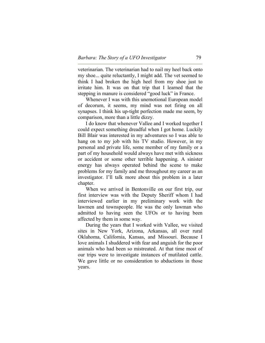veterinarian. The veterinarian had to nail my heel back onto my shoe... quite reluctantly, I might add. The vet seemed to think I had broken the high heel from my shoe just to irritate him. It was on that trip that I learned that the stepping in manure is considered "good luck" in France.

Whenever I was with this unemotional European model of decorum, it seems, my mind was not firing on all synapses. I think his up-tight perfection made me seem, by comparison, more than a little dizzy.

I do know that whenever Vallee and I worked together I could expect something dreadful when I got home. Luckily Bill Blair was interested in my adventures so I was able to hang on to my job with his TV studio. However, in my personal and private life, some member of my family or a part of my household would always have met with sickness or accident or some other terrible happening. A sinister energy has always operated behind the scene to make problems for my family and me throughout my career as an investigator. I'll talk more about this problem in a later chapter.

When we arrived in Bentonville on our first trip, our first interview was with the Deputy Sheriff whom I had interviewed earlier in my preliminary work with the lawmen and townspeople. He was the only lawman who admitted to having seen the UFOs or to having been affected by them in some way.

During the years that I worked with Vallee, we visited sites in New York, Arizona, Arkansas, all over rural Oklahoma, California, Kansas, and Missouri. Because I love animals I shuddered with fear and anguish for the poor animals who had been so mistreated. At that time most of our trips were to investigate instances of mutilated cattle. We gave little or no consideration to abductions in those years.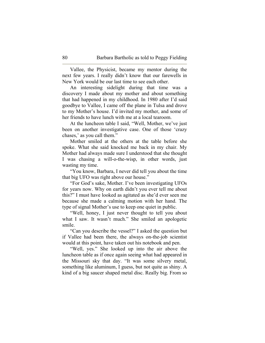Vallee, the Physicist, became my mentor during the next few years. I really didn't know that our farewells in New York would be our last time to see each other.

An interesting sidelight during that time was a discovery I made about my mother and about something that had happened in my childhood. In 1980 after I'd said goodbye to Vallee, I came off the plane in Tulsa and drove to my Mother's house. I'd invited my mother, and some of her friends to have lunch with me at a local tearoom.

At the luncheon table I said, "Well, Mother, we've just been on another investigative case. One of those 'crazy chases,' as you call them."

Mother smiled at the others at the table before she spoke. What she said knocked me back in my chair. My Mother had always made sure I understood that she thought I was chasing a will-o-the-wisp, in other words, just wasting my time.

"You know, Barbara, I never did tell you about the time that big UFO was right above our house."

"For God's sake, Mother. I've been investigating UFOs for years now. Why on earth didn't you ever tell me about this?" I must have looked as agitated as she'd ever seen me because she made a calming motion with her hand. The type of signal Mother's use to keep one quiet in public.

"Well, honey, I just never thought to tell you about what I saw. It wasn't much." She smiled an apologetic smile.

"Can you describe the vessel?" I asked the question but if Vallee had been there, the always on-the-job scientist would at this point, have taken out his notebook and pen.

"Well, yes." She looked up into the air above the luncheon table as if once again seeing what had appeared in the Missouri sky that day. "It was some silvery metal, something like aluminum, I guess, but not quite as shiny. A kind of a big saucer shaped metal disc. Really big. From so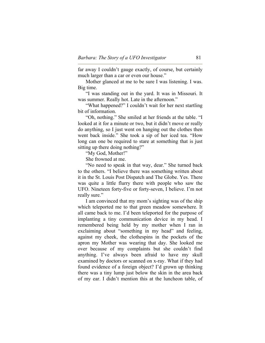far away I couldn't gauge exactly, of course, but certainly much larger than a car or even our house."

Mother glanced at me to be sure I was listening. I was. Big time.

"I was standing out in the yard. It was in Missouri. It was summer. Really hot. Late in the afternoon."

"What happened?" I couldn't wait for her next startling bit of information.

"Oh, nothing." She smiled at her friends at the table. "I looked at it for a minute or two, but it didn't move or really do anything, so I just went on hanging out the clothes then went back inside." She took a sip of her iced tea. "How long can one be required to stare at something that is just sitting up there doing nothing?"

"My God, Mother!"

She frowned at me.

"No need to speak in that way, dear." She turned back to the others. "I believe there was something written about it in the St. Louis Post Dispatch and The Globe. Yes. There was quite a little flurry there with people who saw the UFO. Nineteen forty-five or forty-seven, I believe. I'm not really sure."

I am convinced that my mom's sighting was of the ship which teleported me to that green meadow somewhere. It all came back to me. I'd been teleported for the purpose of implanting a tiny communication device in my head. I remembered being held by my mother when I ran in exclaiming about "something in my head" and feeling, against my cheek, the clothespins in the pockets of the apron my Mother was wearing that day. She looked me over because of my complaints but she couldn't find anything. I've always been afraid to have my skull examined by doctors or scanned on x-ray. What if they had found evidence of a foreign object? I'd grown up thinking there was a tiny lump just below the skin in the area back of my ear. I didn't mention this at the luncheon table, of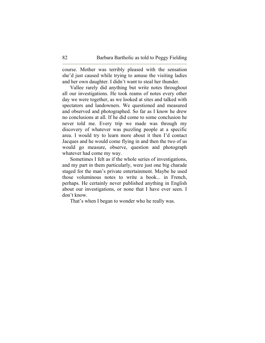course. Mother was terribly pleased with the sensation she'd just caused while trying to amuse the visiting ladies and her own daughter. I didn't want to steal her thunder.

Vallee rarely did anything but write notes throughout all our investigations. He took reams of notes every other day we were together, as we looked at sites and talked with spectators and landowners. We questioned and measured and observed and photographed. So far as I know he drew no conclusions at all. If he did come to some conclusion he never told me. Every trip we made was through my discovery of whatever was puzzling people at a specific area. I would try to learn more about it then I'd contact Jacques and he would come flying in and then the two of us would go measure, observe, question and photograph whatever had come my way.

Sometimes I felt as if the whole series of investigations, and my part in them particularly, were just one big charade staged for the man's private entertainment. Maybe he used those voluminous notes to write a book... in French, perhaps. He certainly never published anything in English about our investigations, or none that I have ever seen. I don't know.

That's when I began to wonder who he really was.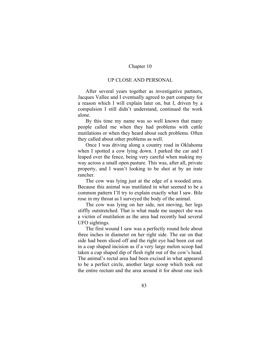# Chapter 10

## UP CLOSE AND PERSONAL

After several years together as investigative partners, Jacques Vallee and I eventually agreed to part company for a reason which I will explain later on, but I, driven by a compulsion I still didn't understand, continued the work alone.

By this time my name was so well known that many people called me when they had problems with cattle mutilations or when they heard about such problems. Often they called about other problems as well.

Once I was driving along a country road in Oklahoma when I spotted a cow lying down. I parked the car and I leaped over the fence, being very careful when making my way across a small open pasture. This was, after all, private property, and I wasn't looking to be shot at by an irate rancher.

The cow was lying just at the edge of a wooded area. Because this animal was mutilated in what seemed to be a common pattern I'll try to explain exactly what I saw. Bile rose in my throat as I surveyed the body of the animal.

The cow was lying on her side, not moving, her legs stiffly outstretched. That is what made me suspect she was a victim of mutilation as the area had recently had several UFO sightings.

The first wound I saw was a perfectly round hole about three inches in diameter on her right side. The ear on that side had been sliced off and the right eye had been cut out in a cup shaped incision as if a very large melon scoop had taken a cup shaped dip of flesh right out of the cow's head. The animal's rectal area had been excised in what appeared to be a perfect circle, another large scoop which took out the entire rectum and the area around it for about one inch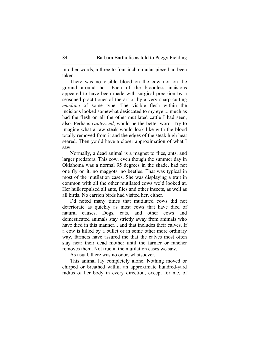in other words, a three to four inch circular piece had been taken.

There was no visible blood on the cow nor on the ground around her. Each of the bloodless incisions appeared to have been made with surgical precision by a seasoned practitioner of the art or by a very sharp cutting *machine* of some type. The visible flesh within the incisions looked somewhat desiccated to my eye ... much as had the flesh on all the other mutilated cattle I had seen, also. Perhaps *cauterized*, would be the better word. Try to imagine what a raw steak would look like with the blood totally removed from it and the edges of the steak high heat seared. Then you'd have a closer approximation of what I saw.

Normally, a dead animal is a magnet to flies, ants, and larger predators. This cow, even though the summer day in Oklahoma was a normal 95 degrees in the shade, had not one fly on it, no maggots, no beetles. That was typical in most of the mutilation cases. She was displaying a trait in common with all the other mutilated cows we'd looked at. Her hulk repulsed all ants, flies and other insects, as well as all birds. No carrion birds had visited her, either.

I'd noted many times that mutilated cows did not deteriorate as quickly as most cows that have died of natural causes. Dogs, cats, and other cows and domesticated animals stay strictly away from animals who have died in this manner... and that includes their calves. If a cow is killed by a bullet or in some other more ordinary way, farmers have assured me that the calves most often stay near their dead mother until the farmer or rancher removes them. Not true in the mutilation cases we saw.

As usual, there was no odor, whatsoever.

This animal lay completely alone. Nothing moved or chirped or breathed within an approximate hundred-yard radius of her body in every direction, except for me, of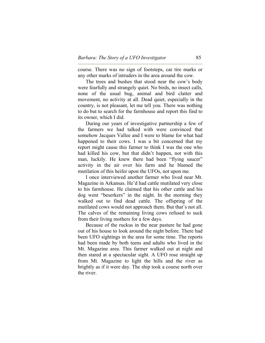course. There was no sign of footsteps, car tire marks or any other marks of intruders in the area around the cow.

The trees and bushes that stood near the cow's body were fearfully and strangely quiet. No birds, no insect calls, none of the usual bug, animal and bird clatter and movement, no activity at all. Dead quiet, especially in the country, is not pleasant, let me tell you. There was nothing to do but to search for the farmhouse and report this find to its owner, which I did.

During our years of investigative partnership a few of the farmers we had talked with were convinced that somehow Jacques Vallee and I were to blame for what had happened to their cows. I was a bit concerned that my report might cause this farmer to think I was the one who had killed his cow, but that didn't happen, not with this man, luckily. He knew there had been "flying saucer" activity in the air over his farm and he blamed the mutilation of this heifer upon the UFOs, not upon me.

I once interviewed another farmer who lived near Mt. Magazine in Arkansas. He'd had cattle mutilated very close to his farmhouse. He claimed that his other cattle and his dog went "beserkers" in the night. In the morning they walked out to find dead cattle. The offspring of the mutilated cows would not approach them. But that's not all. The calves of the remaining living cows refused to suck from their living mothers for a few days.

Because of the ruckus in the near pasture he had gone out of his house to look around the night before. There had been UFO sightings in the area for some time. The reports had been made by both teens and adults who lived in the Mt. Magazine area. This farmer walked out at night and then stared at a spectacular sight. A UFO rose straight up from Mt. Magazine to light the hills and the river as brightly as if it were day. The ship took a course north over the river.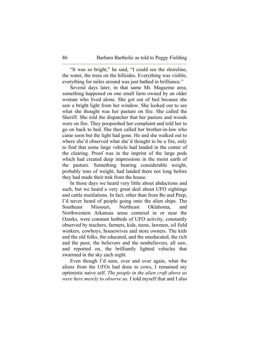"It was so bright," he said, "I could see the shoreline, the water, the trees on the hillsides. Everything was visible, everything for miles around was just bathed in brilliance."

Several days later, in that same Mt. Magazine area, something happened on one small farm owned by an older woman who lived alone. She got out of bed because she saw a bright light from her window. She looked out to see what she thought was her pasture on fire. She called the Sheriff. She told the dispatcher that her pasture and woods were on fire. They poopoohed her complaint and told her to go on back to bed. She then called her brother-in-law who came soon but the light had gone. He and she walked out to where she'd observed what she'd thought to be a fire, only to find that some large vehicle had landed in the center of the clearing. Proof was in the imprint of the large pods which had created deep impressions in the moist earth of the pasture. Something bearing considerable weight, probably tons of weight, had landed there not long before they had made their trek from the house.

In those days we heard very little about abductions and such, but we heard a very great deal about UFO sightings and cattle mutilations. In fact, other than from Bo and Peep, I'd never heard of people going onto the alien ships. The Southeast Missouri, Northeast Oklahoma, and Northwestern Arkansas areas centered in or near the Ozarks, were constant hotbeds of UFO activity, constantly observed by teachers, farmers, kids, teens, lawmen, oil field workers, cowboys, housewives and store owners. The kids and the old folks, the educated, and the uneducated, the rich and the poor, the believers and the nonbelievers, all saw, and reported on, the brilliantly lighted vehicles that swarmed in the sky each night.

Even though I'd seen, over and over again, what the aliens from the UFOs had done to cows, I remained my optimistic naive self. *The people in the alien craft above us were here merely to observe us*. I told myself that and I also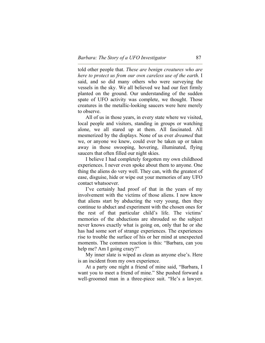told other people that. *These are benign creatures who are here to protect us from our own careless use of the earth*. I said, and so did many others who were surveying the vessels in the sky. We all believed we had our feet firmly planted on the ground. Our understanding of the sudden spate of UFO activity was complete, we thought. Those creatures in the metallic-looking saucers were here merely to observe.

All of us in those years, in every state where we visited, local people and visitors, standing in groups or watching alone, we all stared up at them. All fascinated. All mesmerized by the displays. None of us ever *dreamed* that we, or anyone we knew, could ever be taken up or taken away in those swooping, hovering, illuminated, flying saucers that often filled our night skies.

I believe I had completely forgotten my own childhood experiences. I never even spoke about them to anyone. One thing the aliens do very well. They can, with the greatest of ease, disguise, hide or wipe out your memories of any UFO contact whatsoever.

I've certainly had proof of that in the years of my involvement with the victims of those aliens. I now know that aliens start by abducting the very young, then they continue to abduct and experiment with the chosen ones for the rest of that particular child's life. The victims' memories of the abductions are shrouded so the subject never knows exactly what is going on, only that he or she has had some sort of strange experiences. The experiences rise to trouble the surface of his or her mind at unexpected moments. The common reaction is this: "Barbara, can you help me? Am I going crazy?"

My inner slate is wiped as clean as anyone else's. Here is an incident from my own experience.

At a party one night a friend of mine said, "Barbara, I want you to meet a friend of mine." She pushed forward a well-groomed man in a three-piece suit. "He's a lawyer.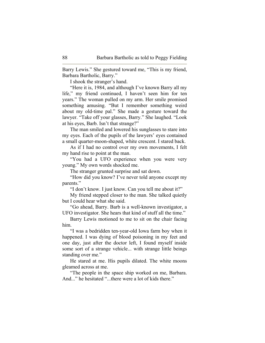Barry Lewis." She gestured toward me, "This is my friend, Barbara Bartholic, Barry."

I shook the stranger's hand.

"Here it is, 1984, and although I've known Barry all my life," my friend continued, I haven't seen him for ten years." The woman pulled on my arm. Her smile promised something amusing. "But I remember something weird about my old-time pal." She made a gesture toward the lawyer. "Take off your glasses, Barry." She laughed. "Look at his eyes, Barb. Isn't that strange?"

The man smiled and lowered his sunglasses to stare into my eyes. Each of the pupils of the lawyers' eyes contained a small quarter-moon-shaped, white crescent. I stared back.

As if I had no control over my own movements, I felt my hand rise to point at the man.

"You had a UFO experience when you were very young." My own words shocked me.

The stranger grunted surprise and sat down.

"How did you know? I've never told anyone except my parents."

"I don't know. I just know. Can you tell me about it?"

My friend stepped closer to the man. She talked quietly but I could hear what she said.

"Go ahead, Barry. Barb is a well-known investigator, a UFO investigator. She hears that kind of stuff all the time."

Barry Lewis motioned to me to sit on the chair facing him.

"I was a bedridden ten-year-old Iowa farm boy when it happened. I was dying of blood poisoning in my feet and one day, just after the doctor left, I found myself inside some sort of a strange vehicle... with strange little beings standing over me."

He stared at me. His pupils dilated. The white moons gleamed across at me.

"The people in the space ship worked on me, Barbara. And..." he hesitated "...there were a lot of kids there."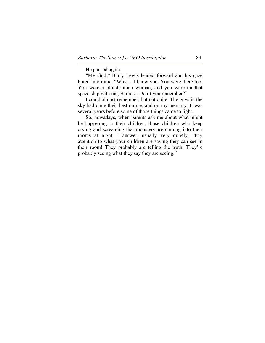He paused again.

"My God." Barry Lewis leaned forward and his gaze bored into mine. "Why… I know you. You were there too. You were a blonde alien woman, and you were on that space ship with me, Barbara. Don't you remember?"

I could almost remember, but not quite. The guys in the sky had done their best on me, and on my memory. It was several years before some of those things came to light.

So, nowadays, when parents ask me about what might be happening to their children, those children who keep crying and screaming that monsters are coming into their rooms at night, I answer, usually very quietly, "Pay attention to what your children are saying they can see in their room! They probably are telling the truth. They're probably seeing what they say they are seeing."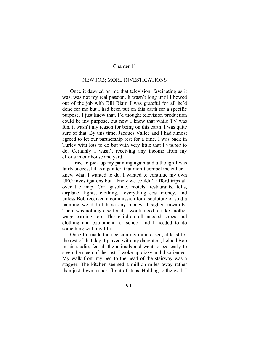# Chapter 11

#### NEW JOB; MORE INVESTIGATIONS

Once it dawned on me that television, fascinating as it was, was not my real passion, it wasn't long until I bowed out of the job with Bill Blair. I was grateful for all he'd done for me but I had been put on this earth for a specific purpose. I just knew that. I'd thought television production could be my purpose, but now I knew that while TV was fun, it wasn't my reason for being on this earth. I was quite sure of that. By this time, Jacques Vallee and I had almost agreed to let our partnership rest for a time. I was back in Turley with lots to do but with very little that I *wanted* to do. Certainly I wasn't receiving any income from my efforts in our house and yard.

I tried to pick up my painting again and although I was fairly successful as a painter, that didn't compel me either. I knew what I wanted to do. I wanted to continue my own UFO investigations but I knew we couldn't afford trips all over the map. Car, gasoline, motels, restaurants, tolls, airplane flights, clothing... everything cost money, and unless Bob received a commission for a sculpture or sold a painting we didn't have any money. I sighed inwardly. There was nothing else for it, I would need to take another wage earning job. The children all needed shoes and clothing and equipment for school and I needed to do something with my life.

Once I'd made the decision my mind eased, at least for the rest of that day. I played with my daughters, helped Bob in his studio, fed all the animals and went to bed early to sleep the sleep of the just. I woke up dizzy and disoriented. My walk from my bed to the head of the stairway was a stagger. The kitchen seemed a million miles away rather than just down a short flight of steps. Holding to the wall, I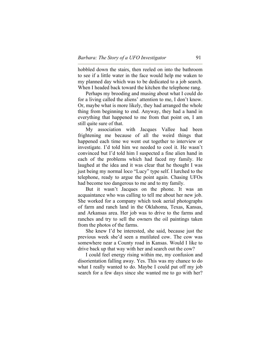hobbled down the stairs, then reeled on into the bathroom to see if a little water in the face would help me waken to my planned day which was to be dedicated to a job search. When I headed back toward the kitchen the telephone rang.

Perhaps my brooding and musing about what I could do for a living called the aliens' attention to me, I don't know. Or, maybe what is more likely, they had arranged the whole thing from beginning to end. Anyway, they had a hand in everything that happened to me from that point on, I am still quite sure of that.

My association with Jacques Vallee had been frightening me because of all the weird things that happened each time we went out together to interview or investigate. I'd told him we needed to cool it. He wasn't convinced but I'd told him I suspected a fine alien hand in each of the problems which had faced my family. He laughed at the idea and it was clear that he thought I was just being my normal loco "Lucy" type self. I lurched to the telephone, ready to argue the point again. Chasing UFOs had become too dangerous to me and to my family.

But it wasn't Jacques on the phone. It was an acquaintance who was calling to tell me about her new job. She worked for a company which took aerial photographs of farm and ranch land in the Oklahoma, Texas, Kansas, and Arkansas area. Her job was to drive to the farms and ranches and try to sell the owners the oil paintings taken from the photos of the farms.

She knew I'd be interested, she said, because just the previous week she'd seen a mutilated cow. The cow was somewhere near a County road in Kansas. Would I like to drive back up that way with her and search out the cow?

I could feel energy rising within me, my confusion and disorientation falling away. Yes. This was my chance to do what I really wanted to do. Maybe I could put off my job search for a few days since she wanted me to go with her?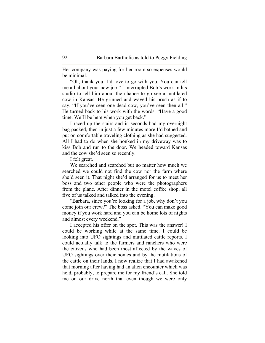Her company was paying for her room so expenses would be minimal.

"Oh, thank you. I'd love to go with you. You can tell me all about your new job." I interrupted Bob's work in his studio to tell him about the chance to go see a mutilated cow in Kansas. He grinned and waved his brush as if to say, "If you've seen one dead cow, you've seen then all." He turned back to his work with the words, "Have a good time. We'll be here when you get back."

I raced up the stairs and in seconds had my overnight bag packed, then in just a few minutes more I'd bathed and put on comfortable traveling clothing as she had suggested. All I had to do when she honked in my driveway was to kiss Bob and run to the door. We headed toward Kansas and the cow she'd seen so recently.

I felt great.

We searched and searched but no matter how much we searched we could not find the cow nor the farm where she'd seen it. That night she'd arranged for us to meet her boss and two other people who were the photographers from the plane. After dinner in the motel coffee shop, all five of us talked and talked into the evening.

"Barbara, since you're looking for a job, why don't you come join our crew?" The boss asked. "You can make good money if you work hard and you can be home lots of nights and almost every weekend."

I accepted his offer on the spot. This was the answer! I could be working while at the same time. I could be looking into UFO sightings and mutilated cattle reports. I could actually talk to the farmers and ranchers who were the citizens who had been most affected by the waves of UFO sightings over their homes and by the mutilations of the cattle on their lands. I now realize that I had awakened that morning after having had an alien encounter which was held, probably, to prepare me for my friend's call. She told me on our drive north that even though we were only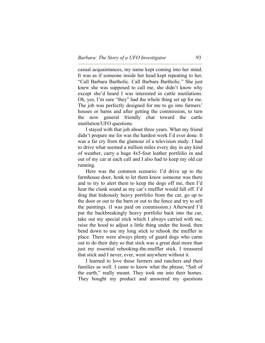casual acquaintances, my name kept coming into her mind. It was as if someone inside her head kept repeating to her, "Call Barbara Bartholic. Call Barbara Bartholic." She just knew she was supposed to call me, she didn't know why except she'd heard I was interested in cattle mutilations. Oh, yes, I'm sure "they" had the whole thing set up for me. The job was perfectly designed for me to go into farmers' houses or barns and after getting the commission, to turn the now general friendly chat toward the cattle mutilation/UFO questions.

I stayed with that job about three years. What my friend didn't prepare me for was the hardest work I'd ever done. It was a far cry from the glamour of a television study. I had to drive what seemed a million miles every day in any kind of weather, carry a huge 4x5-foot leather portfolio in and out of my car at each call and I also had to keep my old car running.

Here was the common scenario: I'd drive up to the farmhouse door, honk to let them know someone was there and to try to alert them to keep the dogs off me, then I'd hear the clunk sound as my car's muffler would fall off. I'd drag that hideously heavy portfolio from the car, go up to the door or out to the barn or out to the fence and try to sell the paintings. (I was paid on commission.) Afterward I'd put the backbreakingly heavy portfolio back into the car, take out my special stick which I always carried with me, raise the hood to adjust a little thing under the hood, then bend down to use my long stick to rehook the muffler in place. There were always plenty of guard dogs who came out to do their duty so that stick was a great deal more than just my essential rehooking-the-muffler stick. I treasured that stick and I never, ever, went anywhere without it.

I learned to love those farmers and ranchers and their families as well. I came to know what the phrase, "Salt of the earth," really meant. They took me into their homes. They bought my product and answered my questions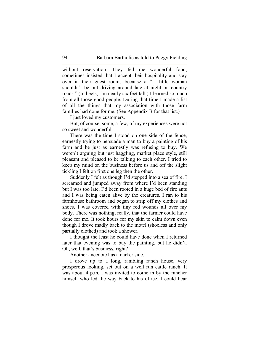without reservation. They fed me wonderful food, sometimes insisted that I accept their hospitality and stay over in their guest rooms because a "... little woman shouldn't be out driving around late at night on country roads." (In heels, I'm nearly six feet tall.) I learned so much from all those good people. During that time I made a list of all the things that my association with those farm families had done for me. (See Appendix B for that list.)

I just loved my customers.

But, of course, some, a few, of my experiences were not so sweet and wonderful.

There was the time I stood on one side of the fence, earnestly trying to persuade a man to buy a painting of his farm and he just as earnestly was refusing to buy. We weren't arguing but just haggling, market place style, still pleasant and pleased to be talking to each other. I tried to keep my mind on the business before us and off the slight tickling I felt on first one leg then the other.

Suddenly I felt as though I'd stepped into a sea of fire. I screamed and jumped away from where I'd been standing but I was too late. I'd been rooted in a huge bed of fire ants and I was being eaten alive by the creatures. I ran to his farmhouse bathroom and began to strip off my clothes and shoes. I was covered with tiny red wounds all over my body. There was nothing, really, that the farmer could have done for me. It took hours for my skin to calm down even though I drove madly back to the motel (shoeless and only partially clothed) and took a shower.

I thought the least he could have done when I returned later that evening was to buy the painting, but he didn't. Oh, well, that's business, right?

Another anecdote has a darker side.

I drove up to a long, rambling ranch house, very prosperous looking, set out on a well run cattle ranch. It was about 4 p.m. I was invited to come in by the rancher himself who led the way back to his office. I could hear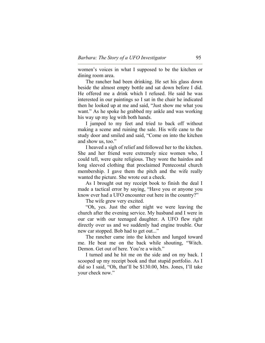women's voices in what I supposed to be the kitchen or dining room area.

The rancher had been drinking. He set his glass down beside the almost empty bottle and sat down before I did. He offered me a drink which I refused. He said he was interested in our paintings so I sat in the chair he indicated then he looked up at me and said, "Just show me what you want." As he spoke he grabbed my ankle and was working his way up my leg with both hands.

I jumped to my feet and tried to back off without making a scene and ruining the sale. His wife cane to the study door and smiled and said, "Come on into the kitchen and show us, too."

I heaved a sigh of relief and followed her to the kitchen. She and her friend were extremely nice women who, I could tell, were quite religious. They wore the hairdos and long sleeved clothing that proclaimed Pentecostal church membership. I gave them the pitch and the wife really wanted the picture. She wrote out a check.

As I brought out my receipt book to finish the deal I made a tactical error by saying, "Have you or anyone you know ever had a UFO encounter out here in the country?"

The wife grew very excited.

"Oh, yes. Just the other night we were leaving the church after the evening service. My husband and I were in our car with our teenaged daughter. A UFO flew right directly over us and we suddenly had engine trouble. Our new car stopped. Bob had to get out..."

The rancher came into the kitchen and lunged toward me. He beat me on the back while shouting, "Witch. Demon. Get out of here. You're a witch."

I turned and he hit me on the side and on my back. I scooped up my receipt book and that stupid portfolio. As I did so I said, "Oh, that'll be \$130.00, Mrs. Jones, I'll take your check now."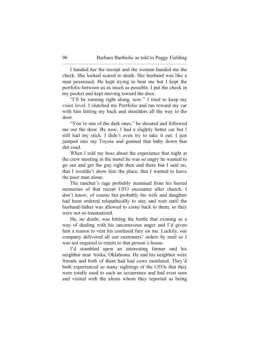I handed her the receipt and the woman handed me the check. She looked scared to death. Her husband was like a man possessed. He kept trying to beat me but I kept the portfolio between us as much as possible. I put the check in my pocket and kept moving toward the door.

"I'll be running right along, now." I tried to keep my voice level. I clutched my Portfolio and ran toward my car with him hitting my back and shoulders all the way to the door.

"You're one of the dark ones," he shouted and followed me out the door. By now, I had a slightly better car but I still had my stick. I didn't even try to take it out. I just jumped into my Toyota and gunned that baby down that dirt road.

When I told my boss about the experience that night at the crew meeting in the motel he was so angry he wanted to go out and get the guy right then and there but I said no, that I wouldn't show him the place, that I wanted to leave the poor man alone.

The rancher's rage probably stemmed from his buried memories of that recent UFO encounter after church. I don't know, of course but probably his wife and daughter had been ordered telepathically to stay and wait until the husband-father was allowed to come back to them, so they were not so traumatized.

He, no doubt, was hitting the bottle that evening as a way of dealing with his unconscious anger and I'd given him a reason to vent his confused fury on me. Luckily, our company delivered all our customers' orders by mail so I was not required to return to that person's house.

I'd stumbled upon an interesting farmer and his neighbor near Atoka, Oklahoma. He and his neighbor were friends and both of them had had cows mutilated. They'd both experienced so many sightings of the UFOs that they were totally used to such an occurrence and had even seen and visited with the aliens whom they reported as being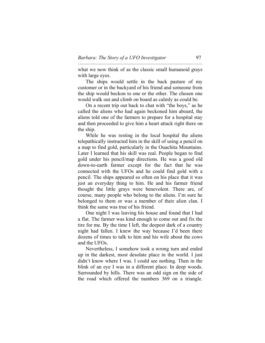what we now think of as the classic small humanoid grays with large eyes.

The ships would settle in the back pasture of my customer or in the backyard of his friend and someone from the ship would beckon to one or the other. The chosen one would walk out and climb on board as calmly as could be.

On a recent trip out back to chat with "the boys," as he called the aliens who had again beckoned him aboard, the aliens told one of the farmers to prepare for a hospital stay and then proceeded to give him a heart attack right there on the ship.

While he was resting in the local hospital the aliens telepathically instructed him in the skill of using a pencil on a map to find gold, particularly in the Ouachita Mountains. Later I learned that his skill was real. People began to find gold under his pencil/map directions. He was a good old down-to-earth farmer except for the fact that he was connected with the UFOs and he could find gold with a pencil. The ships appeared so often on his place that it was just an everyday thing to him. He and his farmer friend thought the little grays were benevolent. There are, of course, many people who belong to the aliens. I'm sure he belonged to them or was a member of their alien clan. I think the same was true of his friend.

One night I was leaving his house and found that I had a flat. The farmer was kind enough to come out and fix the tire for me. By the time I left, the deepest dark of a country night had fallen. I knew the way because I'd been there dozens of times to talk to him and his wife about the cows and the UFOs.

Nevertheless, I somehow took a wrong turn and ended up in the darkest, most desolate place in the world. I just didn't know where I was. I could see nothing. Then in the blink of an eye I was in a different place. In deep woods. Surrounded by hills. There was an odd sign on the side of the road which offered the numbers 369 on a triangle.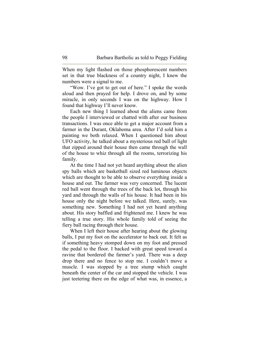When my light flashed on those phosphorescent numbers set in that true blackness of a country night, I knew the numbers were a signal to me.

"Wow. I've got to get out of here." I spoke the words aloud and then prayed for help. I drove on, and by some miracle, in only seconds I was on the highway. How I found that highway I'll never know.

Each new thing I learned about the aliens came from the people I interviewed or chatted with after our business transactions. I was once able to get a major account from a farmer in the Durant, Oklahoma area. After I'd sold him a painting we both relaxed. When I questioned him about UFO activity, he talked about a mysterious red ball of light that zipped around their house then came through the wall of the house to whiz through all the rooms, terrorizing his family.

At the time I had not yet heard anything about the alien spy balls which are basketball sized red luminous objects which are thought to be able to observe everything inside a house and out. The farmer was very concerned. The lucent red ball went through the trees of the back lot, through his yard and through the walls of his house. It had been in his house only the night before we talked. Here, surely, was something new. Something I had not yet heard anything about. His story baffled and frightened me. I knew he was telling a true story. His whole family told of seeing the fiery ball racing through their house.

When I left their house after hearing about the glowing balls, I put my foot on the accelerator to back out. It felt as if something heavy stomped down on my foot and pressed the pedal to the floor. I backed with great speed toward a ravine that bordered the farmer's yard. There was a deep drop there and no fence to stop me. I couldn't move a muscle. I was stopped by a tree stump which caught beneath the center of the car and stopped the vehicle. I was just teetering there on the edge of what was, in essence, a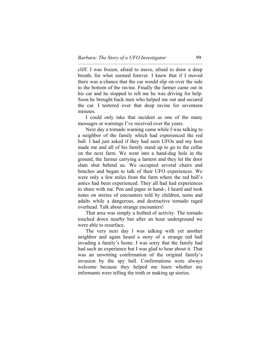cliff. I was frozen, afraid to move, afraid to draw a deep breath, for what seemed forever. I knew that if I moved there was a chance that the car would slip on over the side to the bottom of the ravine. Finally the farmer came out in his car and he stopped to tell me he was driving for help. Soon he brought back men who helped me out and secured the car. I teetered over that deep ravine for seventeen minutes.

I could only take that incident as one of the many messages or warnings I've received over the years.

Next day a tornado warning came while I was talking to a neighbor of the family which had experienced the red ball. I had just asked if they had seen UFOs and my host made me and all of his family stand up to go to the cellar on the next farm. We went into a hand-dug hole in the ground, the farmer carrying a lantern and they let the door slam shut behind us. We occupied several chairs and benches and began to talk of their UFO experiences. We were only a few miles from the farm where the red ball's antics had been experienced. They all had had experiences to share with me. Pen and paper in hand-, I heard and took notes on stories of encounters told by children, teens and adults while a dangerous, and destructive tornado raged overhead. Talk about strange encounters!

That area was simply a hotbed of activity. The tornado touched down nearby but after an hour underground we were able to resurface.

The very next day I was talking with yet another neighbor and again heard a story of a strange red ball invading a family's home. I was sorry that the family had had such an experience but I was glad to hear about it. That was an unwitting confirmation of the original family's invasion by the spy ball. Confirmations were always welcome because they helped me learn whether my informants were telling the truth or making up stories.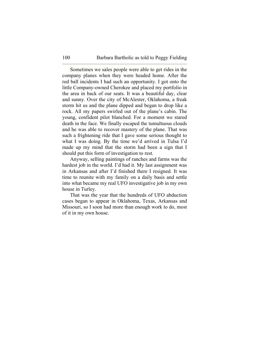Sometimes we sales people were able to get rides in the company planes when they were headed home. After the red ball incidents I had such an opportunity. I got onto the little Company-owned Cherokee and placed my portfolio in the area in back of our seats. It was a beautiful day, clear and sunny. Over the city of McAlester, Oklahoma, a freak storm hit us and the plane dipped and began to drop like a rock. All my papers swirled out of the plane's cabin. The young, confident pilot blanched. For a moment we stared death in the face. We finally escaped the tumultuous clouds and he was able to recover mastery of the plane. That was such a frightening ride that I gave some serious thought to what I was doing. By the time we'd arrived in Tulsa I'd made up my mind that the storm had been a sign that I should put this form of investigation to rest.

Anyway, selling paintings of ranches and farms was the hardest job in the world. I'd had it. My last assignment was in Arkansas and after I'd finished there I resigned. It was time to reunite with my family on a daily basis and settle into what became my real UFO investigative job in my own house in Turley.

That was the year that the hundreds of UFO abduction cases began to appear in Oklahoma, Texas, Arkansas and Missouri, so I soon had more than enough work to do, most of it in my own house.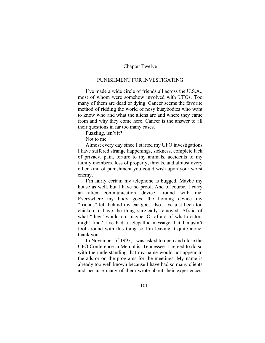# Chapter Twelve

### PUNISHMENT FOR INVESTIGATING

I've made a wide circle of friends all across the U.S.A., most of whom were somehow involved with UFOs. Too many of them are dead or dying. Cancer seems the favorite method of ridding the world of nosy busybodies who want to know who and what the aliens are and where they came from and why they come here. Cancer is the answer to all their questions in far too many cases.

Puzzling, isn't it?

Not to me.

Almost every day since I started my UFO investigations I have suffered strange happenings, sickness, complete lack of privacy, pain, torture to my animals, accidents to my family members, loss of property, threats, and almost every other kind of punishment you could wish upon your worst enemy.

I'm fairly certain my telephone is bugged. Maybe my house as well, but I have no proof. And of course, I carry an alien communication device around with me. Everywhere my body goes, the homing device my "friends" left behind my ear goes also. I've just been too chicken to have the thing surgically removed. Afraid of what "they" would do, maybe. Or afraid of what doctors might find? I've had a telepathic message that I mustn't fool around with this thing so I'm leaving it quite alone, thank you.

In November of 1997, I was asked to open and close the UFO Conference in Memphis, Tennessee. I agreed to do so with the understanding that my name would not appear in the ads or on the programs for the meetings. My name is already too well known because I have had so many clients and because many of them wrote about their experiences,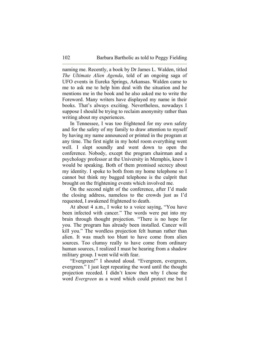naming me. Recently, a book by Dr James L. Walden, titled *The Ultimate Alien Agenda*, told of an ongoing saga of UFO events in Eureka Springs, Arkansas. Walden came to me to ask me to help him deal with the situation and he mentions me in the book and he also asked me to write the Foreword. Many writers have displayed my name in their books. That's always exciting. Nevertheless, nowadays I suppose I should be trying to reclaim anonymity rather than writing about my experiences.

In Tennessee, I was too frightened for my own safety and for the safety of my family to draw attention to myself by having my name announced or printed in the program at any time. The first night in my hotel room everything went well. I slept soundly and went down to open the conference. Nobody, except the program chairman and a psychology professor at the University in Memphis, knew I would be speaking. Both of them promised secrecy about my identity. I spoke to both from my home telephone so I cannot but think my bugged telephone is the culprit that brought on the frightening events which involved me.

On the second night of the conference, after I'd made the closing address, nameless to the crowds just as I'd requested, I awakened frightened to death.

At about 4 a.m., I woke to a voice saying, "You have been infected with cancer." The words were put into my brain through thought projection. "There is no hope for you. The program has already been installed. Cancer will kill you." The wordless projection felt human rather than alien. It was much too blunt to have come from alien sources. Too clumsy really to have come from ordinary human sources, I realized I must be hearing from a shadow military group. I went wild with fear.

"Evergreen!" I shouted aloud. "Evergreen, evergreen, evergreen." I just kept repeating the word until the thought projection receded. I didn't know then why I chose the word *Evergreen* as a word which could protect me but I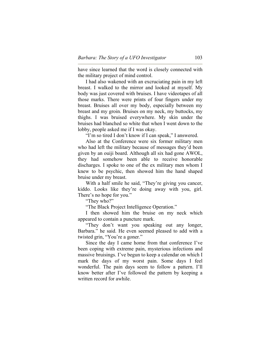have since learned that the word is closely connected with the military project of mind control.

I had also wakened with an excruciating pain in my left breast. I walked to the mirror and looked at myself. My body was just covered with bruises. I have videotapes of all those marks. There were prints of four fingers under my breast. Bruises all over my body, especially between my breast and my groin. Bruises on my neck, my buttocks, my thighs. I was bruised everywhere. My skin under the bruises had blanched so white that when I went down to the lobby, people asked me if I was okay.

"I'm so tired I don't know if I can speak," I answered.

Also at the Conference were six former military men who had left the military because of messages they'd been given by an ouiji board. Although all six had gone AWOL, they had somehow been able to receive honorable discharges. I spoke to one of the ex military men whom I knew to be psychic, then showed him the hand shaped bruise under my breast.

With a half smile he said, "They're giving you cancer, kiddo. Looks like they're doing away with you, girl. There's no hope for you."

"They who?"

"The Black Project Intelligence Operation."

I then showed him the bruise on my neck which appeared to contain a puncture mark.

"They don't want you speaking out any longer, Barbara." he said. He even seemed pleased to add with a twisted grin, "You're a goner."

Since the day I came home from that conference I've been coping with extreme pain, mysterious infections and massive bruisings. I've begun to keep a calendar on which I mark the days of my worst pain. Some days I feel wonderful. The pain days seem to follow a pattern. I'll know better after I've followed the pattern by keeping a written record for awhile.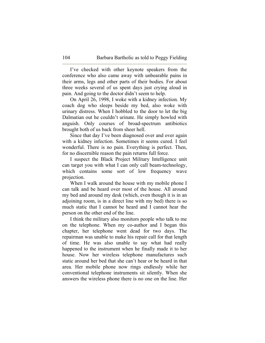I've checked with other keynote speakers from the conference who also came away with unbearable pains in their arms, legs and other parts of their bodies. For about three weeks several of us spent days just crying aloud in pain. And going to the doctor didn't seem to help.

On April 26, 1998, I woke with a kidney infection. My coach dog who sleeps beside my bed, also woke with urinary distress. When I hobbled to the door to let the big Dalmatian out he couldn't urinate. He simply howled with anguish. Only courses of broad-spectrum antibiotics brought both of us back from sheer hell.

Since that day I've been diagnosed over and over again with a kidney infection. Sometimes it seems cured. I feel wonderful. There is no pain. Everything is perfect. Then, for no discernible reason the pain returns full force.

I suspect the Black Project Military Intelligence unit can target you with what I can only call beam-technology, which contains some sort of low frequency wave projection.

When I walk around the house with my mobile phone I can talk and be heard over most of the house. All around my bed and around my desk (which, even though it is in an adjoining room, is in a direct line with my bed) there is so much static that I cannot be heard and I cannot hear the person on the other end of the line.

I think the military also monitors people who talk to me on the telephone. When my co-author and I began this chapter, her telephone went dead for two days. The repairman was unable to make his repair call for that length of time. He was also unable to say what had really happened to the instrument when he finally made it to her house. Now her wireless telephone manufactures such static around her bed that she can't hear or be heard in that area. Her mobile phone now rings endlessly while her conventional telephone instruments sit silently. When she answers the wireless phone there is no one on the line. Her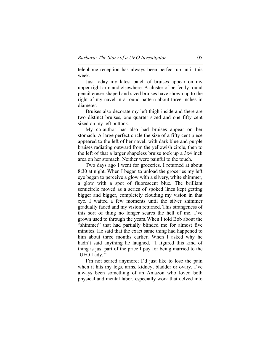telephone reception has always been perfect up until this week.

Just today my latest batch of bruises appear on my upper right arm and elsewhere. A cluster of perfectly round pencil eraser shaped and sized bruises have shown up to the right of my navel in a round pattern about three inches in diameter.

Bruises also decorate my left thigh inside and there are two distinct bruises, one quarter sized and one fifty cent sized on my left buttock.

My co-author has also had bruises appear on her stomach. A large perfect circle the size of a fifty cent piece appeared to the left of her navel, with dark blue and purple bruises radiating outward from the yellowish circle, then to the left of that a larger shapeless bruise took up a 3x4 inch area on her stomach. Neither were painful to the touch.

Two days ago I went for groceries. I returned at about 8:30 at night. When I began to unload the groceries my left eye began to perceive a glow with a silvery,white shimmer, a glow with a spot of fluorescent blue. The brilliant semicircle moved as a series of spoked lines kept getting bigger and bigger, completely clouding my vision in that eye. I waited a few moments until the silver shimmer gradually faded and my vision returned. This strangeness of this sort of thing no longer scares the hell of me. I've grown used to through the years.When I told Bob about the "shimmer" that had partially blinded me for almost five minutes. He said that the exact same thing had happened to him about three months earlier. When I asked why he hadn't said anything he laughed. "I figured this kind of thing is just part of the price I pay for being married to the 'UFO Lady.'"

I'm not scared anymore; I'd just like to lose the pain when it hits my legs, arms, kidney, bladder or ovary. I've always been something of an Amazon who loved both physical and mental labor, especially work that delved into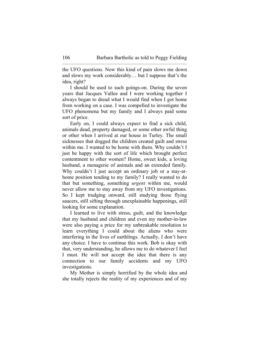the UFO questions. Now this kind of pain slows me down and slows my work considerably… but I suppose that's the idea, right?

I should be used to such goings-on. During the seven years that Jacques Vallee and I were working together I always began to dread what I would find when I got home from working on a case. I was compelled to investigate the UFO phenomena but my family and I always paid some sort of price.

Early on, I could always expect to find a sick child, animals dead, property damaged, or some other awful thing or other when I arrived at our house in Turley. The small sicknesses that dogged the children created guilt and stress within me. I wanted to be home with them. Why couldn't I just be happy with the sort of life which brought perfect contentment to other women? Home, sweet kids, a loving husband, a menagerie of animals and an extended family. Why couldn't I just accept an ordinary job or a stay-athome position tending to my family? I really wanted to do that but something, something *urgent* within me, would never allow me to stay away from my UFO investigations. So I kept trudging onward, still studying those flying saucers, still sifting through unexplainable happenings, still looking for some explanation.

I learned to live with stress, guilt, and the knowledge that my husband and children and even my mother-in-law were also paying a price for my unbreakable resolution to learn everything I could about the aliens who were interfering in the lives of earthlings. Actually, I don't have any choice. I have to continue this work. Bob is okay with that, very understanding, he allows me to do whatever I feel I must. He will not accept the idea that there is any connection to our family accidents and my UFO investigations.

My Mother is simply horrified by the whole idea and she totally rejects the reality of my experiences and of my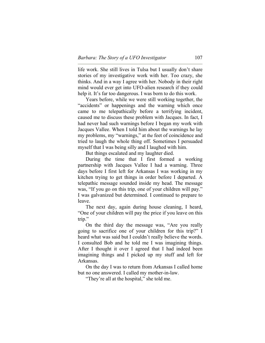life work. She still lives in Tulsa but I usually don't share stories of my investigative work with her. Too crazy, she thinks. And in a way I agree with her. Nobody in their right mind would ever get into UFO-alien research if they could help it. It's far too dangerous. I was born to do this work.

Years before, while we were still working together, the "accidents" or happenings and the warning which once came to me telepathically before a terrifying incident, caused me to discuss these problem with Jacques. In fact, I had never had such warnings before I began my work with Jacques Vallee. When I told him about the warnings he lay my problems, my "warnings," at the feet of coincidence and tried to laugh the whole thing off. Sometimes I persuaded myself that I was being silly and I laughed with him.

But things escalated and my laughter died.

During the time that I first formed a working partnership with Jacques Vallee I had a warning. Three days before I first left for Arkansas I was working in my kitchen trying to get things in order before I departed. A telepathic message sounded inside my head. The message was, "If you go on this trip, one of your children will pay." I was galvanized but determined. I continued to prepare to leave.

The next day, again during house cleaning, I heard, "One of your children will pay the price if you leave on this trip."

On the third day the message was, "Are you really going to sacrifice one of your children for this trip?" I heard what was said but I couldn't really believe the words. I consulted Bob and he told me I was imagining things. After I thought it over I agreed that I had indeed been imagining things and I picked up my stuff and left for Arkansas.

On the day I was to return from Arkansas I called home but no one answered. I called my mother-in-law.

"They're all at the hospital," she told me.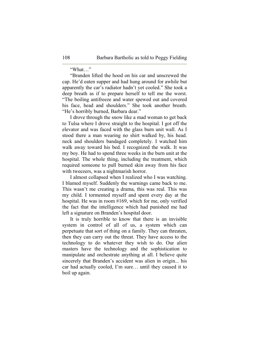"What…"

"Branden lifted the hood on his car and unscrewed the cap. He'd eaten supper and had hung around for awhile but apparently the car's radiator hadn't yet cooled." She took a deep breath as if to prepare herself to tell me the worst. "The boiling antifreeze and water spewed out and covered his face, head and shoulders." She took another breath. "He's horribly burned, Barbara dear."

I drove through the snow like a mad woman to get back to Tulsa where I drove straight to the hospital. I got off the elevator and was faced with the glass burn unit wall. As I stood there a man wearing no shirt walked by, his head. neck and shoulders bandaged completely. I watched him walk away toward his bed. I recognized the walk. It was my boy. He had to spend three weeks in the burn unit at the hospital. The whole thing, including the treatment, which required someone to pull burned skin away from his face with tweezers, was a nightmarish horror.

I almost collapsed when I realized who I was watching. I blamed myself. Suddenly the warnings came back to me. This wasn't me creating a drama, this was real. This was my child. I tormented myself and spent every day at the hospital. He was in room #169, which for me, only verified the fact that the intelligence which had punished me had left a signature on Branden's hospital door.

It is truly horrible to know that there is an invisible system in control of all of us, a system which can perpetuate that sort of thing on a family. They can threaten, then they can carry out the threat. They have access to the technology to do whatever they wish to do. Our alien masters have the technology and the sophistication to manipulate and orchestrate anything at all. I believe quite sincerely that Branden's accident was alien in origin... his car had actually cooled, I'm sure… until they caused it to boil up again.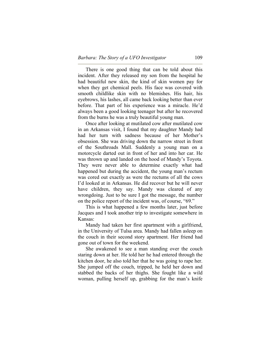There is one good thing that can be told about this incident. After they released my son from the hospital he had beautiful new skin, the kind of skin women pay for when they get chemical peels. His face was covered with smooth childlike skin with no blemishes. His hair, his eyebrows, his lashes, all came back looking better than ever before. That part of his experience was a miracle. He'd always been a good looking teenager but after he recovered from the burns he was a truly beautiful young man.

Once after looking at mutilated cow after mutilated cow in an Arkansas visit, I found that my daughter Mandy had had her turn with sadness because of her Mother's obsession. She was driving down the narrow street in front of the Southroads Mall. Suddenly a young man on a motorcycle darted out in front of her and into her car. He was thrown up and landed on the hood of Mandy's Toyota. They were never able to determine exactly what had happened but during the accident, the young man's rectum was cored out exactly as were the rectums of all the cows I'd looked at in Arkansas. He did recover but he will never have children, they say. Mandy was cleared of any wrongdoing. Just to be sure I got the message, the number on the police report of the incident was, of course, "69."

This is what happened a few months later, just before Jacques and I took another trip to investigate somewhere in Kansas:

Mandy had taken her first apartment with a girlfriend, in the University of Tulsa area. Mandy had fallen asleep on the couch in their second story apartment. Her friend had gone out of town for the weekend.

She awakened to see a man standing over the couch staring down at her. He told her he had entered through the kitchen door, he also told her that he was going to rape her. She jumped off the couch, tripped, he held her down and stabbed the backs of her thighs. She fought like a wild woman, pulling herself up, grabbing for the man's knife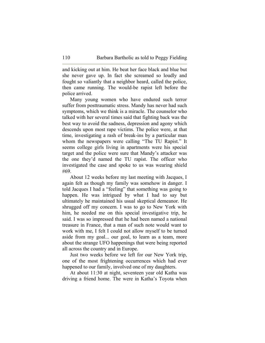and kicking out at him. He beat her face black and blue but she never gave up. In fact she screamed so loudly and fought so valiantly that a neighbor heard, called the police, then came running. The would-be rapist left before the police arrived.

Many young women who have endured such terror suffer from posttraumatic stress. Mandy has never had such symptoms, which we think is a miracle. The counselor who talked with her several times said that fighting back was the best way to avoid the sadness, depression and agony which descends upon most rape victims. The police were, at that time, investigating a rash of break-ins by a particular man whom the newspapers were calling "The TU Rapist." It seems college girls living in apartments were his special target and the police were sure that Mandy's attacker was the one they'd named the TU rapist. The officer who investigated the case and spoke to us was wearing shield #69.

About 12 weeks before my last meeting with Jacques, I again felt as though my family was somehow in danger. I told Jacques I had a "feeling" that something was going to happen. He was intrigued by what I had to say but ultimately he maintained his usual skeptical demeanor. He shrugged off my concern. I was to go to New York with him, he needed me on this special investigative trip, he said. I was so impressed that he had been named a national treasure in France, that a man of such note would want to work with me, I felt I could not allow myself to be turned aside from my goal... our goal, to learn as a team, more about the strange UFO happenings that were being reported all across the country and in Europe.

Just two weeks before we left for our New York trip, one of the most frightening occurrences which had ever happened to our family, involved one of my daughters.

At about 11:30 at night, seventeen year old Katha was driving a friend home. The were in Katha's Toyota when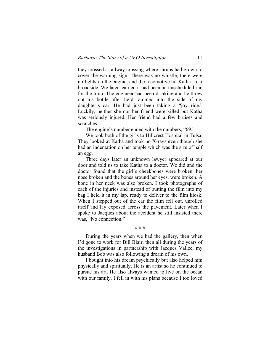they crossed a railway crossing where shrubs had grown to cover the warning sign. There was no whistle, there were no lights on the engine, and the locomotive hit Katha's car broadside. We later learned it had been an unscheduled run for the train. The engineer had been drinking and he threw out his bottle after he'd rammed into the side of my daughter's car. He had just been taking a "joy ride." Luckily, neither she nor her friend were killed but Katha was seriously injured. Her friend had a few bruises and scratches.

The engine's number ended with the numbers, "69."

We took both of the girls to Hillcrest Hospital in Tulsa. They looked at Katha and took no X-rays even though she had an indentation on her temple which was the size of half an egg.

Three days later an unknown lawyer appeared at our door and told us to take Katha to a doctor. We did and the doctor found that the girl's cheekbones were broken, her nose broken and the bones around her eyes, were broken. A bone in her neck was also broken. I took photographs of each of the injuries and instead of putting the film into my bag I held it in my lap, ready to deliver to the film kiosk. When I stepped out of the car the film fell out, unrolled itself and lay exposed across the pavement. Later when I spoke to Jacques about the accident he still insisted there was, "No connection."

## # # #

During the years when we had the gallery, then when I'd gone to work for Bill Blair, then all during the years of the investigations in partnership with Jacques Vallee, my husband Bob was also following a dream of his own.

I bought into his dream psychically but also helped him physically and spiritually. He is an artist so he continued to pursue his art. He also always wanted to live on the ocean with our family. I fell in with his plans because I too loved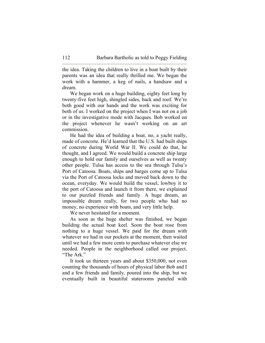the idea. Taking the children to live in a boat built by their parents was an idea that really thrilled me. We began the work with a hammer, a keg of nails, a handsaw and a dream.

We began work on a huge building, eighty feet long by twenty-five feet high, shingled sides, back and roof. We're both good with our hands and the work was exciting for both of us. I worked on the project when I was not on a job or in the investigative mode with Jacques. Bob worked on the project whenever he wasn't working on an art commission.

He had the idea of building a boat, no, a yacht really, made of concrete. He'd learned that the U.S. had built ships of concrete during World War II. We could do that, he thought, and I agreed. We would build a concrete ship large enough to hold our family and ourselves as well as twenty other people. Tulsa has access to the sea through Tulsa's Port of Catoosa. Boats, ships and barges come up to Tulsa via the Port of Catoosa locks and moved back down to the ocean, everyday. We would build the vessel, lowboy it to the port of Catoosa and launch it from there, we explained to our puzzled friends and family. A huge dream, an impossible dream really, for two people who had no money, no experience with boats, and very little help.

We never hesitated for a moment.

As soon as the huge shelter was finished, we began building the actual boat keel. Soon the boat rose from nothing to a huge vessel. We paid for the dream with whatever we had in our pockets at the moment, then waited until we had a few more cents to purchase whatever else we needed. People in the neighborhood called our project, "The Ark."

It took us thirteen years and about \$350,000, not even counting the thousands of hours of physical labor Bob and I and a few friends and family, poured into the ship, but we eventually built in beautiful staterooms paneled with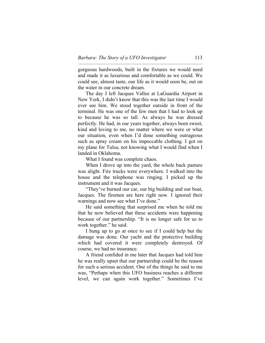gorgeous hardwoods, built in the fixtures we would need and made it as luxurious and comfortable as we could. We could see, almost taste, our life as it would soon be, out on the water in our concrete dream.

The day I left Jacques Vallee at LaGuardia Airport in New York, I didn't know that this was the last time I would ever see him. We stood together outside in front of the terminal. He was one of the few men that I had to look up to because he was so tall. As always he was dressed perfectly. He had, in our years together, always been sweet, kind and loving to me, no matter where we were or what our situation, even when I'd done something outrageous such as spray cream on his impeccable clothing. I got on my plane for Tulsa, not knowing what I would find when I landed in Oklahoma.

What I found was complete chaos.

When I drove up into the yard, the whole back pasture was alight. Fire trucks were everywhere. I walked into the house and the telephone was ringing. I picked up the instrument and it was Jacques.

"They've burned our car, our big building and our boat, Jacques. The firemen are here right now. I ignored their warnings and now see what I've done."

He said something that surprised me when he told me that he now believed that these accidents were happening because of our partnership. "It is no longer safe for us to work together." he said.

I hung up to go at once to see if I could help but the damage was done. Our yacht and the protective building which had covered it were completely destroyed. Of course, we had no insurance.

A friend confided in me later that Jacques had told him he was really upset that our partnership could be the reason for such a serious accident. One of the things he said to me was, "Perhaps when this UFO business reaches a different level, we can again work together." Sometimes I've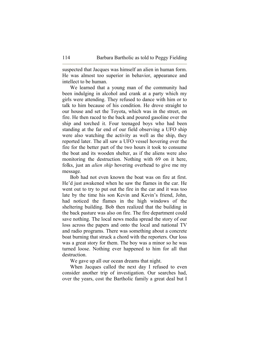suspected that Jacques was himself an alien in human form. He was almost too superior in behavior, appearance and intellect to be human.

We learned that a young man of the community had been indulging in alcohol and crank at a party which my girls were attending. They refused to dance with him or to talk to him because of his condition. He drove straight to our house and set the Toyota, which was in the street, on fire. He then raced to the back and poured gasoline over the ship and torched it. Four teenaged boys who had been standing at the far end of our field observing a UFO ship were also watching the activity as well as the ship, they reported later. The all saw a UFO vessel hovering over the fire for the better part of the two hours it took to consume the boat and its wooden shelter, as if the aliens were also monitoring the destruction. Nothing with 69 on it here, folks, just an *alien ship* hovering overhead to give me my message.

Bob had not even known the boat was on fire at first. He'd just awakened when he saw the flames in the car. He went out to try to put out the fire in the car and it was too late by the time his son Kevin and Kevin's friend, John, had noticed the flames in the high windows of the sheltering building. Bob then realized that the building in the back pasture was also on fire. The fire department could save nothing. The local news media spread the story of our loss across the papers and onto the local and national TV and radio programs. There was something about a concrete boat burning that struck a chord with the reporters. Our loss was a great story for them. The boy was a minor so he was turned loose. Nothing ever happened to him for all that destruction.

We gave up all our ocean dreams that night.

When Jacques called the next day I refused to even consider another trip of investigation. Our searches had, over the years, cost the Bartholic family a great deal but I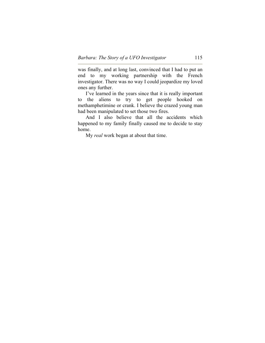was finally, and at long last, convinced that I had to put an end to my working partnership with the French investigator. There was no way I could jeopardize my loved ones any further.

I've learned in the years since that it is really important to the aliens to try to get people hooked on methamphetimine or crank. I believe the crazed young man had been manipulated to set those two fires.

And I also believe that all the accidents which happened to my family finally caused me to decide to stay home.

My *real* work began at about that time.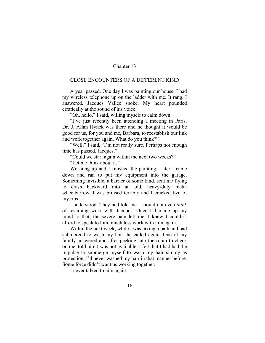## Chapter 13

### CLOSE ENCOUNTERS OF A DIFFERENT KIND

A year passed. One day I was painting our house. I had my wireless telephone up on the ladder with me. It rang. I answered. Jacques Vallee spoke. My heart pounded erratically at the sound of his voice.

"Oh, hello," I said, willing myself to calm down.

"I've just recently been attending a meeting in Paris. Dr. J. Allan Hynek was there and he thought it would be good for us, for you and me, Barbara, to reestablish our link and work together again. What do you think?"

"Well," I said, "I'm not really sure. Perhaps not enough time has passed, Jacques."

"Could we start again within the next two weeks?"

"Let me think about it."

We hung up and I finished the painting. Later I came down and ran to put my equipment into the garage. Something invisible, a barrier of some kind, sent me flying to crash backward into an old, heavy-duty metal wheelbarrow. I was bruised terribly and I cracked two of my ribs.

I understood. They had told me I should not even *think* of resuming work with Jacques. Once I'd made up my mind to that, the severe pain left me. I knew I couldn't afford to speak to him, much less work with him again.

Within the next week, while I was taking a bath and had submerged to wash my hair, he called again. One of my family answered and after peeking into the room to check on me, told him I was not available. I felt that I had had the impulse to submerge myself to wash my hair simply as protection. I'd never washed my hair in that manner before. Some force didn't want us working together.

I never talked to him again.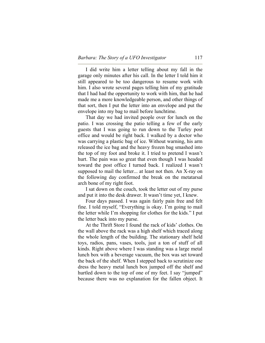I did write him a letter telling about my fall in the garage only minutes after his call. In the letter I told him it still appeared to be too dangerous to resume work with him. I also wrote several pages telling him of my gratitude that I had had the opportunity to work with him, that he had made me a more knowledgeable person, and other things of that sort, then I put the letter into an envelope and put the envelope into my bag to mail before lunchtime.

That day we had invited people over for lunch on the patio. I was crossing the patio telling a few of the early guests that I was going to run down to the Turley post office and would be right back. I walked by a doctor who was carrying a plastic bag of ice. Without warning, his arm released the ice bag and the heavy frozen bag smashed into the top of my foot and broke it. I tried to pretend I wasn't hurt. The pain was so great that even though I was headed toward the post office I turned back. I realized I wasn't supposed to mail the letter... at least not then. An X-ray on the following day confirmed the break on the metatarsal arch bone of my right foot.

I sat down on the couch, took the letter out of my purse and put it into the desk drawer. It wasn't time yet, I knew.

Four days passed. I was again fairly pain free and felt fine. I told myself, "Everything is okay. I'm going to mail the letter while I'm shopping for clothes for the kids." I put the letter back into my purse.

At the Thrift Store I found the rack of kids' clothes. On the wall above the rack was a high shelf which traced along the whole length of the building. The stationary shelf held toys, radios, pans, vases, tools, just a ton of stuff of all kinds. Right above where I was standing was a large metal lunch box with a beverage vacuum, the box was set toward the back of the shelf. When I stepped back to scrutinize one dress the heavy metal lunch box jumped off the shelf and hurtled down to the top of one of my feet. I say "jumped" because there was no explanation for the fallen object. It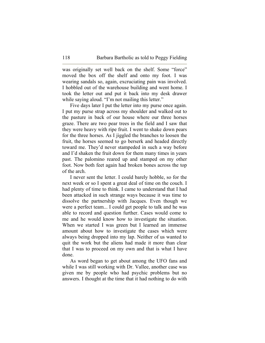was originally set well back on the shelf. Some "force" moved the box off the shelf and onto my foot. I was wearing sandals so, again, excruciating pain was involved. I hobbled out of the warehouse building and went home. I took the letter out and put it back into my desk drawer while saying aloud. "I'm not mailing this letter."

Five days later I put the letter into my purse once again. I put my purse strap across my shoulder and walked out to the pasture in back of our house where our three horses graze. There are two pear trees in the field and I saw that they were heavy with ripe fruit. I went to shake down pears for the three horses. As I jiggled the branches to loosen the fruit, the horses seemed to go berserk and headed directly toward me. They'd never stampeded in such a way before and I'd shaken the fruit down for them many times in years past. The palomino reared up and stamped on my other foot. Now both feet again had broken bones across the top of the arch.

I never sent the letter. I could barely hobble, so for the next week or so I spent a great deal of time on the couch. I had plenty of time to think. I came to understand that I had been attacked in such strange ways because it was time to dissolve the partnership with Jacques. Even though we were a perfect team... I could get people to talk and he was able to record and question further. Cases would come to me and he would know how to investigate the situation. When we started I was green but I learned an immense amount about how to investigate the cases which were always being dropped into my lap. Neither of us wanted to quit the work but the aliens had made it more than clear that I was to proceed on my own and that is what I have done.

As word began to get about among the UFO fans and while I was still working with Dr. Vallee, another case was given me by people who had psychic problems but no answers. I thought at the time that it had nothing to do with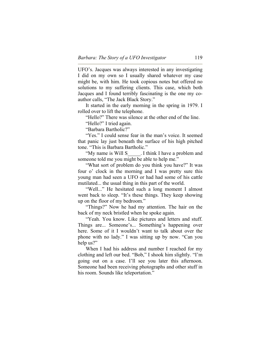UFO's. Jacques was always interested in any investigating I did on my own so I usually shared whatever my case might be, with him. He took copious notes but offered no solutions to my suffering clients. This case, which both Jacques and I found terribly fascinating is the one my coauthor calls, "The Jack Black Story."

It started in the early morning in the spring in 1979. I rolled over to lift the telephone.

"Hello?" There was silence at the other end of the line.

"Hello?" I tried again.

"Barbara Bartholic?"

"Yes." I could sense fear in the man's voice. It seemed that panic lay just beneath the surface of his high pitched tone. "This is Barbara Bartholic."

"My name is Will S .... I think I have a problem and someone told me you might be able to help me."

"What sort of problem do you think you have?" It was four o' clock in the morning and I was pretty sure this young man had seen a UFO or had had some of his cattle mutilated... the usual thing in this part of the world.

"Well..." He hesitated such a long moment I almost went back to sleep. "It's these things. They keep showing up on the floor of my bedroom."

"Things?" Now he had my attention. The hair on the back of my neck bristled when he spoke again.

"Yeah. You know. Like pictures and letters and stuff. Things are... Someone's... Something's happening over here. Some of it I wouldn't want to talk about over the phone with no lady." I was sitting up by now. "Can you help us?"

When I had his address and number I reached for my clothing and left our bed. "Bob," I shook him slightly. "I'm going out on a case. I'll see you later this afternoon. Someone had been receiving photographs and other stuff in his room. Sounds like teleportation."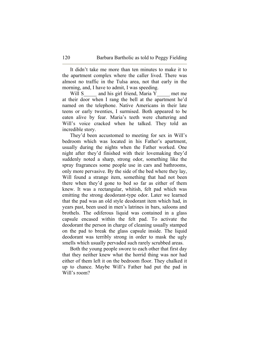It didn't take me more than ten minutes to make it to the apartment complex where the caller lived. There was almost no traffic in the Tulsa area, not that early in the morning, and, I have to admit, I was speeding.

Will S and his girl friend, Maria Y met me at their door when I rang the bell at the apartment he'd named on the telephone. Native Americans in their late teens or early twenties, I surmised. Both appeared to be eaten alive by fear. Maria's teeth were chattering and Will's voice cracked when he talked. They told an incredible story.

They'd been accustomed to meeting for sex in Will's bedroom which was located in his Father's apartment, usually during the nights when the Father worked. One night after they'd finished with their lovemaking they'd suddenly noted a sharp, strong odor, something like the spray fragrances some people use in cars and bathrooms, only more pervasive. By the side of the bed where they lay, Will found a strange item, something that had not been there when they'd gone to bed so far as either of them knew. It was a rectangular, whitish, felt pad which was emitting the strong deodorant-type odor. Later we learned that the pad was an old style deodorant item which had, in years past, been used in men's latrines in bars, saloons and brothels. The odiferous liquid was contained in a glass capsule encased within the felt pad. To activate the deodorant the person in charge of cleaning usually stamped on the pad to break the glass capsule inside. The liquid deodorant was terribly strong in order to mask the ugly smells which usually pervaded such rarely scrubbed areas.

Both the young people swore to each other that first day that they neither knew what the horrid thing was nor had either of them left it on the bedroom floor. They chalked it up to chance. Maybe Will's Father had put the pad in Will's room?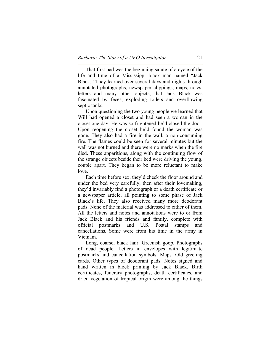That first pad was the beginning salute of a cycle of the life and time of a Mississippi black man named "Jack Black." They learned over several days and nights through annotated photographs, newspaper clippings, maps, notes, letters and many other objects, that Jack Black was fascinated by feces, exploding toilets and overflowing septic tanks.

Upon questioning the two young people we learned that Will had opened a closet and had seen a woman in the closet one day. He was so frightened he'd closed the door. Upon reopening the closet he'd found the woman was gone. They also had a fire in the wall, a non-consuming fire. The flames could be seen for several minutes but the wall was not burned and there were no marks when the fire died. These apparitions, along with the continuing flow of the strange objects beside their bed were driving the young. couple apart. They began to be more reluctant to make love.

Each time before sex, they'd check the floor around and under the bed very carefully, then after their lovemaking, they'd invariably find a photograph or a death certificate or a newspaper article, all pointing to some phase of Jack Black's life. They also received many more deodorant pads. None of the material was addressed to either of them. All the letters and notes and annotations were to or from Jack Black and his friends and family, complete with official postmarks and U.S. Postal stamps and cancellations. Some were from his time in the army in Vietnam.

Long, coarse, black hair. Greenish goop. Photographs of dead people. Letters in envelopes with legitimate postmarks and cancellation symbols. Maps. Old greeting cards. Other types of deodorant pads. Notes signed and hand written in block printing by Jack Black. Birth certificates, funerary photographs, death certificates, and dried vegetation of tropical origin were among the things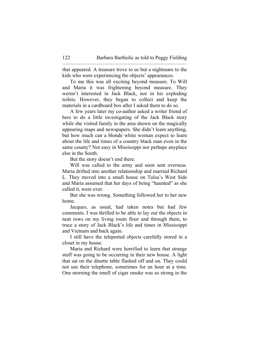that appeared. A treasure trove to us but a nightmare to the kids who were experiencing the objects' appearances.

To me this was all exciting beyond measure. To Will and Maria it was frightening beyond measure. They weren't interested in Jack Black, nor in his exploding toilets. However, they began to collect and keep the materials in a cardboard box after I asked them to do so.

A few years later my co-author asked a writer friend of hers to do a little investigating of the Jack Black story while she visited family in the area shown on the magically appearing maps and newspapers. She didn't learn anything, but how much can a blonde white woman expect to learn about the life and times of a country black man even in the same county? Not easy in Mississippi nor perhaps anyplace else in the South.

But the story doesn't end there.

Will was called to the army and soon sent overseas. Maria drifted into another relationship and married Richard L. They moved into a small house on Tulsa's West Side and Maria assumed that her days of being "haunted" as she called it, were over.

But she was wrong. Something followed her to her new home.

Jacques, as usual, had taken notes but had few comments. I was thrilled to be able to lay out the objects in neat rows on my living room floor and through them, to trace a story of Jack Black's life and times in Mississippi and Vietnam and back again.

I still have the teleported objects carefully stored in a closet in my house.

Maria and Richard were horrified to learn that strange stuff was going to be occurring in their new house. A light that sat on the dinette table flashed off and on. They could not use their telephone, sometimes for an hour at a time. One morning the smell of cigar smoke was so strong in the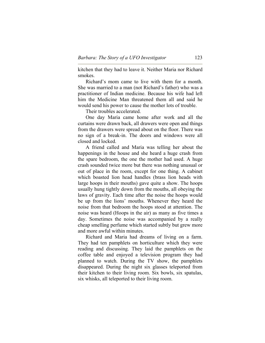kitchen that they had to leave it. Neither Maria nor Richard smokes.

Richard's mom came to live with them for a month. She was married to a man (not Richard's father) who was a practitioner of Indian medicine. Because his wife had left him the Medicine Man threatened them all and said he would send his power to cause the mother lots of trouble.

Their troubles accelerated.

One day Maria came home after work and all the curtains were drawn back, all drawers were open and things from the drawers were spread about on the floor. There was no sign of a break-in. The doors and windows were all closed and locked.

A friend called and Maria was telling her about the happenings in the house and she heard a huge crash from the spare bedroom, the one the mother had used. A huge crash sounded twice more but there was nothing unusual or out of place in the room, except for one thing. A cabinet which boasted lion head handles (brass lion heads with large hoops in their mouths) gave quite a show. The hoops usually hung tightly down from the mouths, all obeying the laws of gravity. Each time after the noise the hoops would be up from the lions' mouths. Whenever they heard the noise from that bedroom the hoops stood at attention. The noise was heard (Hoops in the air) as many as five times a day. Sometimes the noise was accompanied by a really cheap smelling perfume which started subtly but grew more and more awful within minutes.

Richard and Maria had dreams of living on a farm. They had ten pamphlets on horticulture which they were reading and discussing. They laid the pamphlets on the coffee table and enjoyed a television program they had planned to watch. During the TV show, the pamphlets disappeared. During the night six glasses teleported from their kitchen to their living room. Six bowls, six spatulas, six whisks, all teleported to their living room.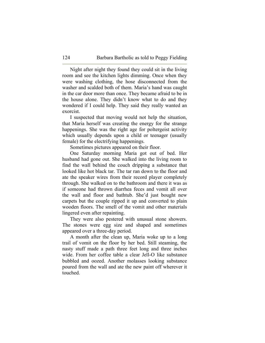Night after night they found they could sit in the living room and see the kitchen lights dimming. Once when they were washing clothing, the hose disconnected from the washer and scalded both of them. Maria's hand was caught in the car door more than once. They became afraid to be in the house alone. They didn't know what to do and they wondered if I could help. They said they really wanted an exorcist.

I suspected that moving would not help the situation, that Maria herself was creating the energy for the strange happenings. She was the right age for poltergeist activity which usually depends upon a child or teenager (usually female) for the electrifying happenings.

Sometimes pictures appeared on their floor.

One Saturday morning Maria got out of bed. Her husband had gone out. She walked into the living room to find the wall behind the couch dripping a substance that looked like hot black tar. The tar ran down to the floor and ate the speaker wires from their record player completely through. She walked on to the bathroom and there it was as if someone had thrown diarrhea feces and vomit all over the wall and floor and bathtub. She'd just bought new carpets but the couple ripped it up and converted to plain wooden floors. The smell of the vomit and other materials lingered even after repainting.

They were also pestered with unusual stone showers. The stones were egg size and shaped and sometimes appeared over a three-day period.

A month after the clean up, Maria woke up to a long trail of vomit on the floor by her bed. Still steaming, the nasty stuff made a path three feet long and three inches wide. From her coffee table a clear Jell-O like substance bubbled and oozed. Another molasses looking substance poured from the wall and ate the new paint off wherever it touched.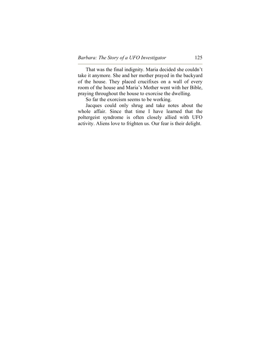That was the final indignity. Maria decided she couldn't take it anymore. She and her mother prayed in the backyard of the house. They placed crucifixes on a wall of every room of the house and Maria's Mother went with her Bible, praying throughout the house to exorcise the dwelling.

So far the exorcism seems to be working.

Jacques could only shrug and take notes about the whole affair. Since that time I have learned that the poltergeist syndrome is often closely allied with UFO activity. Aliens love to frighten us. Our fear is their delight.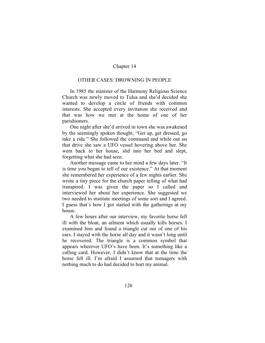## Chapter 14

#### OTHER CASES: DROWNING IN PEOPLE

In 1985 the minister of the Harmony Religious Science Church was newly moved to Tulsa and she'd decided she wanted to develop a circle of friends with common interests. She accepted every invitation she received and that was how we met at the home of one of her parishioners.

One night after she'd arrived in town she was awakened by the seemingly spoken thought, "Get up, get dressed, go take a ride." She followed the command and while out on that drive she saw a UFO vessel hovering above her. She went back to her house, slid into her bed and slept, forgetting what she had seen.

Another message came to her mind a few days later. "It is time you began to tell of our existence." At that moment she remembered her experience of a few nights earlier. She wrote a tiny piece for the church paper telling of what had transpired. I was given the paper so I called and interviewed her about her experience. She suggested we two needed to institute meetings of some sort and I agreed. I guess that's how I got started with the gatherings at my house.

A few hours after our interview, my favorite horse fell ill with the bloat, an ailment which usually kills horses. I examined him and found a triangle cut out of one of his ears. I stayed with the horse all day and it wasn't long until he recovered. The triangle is a common symbol that appears wherever UFO's have been. It's something like a calling card. However, I didn't know that at the time the horse fell ill. I'm afraid I assumed that teenagers with nothing much to do had decided to hurt my animal.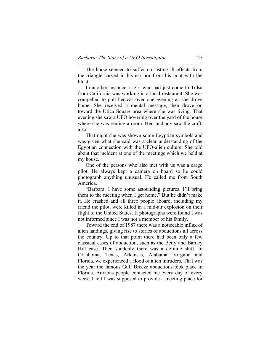The horse seemed to suffer no lasting ill effects from the triangle carved in his ear nor from his bout with the bloat.

In another instance, a girl who had just come to Tulsa from California was working in a local restaurant. She was compelled to pull her car over one evening as she drove home. She received a mental message, then drove on toward the Utica Square area where she was living. That evening she saw a UFO hovering over the yard of the house where she was renting a room. Her landlady saw the craft, also.

That night she was shown some Egyptian symbols and was given what she said was a clear understanding of the Egyptian connection with the UFO-alien culture. She told about that incident at one of the meetings which we held at my house.

One of the persons who also met with us was a cargo pilot. He always kept a camera on board so he could photograph anything unusual. He called me from South America.

"Barbara, I have some astounding pictures. I'll bring them to the meeting when I get home." But he didn't make it. He crashed and all three people aboard, including my friend the pilot, were killed in a mid-air explosion on their flight to the United States. If photographs were found I was not informed since I was not a member of his family.

Toward the end of 1987 there was a noticeable influx of alien landings, giving rise to stories of abductions all across the country. Up to that point there had been only a few classical cases of abduction, such as the Betty and Barney Hill case. Then suddenly there was a definite shift. In Oklahoma, Texas, Arkansas, Alabama, Virginia and Florida, we experienced a flood of alien intruders. That was the year the famous Gulf Breeze abductions took place in Florida. Anxious people contacted me every day of every week. I felt I was supposed to provide a meeting place for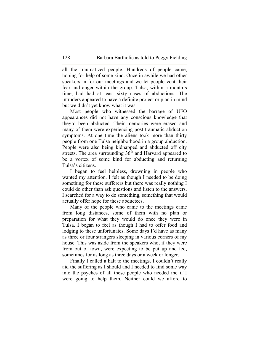all the traumatized people. Hundreds of people came, hoping for help of some kind. Once in awhile we had other speakers in for our meetings and we let people vent their fear and anger within the group. Tulsa, within a month's time, had had at least sixty cases of abductions. The intruders appeared to have a definite project or plan in mind but we didn't yet know what it was.

Most people who witnessed the barrage of UFO appearances did not have any conscious knowledge that they'd been abducted. Their memories were erased and many of them were experiencing post traumatic abduction symptoms. At one time the aliens took more than thirty people from one Tulsa neighborhood in a group abduction. People were also being kidnapped and abducted off city streets. The area surrounding  $36<sup>th</sup>$  and Harvard appeared to be a vortex of some kind for abducting and returning Tulsa's citizens.

I began to feel helpless, drowning in people who wanted my attention. I felt as though I needed to be doing something for these sufferers but there was really nothing I could do other than ask questions and listen to the answers. I searched for a way to do something, something that would actually offer hope for these abductees.

Many of the people who came to the meetings came from long distances, some of them with no plan or preparation for what they would do once they were in Tulsa. I began to feel as though I had to offer food and lodging to these unfortunates. Some days I'd have as many as three or four strangers sleeping in various corners of my house. This was aside from the speakers who, if they were from out of town, were expecting to be put up and fed, sometimes for as long as three days or a week or longer.

Finally I called a halt to the meetings. I couldn't really aid the suffering as I should and I needed to find some way into the psyches of all these people who needed me if I were going to help them. Neither could we afford to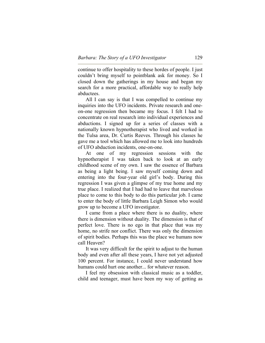continue to offer hospitality to these hordes of people. I just couldn't bring myself to pointblank ask for money. So I closed down the gatherings in my house and began my search for a more practical, affordable way to really help abductees.

All I can say is that I was compelled to continue my inquiries into the UFO incidents. Private research and oneon-one regression then became my focus. I felt I had to concentrate on real research into individual experiences and abductions. I signed up for a series of classes with a nationally known hypnotherapist who lived and worked in the Tulsa area, Dr. Curtis Reeves. Through his classes he gave me a tool which has allowed me to look into hundreds of UFO abduction incidents, one-on-one.

At one of my regression sessions with the hypnotherapist I was taken back to look at an early childhood scene of my own. I saw the essence of Barbara as being a light being. I saw myself coming down and entering into the four-year old girl's body. During this regression I was given a glimpse of my true home and my true place. I realized that I had had to leave that marvelous place to come to this body to do this particular job. I came to enter the body of little Barbara Leigh Simon who would grow up to become a UFO investigator.

I came from a place where there is no duality, where there is dimension without duality. The dimension is that of perfect love. There is no ego in that place that was my home, no strife nor conflict. There was only the dimension of spirit bodies. Perhaps this was the place we humans now call Heaven?

It was very difficult for the spirit to adjust to the human body and even after all these years, I have not yet adjusted 100 percent. For instance, I could never understand how humans could hurt one another... for whatever reason.

I feel my obsession with classical music as a toddler, child and teenager, must have been my way of getting as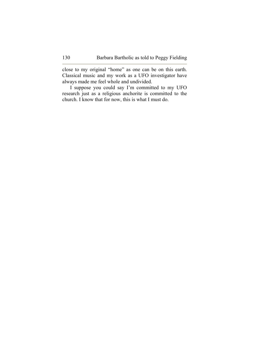close to my original "home" as one can be on this earth. Classical music and my work as a UFO investigator have always made me feel whole and undivided.

I suppose you could say I'm committed to my UFO research just as a religious anchorite is committed to the church. I know that for now, this is what I must do.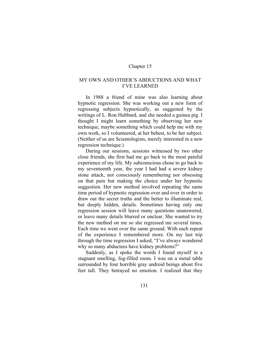## Chapter 15

# MY OWN AND OTHER'S ABDUCTIONS AND WHAT I'VE LEARNED

In 1988 a friend of mine was also learning about hypnotic regression. She was working out a new form of regressing subjects hypnotically, as suggested by the writings of L. Ron Hubbard, and she needed a guinea pig. I thought I might learn something by observing her new technique, maybe something which could help me with my own work, so I volunteered, at her behest, to be her subject. (Neither of us are Scientologists, merely interested in a new regression technique.)

During our sessions, sessions witnessed by two other close friends, she first had me go back to the most painful experience of my life. My subconscious chose to go back to my seventeenth year, the year I had had a severe kidney stone attack, not consciously remembering nor obsessing on that pain but making the choice under her hypnotic suggestion. Her new method involved repeating the same time period of hypnotic regression over and over in order to draw out the secret truths and the better to illuminate real, but deeply hidden, details. Sometimes having only one regression session will leave many questions unanswered, or leave many details blurred or unclear. She wanted to try the new method on me so she regressed me several times. Each time we went over the same ground. With each repeat of the experience I remembered more. On my last trip through the time regression I asked, "I've always wondered why so many abductees have kidney problems?"

Suddenly, as I spoke the words I found myself in a stagnant smelling, fog-filled room. I was on a metal table surrounded by four horrible gray android beings about five feet tall. They betrayed no emotion. I realized that they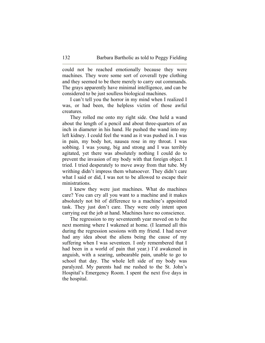could not be reached emotionally because they were machines. They wore some sort of coverall type clothing and they seemed to be there merely to carry out commands. The grays apparently have minimal intelligence, and can be considered to be just soulless biological machines.

I can't tell you the horror in my mind when I realized I was, or had been, the helpless victim of those awful creatures.

They rolled me onto my right side. One held a wand about the length of a pencil and about three-quarters of an inch in diameter in his hand. He pushed the wand into my left kidney. I could feel the wand as it was pushed in. I was in pain, my body hot, nausea rose in my throat. I was sobbing. I was young, big and strong and I was terribly agitated, yet there was absolutely nothing I could do to prevent the invasion of my body with that foreign object. I tried. I tried desperately to move away from that tube. My writhing didn't impress them whatsoever. They didn't care what I said or did, I was not to be allowed to escape their ministrations.

I knew they were just machines. What do machines care? You can cry all you want to a machine and it makes absolutely not bit of difference to a machine's appointed task. They just don't care. They were only intent upon carrying out the job at hand. Machines have no conscience.

The regression to my seventeenth year moved on to the next morning where I wakened at home. (I learned all this during the regression sessions with my friend. I had never had any idea about the aliens being the cause of my suffering when I was seventeen. I only remembered that I had been in a world of pain that year.) I'd awakened in anguish, with a searing, unbearable pain, unable to go to school that day. The whole left side of my body was paralyzed. My parents had me rushed to the St. John's Hospital's Emergency Room. I spent the next five days in the hospital.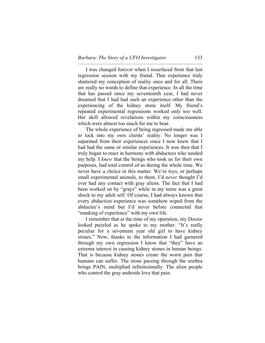I was changed forever when I resurfaced from that last regression session with my friend. That experience truly shattered my conception of reality once and for all. There are really no words to define that experience. In all the time that has passed since my seventeenth year, I had never dreamed that I had had such an experience other than the experiencing of the kidney stone itself. My friend's repeated experimental regressions worked only too well. Her skill allowed revelations within my consciousness which were almost too much for me to bear.

The whole experience of being regressed made me able to lock into my own clients' reality. No longer was I separated from their experiences since I now knew that I had had the same or similar experiences. It was then that I truly began to react in harmony with abductees who needed my help. I *knew* that the beings who took us for their own purposes, had total control of us during the whole time. We never have a choice in this matter. We're toys, or perhaps small experimental animals, to them. I'd *never* thought I'd ever had any contact with gray aliens. The fact that I had been worked on by "grays" while in my teens was a great shock to my adult self. Of course, I had always known that every abduction experience was somehow wiped from the abductee's mind but I'd never before connected that "masking of experience" with my own life.

I remember that at the time of my operation, my Doctor looked puzzled as he spoke to my mother. "It's really peculiar for a seventeen year old girl to have kidney stones." Now, thanks to the information I had garnered through my own regression I know that "they" have an extreme interest in causing kidney stones in human beings. That is because kidney stones create the worst pain that humans can suffer. The stone passing through the urethra brings PAIN, multiplied infinitesimally. The alien people who control the gray androids love that pain.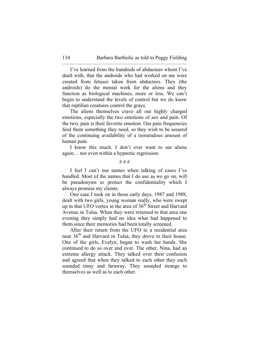I've learned from the hundreds of abductees whom I've dealt with, that the androids who had worked on me were created from fetuses taken from abductees. They (the androids) do the menial work for the aliens and they function as biological machines, more or less. We can't begin to understand the levels of control but we do know that reptilian creatures control the grays.

The aliens themselves crave all our highly charged emotions, especially the two emotions of sex and pain. Of the two, pain is their favorite emotion. Our pain frequencies feed them something they need, so they wish to be assured of the continuing availability of a tremendous amount of human pain.

I know this much. I don't ever want to see aliens again… not even within a hypnotic regression.

## # # #

I feel I can't use names when talking of cases I've handled. Most of the names that I do use as we go on, will be pseudonyms to protect the confidentiality which I always promise my clients.

One case I took on in those early days, 1987 and 1988, dealt with two girls, young woman really, who were swept up in that UFO vortex in the area of  $36<sup>th</sup>$  Street and Harvard Avenue in Tulsa. When they were returned to that area one evening they simply had no idea what had happened to them since their memories had been totally screened.

After their return from the UFO to a residential area near  $36<sup>th</sup>$  and Harvard in Tulsa, they drove to their house. One of the girls, Evelyn, began to wash her hands. She continued to do so over and over. The other, Nina, had an extreme allergy attack. They talked over their confusion and agreed that when they talked to each other they each sounded tinny and faraway. They sounded strange to themselves as well as to each other.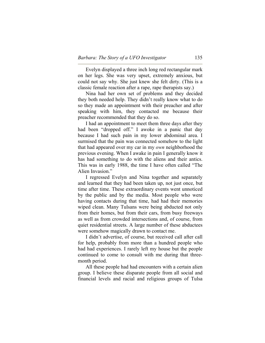Evelyn displayed a three inch long red rectangular mark on her legs. She was very upset, extremely anxious, but could not say why. She just knew she felt dirty. (This is a classic female reaction after a rape, rape therapists say.)

Nina had her own set of problems and they decided they both needed help. They didn't really know what to do so they made an appointment with their preacher and after speaking with him, they contacted me because their preacher recommended that they do so.

I had an appointment to meet them three days after they had been "dropped off." I awoke in a panic that day because I had such pain in my lower abdominal area. I surmised that the pain was connected somehow to the light that had appeared over my car in my *own* neighborhood the previous evening. When I awake in pain I generally know it has had something to do with the aliens and their antics. This was in early 1988, the time I have often called "The Alien Invasion."

I regressed Evelyn and Nina together and separately and learned that they had been taken up, not just once, but time after time. These extraordinary events went unnoticed by the public and by the media. Most people who were having contacts during that time, had had their memories wiped clean. Many Tulsans were being abducted not only from their homes, but from their cars, from busy freeways as well as from crowded intersections and, of course, from quiet residential streets. A large number of these abductees were somehow magically drawn to contact me.

I didn't advertise, of course, but received call after call for help, probably from more than a hundred people who had had experiences. I rarely left my house but the people continued to come to consult with me during that threemonth period.

All these people had had encounters with a certain alien group. I believe these disparate people from all social and financial levels and racial and religious groups of Tulsa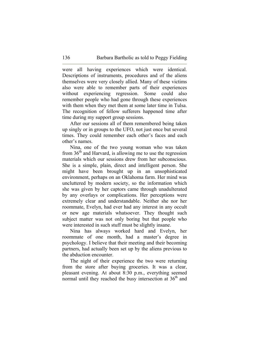were all having experiences which were identical. Descriptions of instruments, procedures and of the aliens themselves were very closely allied. Many of these victims also were able to remember parts of their experiences without experiencing regression. Some could also remember people who had gone through these experiences with them when they met them at some later time in Tulsa. The recognition of fellow sufferers happened time after time during my support group sessions.

After our sessions all of them remembered being taken up singly or in groups to the UFO, not just once but several times. They could remember each other's faces and each other's names.

Nina, one of the two young woman who was taken from  $36<sup>th</sup>$  and Harvard, is allowing me to use the regression materials which our sessions drew from her subconscious. She is a simple, plain, direct and intelligent person. She might have been brought up in an unsophisticated environment, perhaps on an Oklahoma farm. Her mind was uncluttered by modern society, so the information which she was given by her captors came through unadulterated by any overlays or complications. Her perceptions were extremely clear and understandable. Neither she nor her roommate, Evelyn, had ever had any interest in any occult or new age materials whatsoever. They thought such subject matter was not only boring but that people who were interested in such stuff must be slightly insane.

Nina has always worked hard and Evelyn, her roommate of one month, had a master's degree in psychology. I believe that their meeting and their becoming partners, had actually been set up by the aliens previous to the abduction encounter.

The night of their experience the two were returning from the store after buying groceries. It was a clear, pleasant evening. At about 8:30 p.m., everything seemed normal until they reached the busy intersection at  $36<sup>th</sup>$  and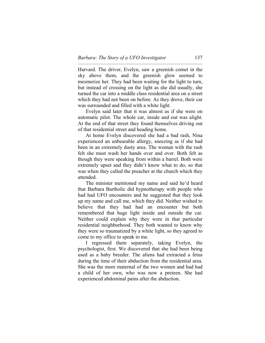Harvard. The driver, Evelyn, saw a greenish comet in the sky above them, and the greenish glow seemed to mesmerize her. They had been waiting for the light to turn, but instead of crossing on the light as she did usually, she turned the car into a middle class residential area on a street which they had not been on before. As they drove, their car was surrounded and filled with a white light.

Evelyn said later that it was almost as if she were on automatic pilot. The whole car, inside and out was alight. At the end of that street they found themselves driving out of that residential street and heading home.

At home Evelyn discovered she had a bad rash, Nina experienced an unbearable allergy, sneezing as if she had been in an extremely dusty area. The woman with the rash felt she must wash her hands over and over. Both felt as though they were speaking from within a barrel. Both were extremely upset and they didn't know what to do, so that was when they called the preacher at the church which they attended.

The minister mentioned my name and said he'd heard that Barbara Bartholic did hypnotherapy with people who had had UFO encounters and he suggested that they look up my name and call me, which they did. Neither wished to believe that they had had an encounter but both remembered that huge light inside and outside the car. Neither could explain why they were in that particular residential neighborhood. They both wanted to know why they were so traumatized by a white light, so they agreed to come to my office to speak to me.

I regressed them separately, taking Evelyn, the psychologist, first. We discovered that she had been being used as a baby breeder. The aliens had extracted a fetus during the time of their abduction from the residential area. She was the more maternal of the two women and had had a child of her own, who was now a preteen. She had experienced abdominal pains after the abduction.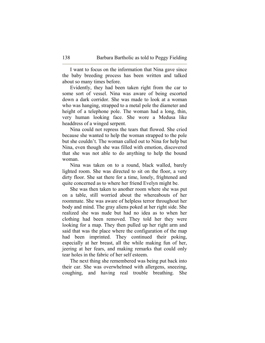I want to focus on the information that Nina gave since the baby breeding process has been written and talked about so many times before.

Evidently, they had been taken right from the car to some sort of vessel. Nina was aware of being escorted down a dark corridor. She was made to look at a woman who was hanging, strapped to a metal pole the diameter and height of a telephone pole. The woman had a long, thin, very human looking face. She wore a Medusa like headdress of a winged serpent.

Nina could not repress the tears that flowed. She cried because she wanted to help the woman strapped to the pole but she couldn't. The woman called out to Nina for help but Nina, even though she was filled with emotion, discovered that she was not able to do anything to help the bound woman.

Nina was taken on to a round, black walled, barely lighted room. She was directed to sit on the floor, a very dirty floor. She sat there for a time, lonely, frightened and quite concerned as to where her friend Evelyn might be.

She was then taken to another room where she was put on a table, still worried about the whereabouts of her roommate. She was aware of helpless terror throughout her body and mind. The gray aliens poked at her right side. She realized she was nude but had no idea as to when her clothing had been removed. They told her they were looking for a map. They then pulled up her right arm and said that was the place where the configuration of the map had been imprinted. They continued their poking, especially at her breast, all the while making fun of her, jeering at her fears, and making remarks that could only tear holes in the fabric of her self esteem.

The next thing she remembered was being put back into their car. She was overwhelmed with allergens, sneezing, coughing, and having real trouble breathing. She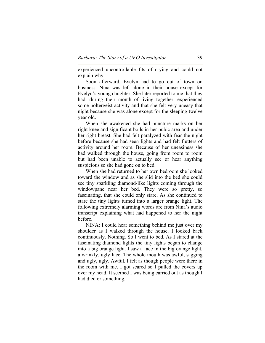experienced uncontrollable fits of crying and could not explain why.

Soon afterward, Evelyn had to go out of town on business. Nina was left alone in their house except for Evelyn's young daughter. She later reported to me that they had, during their month of living together, experienced some poltergeist activity and that she felt very uneasy that night because she was alone except for the sleeping twelve year old.

When she awakened she had puncture marks on her right knee and significant boils in her pubic area and under her right breast. She had felt paralyzed with fear the night before because she had seen lights and had felt flutters of activity around her room. Because of her uneasiness she had walked through the house, going from room to room but had been unable to actually see or hear anything suspicious so she had gone on to bed.

When she had returned to her own bedroom she looked toward the window and as she slid into the bed she could see tiny sparkling diamond-like lights coming through the windowpane near her bed. They were so pretty, so fascinating, that she could only stare. As she continued to stare the tiny lights turned into a larger orange light. The following extremely alarming words are from Nina's audio transcript explaining what had happened to her the night before.

NINA: I could hear something behind me just over my shoulder as I walked through the house. I looked back continuously. Nothing. So I went to bed. As I stared at the fascinating diamond lights the tiny lights began to change into a big orange light. I saw a face in the big orange light, a wrinkly, ugly face. The whole mouth was awful, sagging and ugly, ugly. Awful. I felt as though people were there in the room with me. I got scared so I pulled the covers up over my head. It seemed I was being carried out as though I had died or something.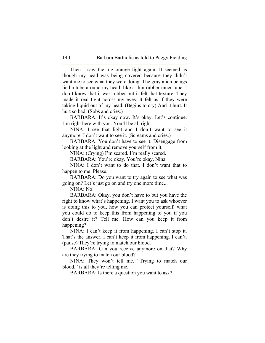Then I saw the big orange light again, It seemed as though my head was being covered because they didn't want me to see what they were doing. The gray alien beings tied a tube around my head, like a thin rubber inner tube. I don't know that it was rubber but it felt that texture. They made it real tight across my eyes. It felt as if they were taking liquid out of my head. (Begins to cry) And it hurt. It hurt so bad. (Sobs and cries.)

BARBARA: It's okay now. It's okay. Let's continue. I'm right here with you. You'll be all right.

NINA: I see that light and I don't want to see it anymore. I don't want to see it. (Screams and cries.)

BARBARA: You don't have to see it. Disengage from looking at the light and remove yourself from it.

NINA: (Crying) I'm scared. I'm really scared.

BARBARA: You're okay. You're okay, Nina.

NINA: I don't want to do that. I don't want that to happen to me. Please.

BARBARA: Do you want to try again to see what was going on? Let's just go on and try one more time...

NINA: No!

BARBARA: Okay, you don't have to but you have the right to know what's happening. I want you to ask whoever is doing this to you, how you can protect yourself, what you could do to keep this from happening to you if you don't desire it? Tell me. How can you keep it from happening?

NINA: I can't keep it from happening. I can't stop it. That's the answer. I can't keep it from happening. I can't. (pause) They're trying to match our blood.

BARBARA: Can you receive anymore on that? Why are they trying to match our blood?

NINA: They won't tell me. "Trying to match our blood," is all they're telling me.

BARBARA: Is there a question you want to ask?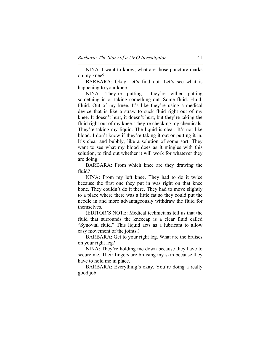NINA: I want to know, what are those puncture marks on my knee?

BARBARA: Okay, let's find out. Let's see what is happening to your knee.

NINA: They're putting... they're either putting something in or taking something out. Some fluid. Fluid. Fluid. Out of my knee. It's like they're using a medical device that is like a straw to suck fluid right out of my knee. It doesn't hurt, it doesn't hurt, but they're taking the fluid right out of my knee. They're checking my chemicals. They're taking my liquid. The liquid is clear. It's not like blood. I don't know if they're taking it out or putting it in. It's clear and bubbly, like a solution of some sort. They want to see what my blood does as it mingles with this solution, to find out whether it will work for whatever they are doing.

BARBARA: From which knee are they drawing the fluid?

NINA: From my left knee. They had to do it twice because the first one they put in was right on that knee bone. They couldn't do it there. They had to move slightly to a place where there was a little fat so they could put the needle in and more advantageously withdraw the fluid for themselves.

(EDITOR'S NOTE: Medical technicians tell us that the fluid that surrounds the kneecap is a clear fluid called "Synovial fluid." This liquid acts as a lubricant to allow easy movement of the joints.)

BARBARA: Get to your right leg. What are the bruises on your right leg?

NINA: They're holding me down because they have to secure me. Their fingers are bruising my skin because they have to hold me in place.

BARBARA: Everything's okay. You're doing a really good job.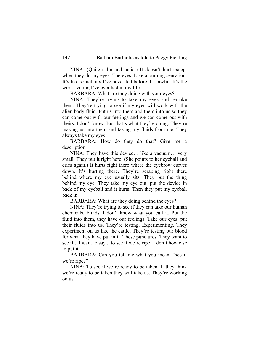NINA: (Quite calm and lucid.) It doesn't hurt except when they do my eyes. The eyes. Like a burning sensation. It's like something I've never felt before. It's awful. It's the worst feeling I've ever had in my life.

BARBARA: What are they doing with your eyes?

NINA: They're trying to take my eyes and remake them. They're trying to see if my eyes will work with the alien body fluid. Put us into them and them into us so they can come out with our feelings and we can come out with theirs. I don't know. But that's what they're doing. They're making us into them and taking my fluids from me. They always take my eyes.

BARBARA: How do they do that? Give me a description.

NINA: They have this device… like a vacuum… very small. They put it right here. (She points to her eyeball and cries again.) It hurts right there where the eyebrow curves down. It's hurting there. They're scraping right there behind where my eye usually sits. They put the thing behind my eye. They take my eye out, put the device in back of my eyeball and it hurts. Then they put my eyeball back in.

BARBARA: What are they doing behind the eyes?

NINA: They're trying to see if they can take our human chemicals. Fluids. I don't know what you call it. Put the fluid into them, they have our feelings. Take our eyes, put their fluids into us. They're testing. Experimenting. They experiment on us like the cattle. They're testing our blood for what they have put in it. These punctures. They want to see if... I want to say... to see if we're ripe! I don't how else to put it.

BARBARA: Can you tell me what you mean, "see if we're ripe?"

NINA: To see if we're ready to be taken. If they think we're ready to be taken they will take us. They're working on us.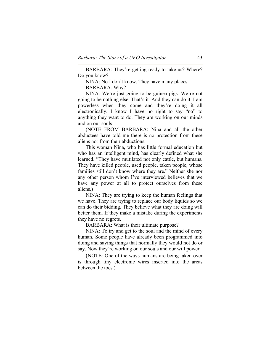BARBARA: They're getting ready to take us? Where? Do you know?

NINA: No I don't know. They have many places.

BARBARA: Why?

NINA: We're just going to be guinea pigs. We're not going to be nothing else. That's it. And they can do it. I am powerless when they come and they're doing it all electronically. I know I have no right to say "no" to anything they want to do. They are working on our minds and on our souls.

(NOTE FROM BARBARA: Nina and all the other abductees have told me there is no protection from these aliens nor from their abductions.

This woman Nina, who has little formal education but who has an intelligent mind, has clearly defined what she learned. "They have mutilated not only cattle, but humans. They have killed people, used people, taken people, whose families still don't know where they are." Neither she nor any other person whom I've interviewed believes that we have any power at all to protect ourselves from these aliens.)

NINA: They are trying to keep the human feelings that we have. They are trying to replace our body liquids so we can do their bidding. They believe what they are doing will better them. If they make a mistake during the experiments they have no regrets.

BARBARA: What is their ultimate purpose?

NINA: To try and get to the soul and the mind of every human. Some people have already been programmed into doing and saying things that normally they would not do or say. Now they're working on our souls and our will power.

(NOTE: One of the ways humans are being taken over is through tiny electronic wires inserted into the areas between the toes.)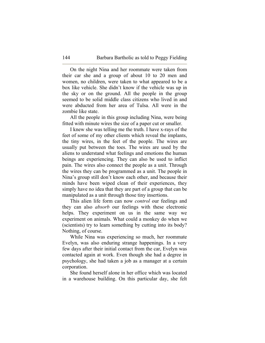On the night Nina and her roommate were taken from their car she and a group of about 10 to 20 men and women, no children, were taken to what appeared to be a box like vehicle. She didn't know if the vehicle was up in the sky or on the ground. All the people in the group seemed to be solid middle class citizens who lived in and were abducted from her area of Tulsa. All were in the zombie like state.

All the people in this group including Nina, were being fitted with minute wires the size of a paper cut or smaller.

I knew she was telling me the truth. I have x-rays of the feet of some of my other clients which reveal the implants, the tiny wires, in the feet of the people. The wires are usually put between the toes. The wires are used by the aliens to understand what feelings and emotions the human beings are experiencing. They can also be used to inflict pain. The wires also connect the people as a unit. Through the wires they can be programmed as a unit. The people in Nina's group still don't know each other, and because their minds have been wiped clean of their experiences, they simply have no idea that they are part of a group that can be manipulated as a unit through those tiny insertions.

This alien life form can now *control* our feelings and they can also *absorb* our feelings with these electronic helps. They experiment on us in the same way we experiment on animals. What could a monkey do when we (scientists) try to learn something by cutting into its body? Nothing, of course.

While Nina was experiencing so much, her roommate Evelyn, was also enduring strange happenings. In a very few days after their initial contact from the car, Evelyn was contacted again at work. Even though she had a degree in psychology, she had taken a job as a manager at a certain corporation.

She found herself alone in her office which was located in a warehouse building. On this particular day, she felt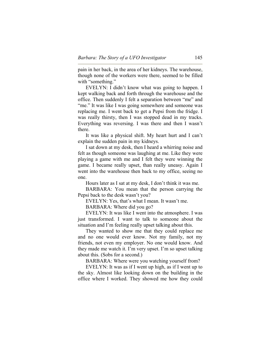pain in her back, in the area of her kidneys. The warehouse, though none of the workers were there, seemed to be filled with "something."

EVELYN: I didn't know what was going to happen. I kept walking back and forth through the warehouse and the office. Then suddenly I felt a separation between "me" and "me." It was like I was going somewhere and someone was replacing me. I went back to get a Pepsi from the fridge. I was really thirsty, then I was stopped dead in my tracks. Everything was reversing. I was there and then I wasn't there.

It was like a physical shift. My heart hurt and I can't explain the sudden pain in my kidneys.

I sat down at my desk, then I heard a whirring noise and felt as though someone was laughing at me. Like they were playing a game with me and I felt they were winning the game. I became really upset, than really uneasy. Again I went into the warehouse then back to my office, seeing no one.

Hours later as I sat at my desk, I don't think it was me.

BARBARA: You mean that the person carrying the Pepsi back to the desk wasn't you?

EVELYN: Yes, that's what I mean. It wasn't me.

BARBARA: Where did you go?

EVELYN: It was like I went into the atmosphere. I was just transformed. I want to talk to someone about the situation and I'm feeling really upset talking about this.

They wanted to show me that they could replace me and no one would ever know. Not my family, not my friends, not even my employer. No one would know. And they made me watch it. I'm very upset. I'm so upset talking about this. (Sobs for a second.)

BARBARA: Where were you watching yourself from?

EVELYN: It was as if I went up high, as if I went up to the sky. Almost like looking down on the building in the office where I worked. They showed me how they could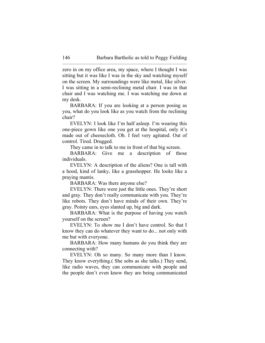zero in on my office area, my space, where I thought I was sitting but it was like I was in the sky and watching myself on the screen. My surroundings were like metal, like silver. I was sitting in a semi-reclining metal chair. I was in that chair and I was watching me. I was watching me down at my desk.

BARBARA: If you are looking at a person posing as you, what do you look like as you watch from the reclining chair?

EVELYN: I look like I'm half asleep. I'm wearing this one-piece gown like one you get at the hospital, only it's made out of cheesecloth. Oh. I feel very agitated. Out of control. Tired. Drugged.

They came in to talk to me in front of that big screen.

BARBARA: Give me a description of those individuals.

EVELYN: A description of the aliens? One is tall with a hood, kind of lanky, like a grasshopper. He looks like a praying mantis.

BARBARA: Was there anyone else?

EVELYN: There were just the little ones. They're short and gray. They don't really communicate with you. They're like robots. They don't have minds of their own. They're gray. Pointy ears, eyes slanted up, big and dark.

BARBARA: What is the purpose of having you watch yourself on the screen?

EVELYN: To show me I don't have control. So that I know they can do whatever they want to do... not only with me but with everyone.

BARBARA: How many humans do you think they are connecting with?

EVELYN: Oh so many. So many more than I know. They know everything.( She sobs as she talks.) They send, like radio waves, they can communicate with people and the people don't even know they are being communicated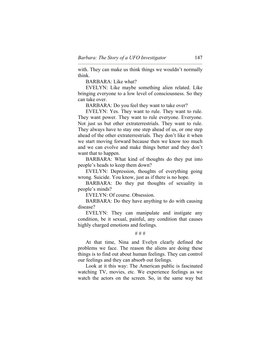with. They can make us think things we wouldn't normally think.

BARBARA: Like what?

EVELYN: Like maybe something alien related. Like bringing everyone to a low level of consciousness. So they can take over.

BARBARA: Do you feel they want to take over?

EVELYN: Yes. They want to rule. They want to rule. They want power. They want to rule everyone. Everyone. Not just us but other extraterrestrials. They want to rule. They always have to stay one step ahead of us, or one step ahead of the other extraterrestrials. They don't like it when we start moving forward because then we know too much and we can evolve and make things better and they don't want that to happen.

BARBARA: What kind of thoughts do they put into people's heads to keep them down?

EVELYN: Depression, thoughts of everything going wrong. Suicide. You know, just as if there is no hope.

BARBARA: Do they put thoughts of sexuality in people's minds?

EVELYN: Of course. Obsession.

BARBARA: Do they have anything to do with causing disease?

EVELYN: They can manipulate and instigate any condition, be it sexual, painful, any condition that causes highly charged emotions and feelings.

### # # #

At that time, Nina and Evelyn clearly defined the problems we face. The reason the aliens are doing these things is to find out about human feelings. They can control our feelings and they can absorb out feelings.

Look at it this way: The American public is fascinated watching TV, movies, etc. We experience feelings as we watch the actors on the screen. So, in the same way but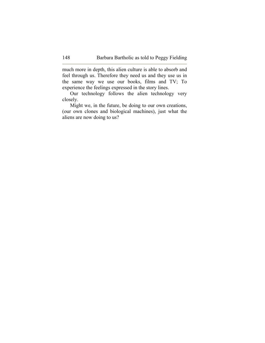much more in depth, this alien culture is able to absorb and feel through us. Therefore they need us and they use us in the same way we use our books, films and TV; To experience the feelings expressed in the story lines.

Our technology follows the alien technology very closely.

Might we, in the future, be doing to our own creations, (our own clones and biological machines), just what the aliens are now doing to us?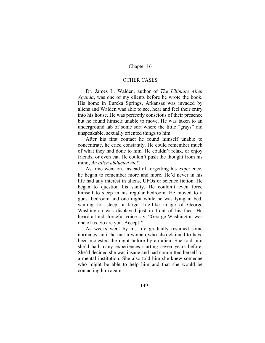### Chapter 16

#### OTHER CASES

Dr. James L. Walden, author of *The Ultimate Alien Agenda*, was one of my clients before he wrote the book. His home in Eureka Springs, Arkansas was invaded by aliens and Walden was able to see, hear and feel their entry into his house. He was perfectly conscious of their presence but he found himself unable to move. He was taken to an underground lab of some sort where the little "grays" did unspeakable, sexually oriented things to him.

After his first contact he found himself unable to concentrate, he cried constantly. He could remember much of what they had done to him. He couldn't relax, or enjoy friends, or even eat. He couldn't push the thought from his mind, *An alien abducted me*!"

As time went on, instead of forgetting his experience, he began to remember more and more. He'd never in his life had any interest in aliens, UFOs or science fiction. He began to question his sanity. He couldn't even force himself to sleep in his regular bedroom. He moved to a guest bedroom and one night while he was lying in bed, waiting for sleep, a large, life-like image of George Washington was displayed just in front of his face. He heard a loud, forceful voice say, "George Washington was one of us. So are you. Accept!"

As weeks went by his life gradually resumed some normalcy until he met a woman who also claimed to have been molested the night before by an alien. She told him she'd had many experiences starting seven years before. She'd decided she was insane and had committed herself to a mental institution. She also told him she knew someone who might be able to help him and that she would be contacting him again.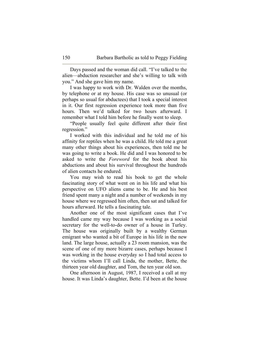Days passed and the woman did call. "I've talked to the alien—abduction researcher and she's willing to talk with you." And she gave him my name.

I was happy to work with Dr. Walden over the months, by telephone or at my house. His case was so unusual (or perhaps so usual for abductees) that I took a special interest in it. Our first regression experience took more than five hours. Then we'd talked for two hours afterward. I remember what I told him before he finally went to sleep.

"People usually feel quite different after their first regression."

I worked with this individual and he told me of his affinity for reptiles when he was a child. He told me a great many other things about his experiences, then told me he was going to write a book. He did and I was honored to be asked to write the *Foreword* for the book about his abductions and about his survival throughout the hundreds of alien contacts he endured.

You may wish to read his book to get the whole fascinating story of what went on in his life and what his perspective on UFO aliens came to be. He and his best friend spent many a night and a number of weekends in my house where we regressed him often, then sat and talked for hours afterward. He tells a fascinating tale.

Another one of the most significant cases that I've handled came my way because I was working as a social secretary for the well-to-do owner of a house in Turley. The house was originally built by a wealthy German emigrant who wanted a bit of Europe in his life in the new land. The large house, actually a 23 room mansion, was the scene of one of my more bizarre cases, perhaps because I was working in the house everyday so I had total access to the victims whom I'll call Linda, the mother, Bette, the thirteen year old daughter, and Tom, the ten year old son.

One afternoon in August, 1987, I received a call at my house. It was Linda's daughter, Bette. I'd been at the house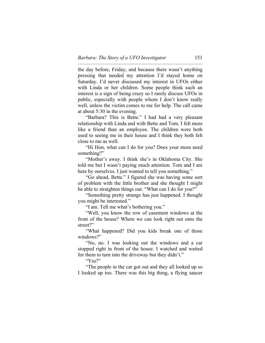the day before, Friday, and because there wasn't anything pressing that needed my attention I'd stayed home on Saturday. I'd never discussed my interest in UFOs either with Linda or her children. Some people think such an interest is a sign of being crazy so I rarely discuss UFOs in public, especially with people whom I don't know really well, unless the victim comes to me for help. The call came at about 5:30 in the evening.

"Barbara? This is Bette." I had had a very pleasant relationship with Linda and with Bette and Tom. I felt more like a friend than an employee. The children were both used to seeing me in their house and I think they both felt close to me as well.

"Hi Hon, what can I do for you? Does your mom need something?"

"Mother's away. I think she's in Oklahoma City. She told me but I wasn't paying much attention. Tom and I are here by ourselves. I just wanted to tell you something."

"Go ahead, Bette." I figured she was having some sort of problem with the little brother and she thought I might be able to straighten things out. "What can I do for you?"

"Something pretty strange has just happened. I thought you might be interested."

"I am. Tell me what's bothering you."

"Well, you know the row of casement windows at the front of the house? Where we can look right out onto the street?"

"What happened? Did you kids break one of those windows?"

"No, no. I was looking out the windows and a car stopped right in front of the house. I watched and waited for them to turn into the driveway but they didn't."

"Yes?"

"The people in the car got out and they all looked up so I looked up too. There was this big thing, a flying saucer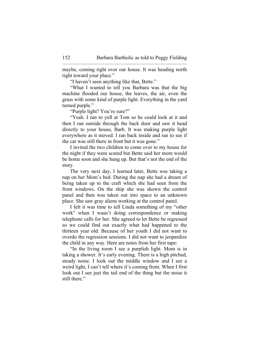maybe, coming right over our house. It was heading north right toward your place."

"I haven't seen anything like that, Bette."

"What I wanted to tell you Barbara was that the big machine flooded our house, the leaves, the air, even the grass with some kind of purple light. Everything in the yard turned purple."

"Purple light? You're sure?"

"Yeah. I ran to yell at Tom so he could look at it and then I ran outside through the back door and saw it head directly to your house, Barb. It was making purple light everywhere as it moved. I ran back inside and ran to see if the car was still there in front but it was gone."

I invited the two children to come over to my house for the night if they were scared but Bette said her mom would be home soon and she hung up. But that's not the end of the story.

The very next day, I learned later, Bette was taking a nap on her Mom's bed. During the nap she had a dream of being taken up to the craft which she had seen from the front windows. On the ship she was shown the control panel and then was taken out into space to an unknown place. She saw gray aliens working at the control panel.

I felt it was time to tell Linda something of my "other work" when I wasn't doing correspondence or making telephone calls for her. She agreed to let Bette be regressed so we could find out exactly what had happened to the thirteen year old. Because of her youth I did not want to overdo the regression sessions. I did not want to jeopardize the child in any way. Here are notes from her first tape:

"In the living room I see a purplish light. Mom is in taking a shower. It's early evening. There is a high pitched, steady noise. I look out the middle window and I see a weird light, I can't tell where it's coming from. When I first look out I see just the tail end of the thing but the noise it still there."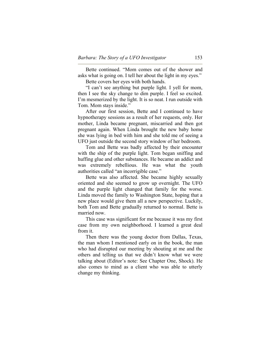Bette continued. "Mom comes out of the shower and asks what is going on. I tell her about the light in my eyes."

Bette covers her eyes with both hands.

"I can't see anything but purple light. I yell for mom, then I see the sky change to dim purple. I feel so excited. I'm mesmerized by the light. It is so neat. I run outside with Tom. Mom stays inside."

After our first session, Bette and I continued to have hypnotherapy sessions as a result of her requests, only. Her mother, Linda became pregnant, miscarried and then got pregnant again. When Linda brought the new baby home she was lying in bed with him and she told me of seeing a UFO just outside the second story window of her bedroom.

Tom and Bette was badly affected by their encounter with the ship of the purple light. Tom began sniffing and huffing glue and other substances. He became an addict and was extremely rebellious. He was what the youth authorities called "an incorrigible case."

Bette was also affected. She became highly sexually oriented and she seemed to grow up overnight. The UFO and the purple light changed that family for the worse. Linda moved the family to Washington State, hoping that a new place would give them all a new perspective. Luckily, both Tom and Bette gradually returned to normal. Bette is married now.

This case was significant for me because it was my first case from my own neighborhood. I learned a great deal from it.

Then there was the young doctor from Dallas, Texas, the man whom I mentioned early on in the book, the man who had disrupted our meeting by shouting at me and the others and telling us that we didn't know what we were talking about (Editor's note: See Chapter One, Shock). He also comes to mind as a client who was able to utterly change my thinking.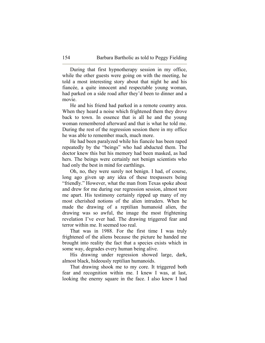During that first hypnotherapy session in my office, while the other guests were going on with the meeting, he told a most interesting story about that night he and his fiancée, a quite innocent and respectable young woman, had parked on a side road after they'd been to dinner and a movie.

He and his friend had parked in a remote country area. When they heard a noise which frightened them they drove back to town. In essence that is all he and the young woman remembered afterward and that is what he told me. During the rest of the regression session there in my office he was able to remember much, much more.

He had been paralyzed while his fiancée has been raped repeatedly by the "beings" who had abducted them. The doctor knew this but his memory had been masked, as had hers. The beings were certainly not benign scientists who had only the best in mind for earthlings.

Oh, no, they were surely not benign. I had, of course, long ago given up any idea of these trespassers being "friendly." However, what the man from Texas spoke about and drew for me during our regression session, almost tore me apart. His testimony certainly ripped up many of my most cherished notions of the alien intruders. When he made the drawing of a reptilian humanoid alien, the drawing was so awful, the image the most frightening revelation I've ever had. The drawing triggered fear and terror within me. It seemed too real.

That was in 1988. For the first time I was truly frightened of the aliens because the picture he handed me brought into reality the fact that a species exists which in some way, degrades every human being alive.

His drawing under regression showed large, dark, almost black, hideously reptilian humanoids.

That drawing shook me to my core. It triggered both fear and recognition within me. I knew I was, at last, looking the enemy square in the face. I also knew I had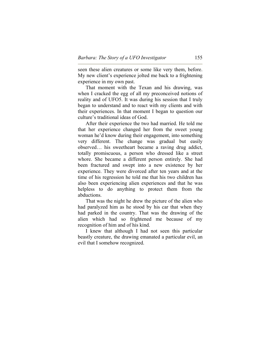seen these alien creatures or some like very them, before. My new client's experience jolted me back to a frightening experience in my own past.

That moment with the Texan and his drawing, was when I cracked the egg of all my preconceived notions of reality and of UFO5. It was during his session that I truly began to understand and to react with my clients and with their experiences. In that moment I began to question our culture's traditional ideas of God.

After their experience the two had married. He told me that her experience changed her from the sweet young woman he'd know during their engagement, into something very different. The change was gradual but easily observed… his sweetheart became a raving drug addict, totally promiscuous, a person who dressed like a street whore. She became a different person entirely. She had been fractured and swept into a new existence by her experience. They were divorced after ten years and at the time of his regression he told me that his two children has also been experiencing alien experiences and that he was helpless to do anything to protect them from the abductions.

That was the night he drew the picture of the alien who had paralyzed him as he stood by his car that when they had parked in the country. That was the drawing of the alien which had so frightened me because of my recognition of him and of his kind.

I knew that although I had not seen this particular beastly creature, the drawing emanated a particular evil, an evil that I somehow recognized.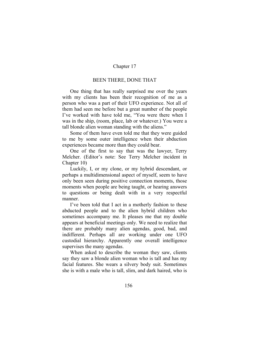## Chapter 17

#### BEEN THERE, DONE THAT

One thing that has really surprised me over the years with my clients has been their recognition of me as a person who was a part of their UFO experience. Not all of them had seen me before but a great number of the people I've worked with have told me, "You were there when I was in the ship, (room, place, lab or whatever.) You were a tall blonde alien woman standing with the aliens."

Some of them have even told me that they were guided to me by some outer intelligence when their abduction experiences became more than they could bear.

One of the first to say that was the lawyer, Terry Melcher. (Editor's note: See Terry Melcher incident in Chapter 10)

Luckily, I, or my clone, or my hybrid descendant, or perhaps a multidimensional aspect of myself, seem to have only been seen during positive connection moments, those moments when people are being taught, or hearing answers to questions or being dealt with in a very respectful manner.

I've been told that I act in a motherly fashion to these abducted people and to the alien hybrid children who sometimes accompany me. It pleases me that my double appears at beneficial meetings only. We need to realize that there are probably many alien agendas, good, bad, and indifferent. Perhaps all are working under one UFO custodial hierarchy. Apparently one overall intelligence supervises the many agendas.

When asked to describe the woman they saw, clients say they saw a blonde alien woman who is tall and has my facial features. She wears a silvery body suit. Sometimes she is with a male who is tall, slim, and dark haired, who is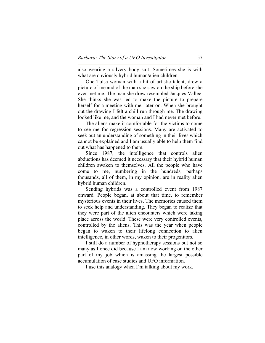also wearing a silvery body suit. Sometimes she is with what are obviously hybrid human/alien children.

One Tulsa woman with a bit of artistic talent, drew a picture of me and of the man she saw on the ship before she ever met me. The man she drew resembled Jacques Vallee. She thinks she was led to make the picture to prepare herself for a meeting with me, later on. When she brought out the drawing I felt a chill run through me. The drawing looked like me, and the woman and I had never met before.

The aliens make it comfortable for the victims to come to see me for regression sessions. Many are activated to seek out an understanding of something in their lives which cannot be explained and I am usually able to help them find out what has happened to them.

Since 1987, the intelligence that controls alien abductions has deemed it necessary that their hybrid human children awaken to themselves. All the people who have come to me, numbering in the hundreds, perhaps thousands, all of them, in my opinion, are in reality alien hybrid human children.

Sending hybrids was a controlled event from 1987 onward. People began, at about that time, to remember mysterious events in their lives. The memories caused them to seek help and understanding. They began to realize that they were part of the alien encounters which were taking place across the world. These were very controlled events, controlled by the aliens. This was the year when people began to waken to their lifelong connection to alien intelligence, in other words, waken to their progenitors.

I still do a number of hypnotherapy sessions but not so many as I once did because I am now working on the other part of my job which is amassing the largest possible accumulation of case studies and UFO information.

I use this analogy when I'm talking about my work.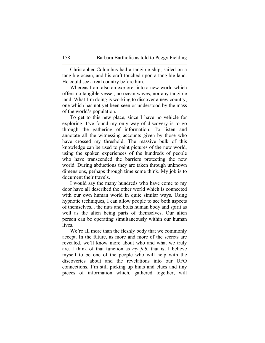Christopher Columbus had a tangible ship, sailed on a tangible ocean, and his craft touched upon a tangible land. He could see a real country before him.

Whereas I am also an explorer into a new world which offers no tangible vessel, no ocean waves, nor any tangible land. What I'm doing is working to discover a new country, one which has not yet been seen or understood by the mass of the world's population.

To get to this new place, since I have no vehicle for exploring, I've found my only way of discovery is to go through the gathering of information: To listen and annotate all the witnessing accounts given by those who have crossed my threshold. The massive bulk of this knowledge can be used to paint pictures of the new world, using the spoken experiences of the hundreds of people who have transcended the barriers protecting the new world. During abductions they are taken through unknown dimensions, perhaps through time some think. My job is to document their travels.

I would say the many hundreds who have come to my door have all described the other world which is connected with our own human world in quite similar ways. Using hypnotic techniques, I can allow people to see both aspects of themselves... the nuts and bolts human body and spirit as well as the alien being parts of themselves. Our alien person can be operating simultaneously within our human lives.

We're all more than the fleshly body that we commonly accept. In the future, as more and more of the secrets are revealed, we'll know more about who and what we truly are. I think of that function as *my job*, that is, I believe myself to be one of the people who will help with the discoveries about and the revelations into our UFO connections. I'm still picking up hints and clues and tiny pieces of information which, gathered together, will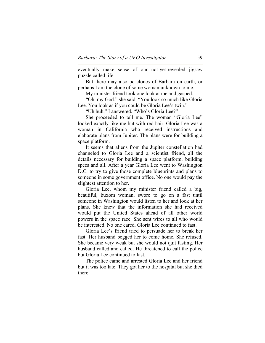eventually make sense of our not-yet-revealed jigsaw puzzle called life.

But there may also be clones of Barbara on earth, or perhaps I am the clone of some woman unknown to me.

My minister friend took one look at me and gasped.

"Oh, my God." she said, "You look so much like Gloria Lee. You look as if you could be Gloria Lee's twin."

"Uh huh," I answered. "Who's Gloria Lee?"

She proceeded to tell me. The woman "Gloria Lee" looked exactly like me but with red hair. Gloria Lee was a woman in California who received instructions and elaborate plans from Jupiter. The plans were for building a space platform.

It seems that aliens from the Jupiter constellation had channeled to Gloria Lee and a scientist friend, all the details necessary for building a space platform, building specs and all. After a year Gloria Lee went to Washington D.C. to try to give those complete blueprints and plans to someone in some government office. No one would pay the slightest attention to her.

Gloria Lee, whom my minister friend called a big, beautiful, buxom woman, swore to go on a fast until someone in Washington would listen to her and look at her plans. She knew that the information she had received would put the United States ahead of all other world powers in the space race. She sent wires to all who would be interested. No one cared. Gloria Lee continued to fast.

Gloria Lee's friend tried to persuade her to break her fast. Her husband begged her to come home. She refused. She became very weak but she would not quit fasting. Her husband called and called. He threatened to call the police but Gloria Lee continued to fast.

The police came and arrested Gloria Lee and her friend but it was too late. They got her to the hospital but she died there.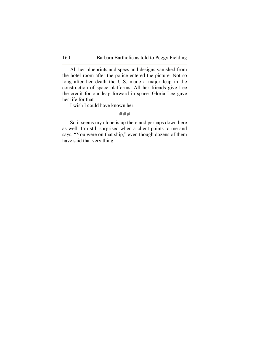All her blueprints and specs and designs vanished from the hotel room after the police entered the picture. Not so long after her death the U.S. made a major leap in the construction of space platforms. All her friends give Lee the credit for our leap forward in space. Gloria Lee gave her life for that.

I wish I could have known her.

#### # # #

So it seems my clone is up there and perhaps down here as well. I'm still surprised when a client points to me and says, "You were on that ship," even though dozens of them have said that very thing.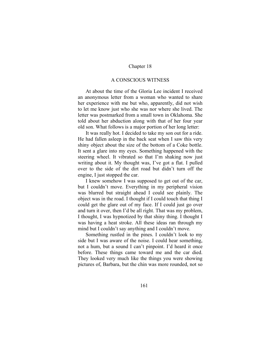### Chapter 18

# A CONSCIOUS WITNESS

At about the time of the Gloria Lee incident I received an anonymous letter from a woman who wanted to share her experience with me but who, apparently, did not wish to let me know just who she was nor where she lived. The letter was postmarked from a small town in Oklahoma. She told about her abduction along with that of her four year old son. What follows is a major portion of her long letter:

It was really hot. I decided to take my son out for a ride. He had fallen asleep in the back seat when I saw this very shiny object about the size of the bottom of a Coke bottle. It sent a glare into my eyes. Something happened with the steering wheel. It vibrated so that I'm shaking now just writing about it. My thought was, I've got a flat. I pulled over to the side of the dirt road but didn't turn off the engine, I just stopped the car.

I knew somehow I was supposed to get out of the car, but I couldn't move. Everything in my peripheral vision was blurred but straight ahead I could see plainly. The object was in the road. I thought if I could touch that thing I could get the glare out of my face. If I could just go over and turn it over, then I'd be all right. That was my problem, I thought, I was hypnotized by that shiny thing. I thought I was having a heat stroke. All these ideas ran through my mind but I couldn't say anything and I couldn't move.

Something rustled in the pines. I couldn't look to my side but I was aware of the noise. I could hear something, not a hum, but a sound I can't pinpoint. I'd heard it once before. These things came toward me and the car died. They looked very much like the things you were showing pictures of, Barbara, but the chin was more rounded, not so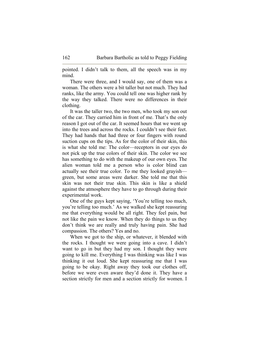pointed. I didn't talk to them, all the speech was in my mind.

There were three, and I would say, one of them was a woman. The others were a bit taller but not much. They had ranks, like the army. You could tell one was higher rank by the way they talked. There were no differences in their clothing.

It was the taller two, the two men, who took my son out of the car. They carried him in front of me. That's the only reason I got out of the car. It seemed hours that we went up into the trees and across the rocks. I couldn't see their feet. They had hands that had three or four fingers with round suction cups on the tips. As for the color of their skin, this is what she told me: The color—receptors in our eyes do not pick up the true colors of their skin. The color we see has something to do with the makeup of our own eyes. The alien woman told me a person who is color blind can actually see their true color. To me they looked grayish green, but some areas were darker. She told me that this skin was not their true skin. This skin is like a shield against the atmosphere they have to go through during their experimental work.

One of the guys kept saying, 'You're telling too much, you're telling too much.' As we walked she kept reassuring me that everything would be all right. They feel pain, but not like the pain we know. When they do things to us they don't think we are really and truly having pain. She had compassion. The others? Yes and no.

When we got to the ship, or whatever, it blended with the rocks. I thought we were going into a cave. I didn't want to go in but they had my son. I thought they were going to kill me. Everything I was thinking was like I was thinking it out loud. She kept reassuring me that I was going to be okay. Right away they took our clothes off, before we were even aware they'd done it. They have a section strictly for men and a section strictly for women. I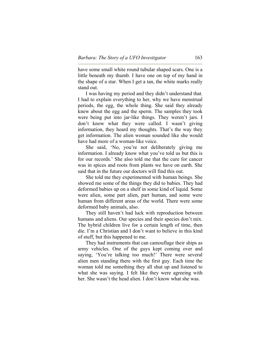have some small white round tubular shaped scars. One is a little beneath my thumb. I have one on top of my hand in the shape of a star. When I get a tan, the white marks really stand out.

I was having my period and they didn't understand that. I had to explain everything to her, why we have menstrual periods, the egg, the whole thing. She said they already knew about the egg and the sperm. The samples they took were being put into jar-like things. They weren't jars. I don't know what they were called. I wasn't giving information, they heard my thoughts. That's the way they get information. The alien woman sounded like she would have had more of a woman-like voice.

She said, 'No, you're not deliberately giving me information. I already know what you've told us but this is for our records.' She also told me that the cure for cancer was in spices and roots from plants we have on earth. She said that in the future our doctors will find this out.

She told me they experimented with human beings. She showed me some of the things they did to babies. They had deformed babies up on a shelf in some kind of liquid. Some were alien, some part alien, part human, and some were human from different areas of the world. There were some deformed baby animals, also.

They still haven't had luck with reproduction between humans and aliens. Our species and their species don't mix. The hybrid children live for a certain length of time, then die. I'm a Christian and I don't want to believe in this kind of stuff, but this happened to me.

They had instruments that can camouflage their ships as army vehicles. One of the guys kept coming over and saying, 'You're talking too much!' There were several alien men standing there with the first guy. Each time the woman told me something they all shut up and listened to what she was saying. I felt like they were agreeing with her. She wasn't the head alien. I don't know what she was.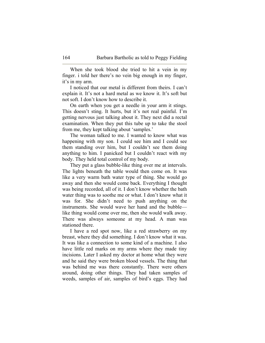When she took blood she tried to hit a vein in my finger. i told her there's no vein big enough in my finger, it's in my arm.

I noticed that our metal is different from theirs. I can't explain it. It's not a hard metal as we know it. It's soft but not soft. I don't know how to describe it.

On earth when you get a needle in your arm it stings. This doesn't sting. It hurts, but it's not real painful. I'm getting nervous just talking about it. They next did a rectal examination. When they put this tube up to take the stool from me, they kept talking about 'samples.'

The woman talked to me. I wanted to know what was happening with my son. I could see him and I could see them standing over him, but I couldn't see them doing anything to him. I panicked but I couldn't react with my body. They held total control of my body.

They put a glass bubble-like thing over me at intervals. The lights beneath the table would then come on. It was like a very warm bath water type of thing. She would go away and then she would come back. Everything I thought was being recorded, all of it. I don't know whether the bath water thing was to soothe me or what. I don't know what it was for. She didn't need to push anything on the instruments. She would wave her hand and the bubble like thing would come over me, then she would walk away. There was always someone at my head. A man was stationed there.

I have a red spot now, like a red strawberry on my breast, where they did something. I don't know what it was. It was like a connection to some kind of a machine. I also have little red marks on my arms where they made tiny incisions. Later I asked my doctor at home what they were and he said they were broken blood vessels. The thing that was behind me was there constantly. There were others around, doing other things. They had taken samples of weeds, samples of air, samples of bird's eggs. They had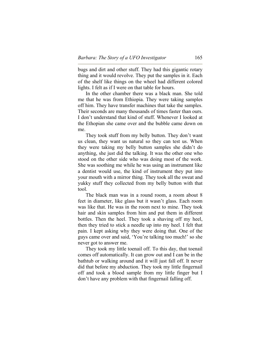bugs and dirt and other stuff. They had this gigantic rotary thing and it would revolve. They put the samples in it. Each of the shelf like things on the wheel had different colored lights. I felt as if I were on that table for hours.

In the other chamber there was a black man. She told me that he was from Ethiopia. They were taking samples off him. They have transfer machines that take the samples. Their seconds are many thousands of times faster than ours. I don't understand that kind of stuff. Whenever I looked at the Ethopian she came over and the bubble came down on me.

They took stuff from my belly button. They don't want us clean, they want us natural so they can test us. When they were taking my belly button samples she didn't do anything, she just did the talking. It was the other one who stood on the other side who was doing most of the work. She was soothing me while he was using an instrument like a dentist would use, the kind of instrument they put into your mouth with a mirror thing. They took all the sweat and yukky stuff they collected from my belly button with that tool.

The black man was in a round room, a room about 8 feet in diameter, like glass but it wasn't glass. Each room was like that. He was in the room next to mine. They took hair and skin samples from him and put them in different bottles. Then the heel. They took a shaving off my heel, then they tried to stick a needle up into my heel. I felt that pain. I kept asking why they were doing that. One of the guys came over and said, 'You're talking too much!' so she never got to answer me.

They took my little toenail off. To this day, that toenail comes off automatically. It can grow out and I can be in the bathtub or walking around and it will just fall off. It never did that before my abduction. They took my little fingernail off and took a blood sample from my little finger but I don't have any problem with that fingernail falling off.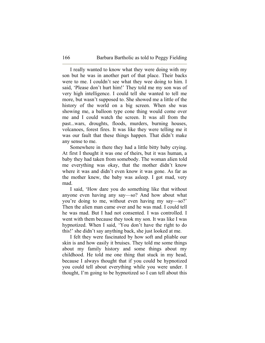I really wanted to know what they were doing with my son but he was in another part of that place. Their backs were to me. I couldn't see what they wee doing to him. I said, 'Please don't hurt him!' They told me my son was of very high intelligence. I could tell she wanted to tell me more, but wasn't supposed to. She showed me a little of the history of the world on a big screen. When she was showing me, a balloon type cone thing would come over me and I could watch the screen. It was all from the past...wars, droughts, floods, murders, burning houses, volcanoes, forest fires. It was like they were telling me it was our fault that these things happen. That didn't make any sense to me.

Somewhere in there they had a little bitty baby crying. At first I thought it was one of theirs, but it was human, a baby they had taken from somebody. The woman alien told me everything was okay, that the mother didn't know where it was and didn't even know it was gone. As far as the mother knew, the baby was asleep. I got mad, very mad.

I said, 'How dare you do something like that without anyone even having any say—so? And how about what you're doing to me, without even having my say—so?' Then the alien man came over and he was mad. I could tell he was mad. But I had not consented. I was controlled. I went with them because they took my son. It was like I was hypnotized. When I said, 'You don't have the right to do this!' she didn't say anything back, she just looked at me.

I felt they were fascinated by how soft and pliable our skin is and how easily it bruises. They told me some things about my family history and some things about my childhood. He told me one thing that stuck in my head, because I always thought that if you could be hypnotized you could tell about everything while you were under. I thought, I'm going to be hypnotized so I can tell about this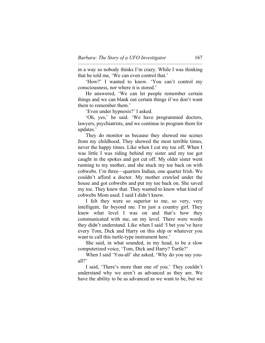in a way so nobody thinks I'm crazy. While I was thinking that he told me, 'We can even control that.'

'How?' I wanted to know. 'You can't control my consciousness, nor where it is stored.'

He answered, 'We can let people remember certain things and we can blank out certain things if we don't want them to remember them.'

'Even under hypnosis?' I asked.

'Oh, yes,' he said. 'We have programmed doctors, lawyers, psychiatrists, and we continue to program them for updates.'

They do monitor us because they showed me scenes from my childhood. They showed the most terrible times, never the happy times. Like when I cut my toe off. When I was little I was riding behind my sister and my toe got caught in the spokes and got cut off. My older sister went running to my mother, and she stuck my toe back on with cobwebs. I'm three—quarters Indian, one quarter Irish. We couldn't afford a doctor. My mother crawled under the house and got cobwebs and put my toe back on. She saved my toe. They knew that. They wanted to know what kind of cobwebs Mom used. I said I didn't know.

I felt they were so superior to me, so very, very intelligent, far beyond me. I'm just a country girl. They knew what level I was on and that's how they communicated with me, on my level. There were words they didn't understand. Like when I said 'I bet you've have every Tom, Dick and Harry on this ship or whatever you want to call this turtle-type instrument here.'

She said, in what sounded, in my head, to be a slow computerized voice, 'Tom, Dick and Harry? Turtle?'

When I said 'You-all' she asked, 'Why do you say youall?'

I said, 'There's more than one of you.' They couldn't understand why we aren't as advanced as they are. We have the ability to be as advanced as we want to be, but we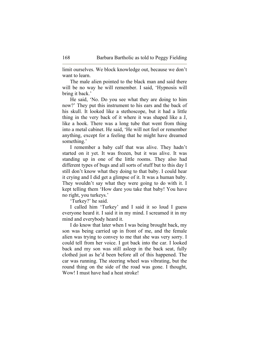limit ourselves. We block knowledge out, because we don't want to learn.

The male alien pointed to the black man and said there will be no way he will remember. I said, 'Hypnosis will bring it back.'

He said, 'No. Do you see what they are doing to him now?' They put this instrument to his ears and the back of his skull. It looked like a stethoscope, but it had a little thing in the very back of it where it was shaped like a J, like a hook. There was a long tube that went from thing into a metal cabinet. He said, 'He will not feel or remember anything, except for a feeling that he might have dreamed something.'

I remember a baby calf that was alive. They hadn't started on it yet. It was frozen, but it was alive. It was standing up in one of the little rooms. They also had different types of bugs and all sorts of stuff but to this day I still don't know what they doing to that baby. I could hear it crying and I did get a glimpse of it. It was a human baby. They wouldn't say what they were going to do with it. I kept telling them 'How dare you take that baby! You have no right, you turkeys.'

'Turkey?' he said.

I called him 'Turkey' and I said it so loud I guess everyone heard it. I said it in my mind. I screamed it in my mind and everybody heard it.

I do know that later when I was being brought back, my son was being carried up in front of me, and the female alien was trying to convey to me that she was very sorry. I could tell from her voice. I got back into the car. I looked back and my son was still asleep in the back seat, fully clothed just as he'd been before all of this happened. The car was running. The steering wheel was vibrating, but the round thing on the side of the road was gone. I thought, Wow! I must have had a heat stroke!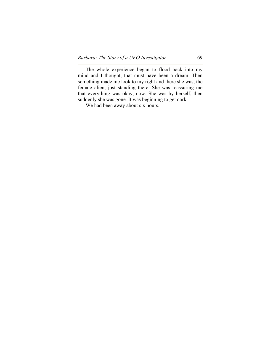The whole experience began to flood back into my mind and I thought, that must have been a dream. Then something made me look to my right and there she was, the female alien, just standing there. She was reassuring me that everything was okay, now. She was by herself, then suddenly she was gone. It was beginning to get dark.

We had been away about six hours.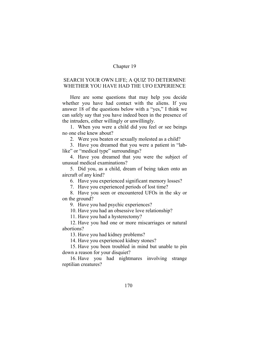### Chapter 19

# SEARCH YOUR OWN LIFE; A QUIZ TO DETERMINE WHETHER YOU HAVE HAD THE UFO EXPERIENCE

Here are some questions that may help you decide whether you have had contact with the aliens. If you answer 18 of the questions below with a "yes," I think we can safely say that you have indeed been in the presence of the intruders, either willingly or unwillingly.

1. When you were a child did you feel or see beings no one else knew about?

2. Were you beaten or sexually molested as a child?

3. Have you dreamed that you were a patient in "lablike" or "medical type" surroundings?

4. Have you dreamed that you were the subject of unusual medical examinations?

5. Did you, as a child, dream of being taken onto an aircraft of any kind?

6. Have you experienced significant memory losses?

7. Have you experienced periods of lost time?

8. Have you seen or encountered UFOs in the sky or on the ground?

9. Have you had psychic experiences?

10. Have you had an obsessive love relationship?

11. Have you had a hysterectomy?

12. Have you had one or more miscarriages or natural abortions?

13. Have you had kidney problems?

14. Have you experienced kidney stones?

15. Have you been troubled in mind but unable to pin down a reason for your disquiet?

16. Have you had nightmares involving strange reptilian creatures?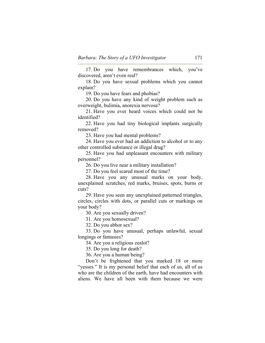17. Do you have remembrances which, you've discovered, aren't even real?

18. Do you have sexual problems which you cannot explain?

19. Do you have fears and phobias?

20. Do you have any kind of weight problem such as overweight, bulimia, anorexia nervosa?

21. Have you ever heard voices which could not be identified?

22. Have you had tiny biological implants surgically removed?

23. Have you had mental problems?

24. Have you ever had an addiction to alcohol or to any other controlled substance or illegal drug?

25. Have you had unpleasant encounters with military personnel?

26. Do you live near a military installation?

27. Do you feel scared most of the time?

28. Have you any unusual marks on your body, unexplained scratches, red marks, bruises, spots, burns or cuts?

29. Have you seen any unexplained patterned triangles, circles, circles with dots, or parallel cuts or markings on your body?

30. Are you sexually driven?

31. Are you homosexual?

32. Do you abhor sex?

33. Do you have unusual, perhaps unlawful, sexual longings or fantasies?

34. Are you a religious zealot?

35. Do you long for death?

36. Are you a human being?

Don't be frightened that you marked 18 or more "yesses." It is my personal belief that each of us, all of us who are the children of the earth, have had encounters with aliens. We have all been with them because we were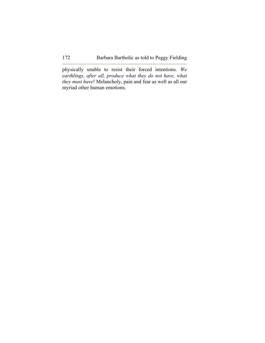physically unable to resist their forced intentions. *We*  earthlings, after all, produce what they do not have, what *they must have*! Melancholy, pain and fear as well as all our myriad other human emotions.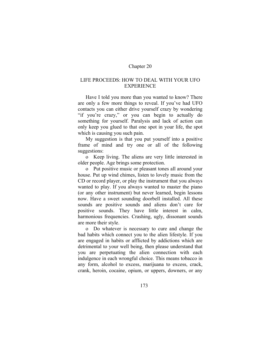### Chapter 20

# LIFE PROCEEDS: HOW TO DEAL WITH YOUR UFO EXPERIENCE

Have I told you more than you wanted to know? There are only a few more things to reveal. If you've had UFO contacts you can either drive yourself crazy by wondering "if you're crazy," or you can begin to actually do something for yourself. Paralysis and lack of action can only keep you glued to that one spot in your life, the spot which is causing you such pain.

My suggestion is that you put yourself into a positive frame of mind and try one or all of the following suggestions:

o Keep living. The aliens are very little interested in older people. Age brings some protection.

o Put positive music or pleasant tones all around your house. Put up wind chimes, listen to lovely music from the CD or record player, or play the instrument that you always wanted to play. If you always wanted to master the piano (or any other instrument) but never learned, begin lessons now. Have a sweet sounding doorbell installed. All these sounds are positive sounds and aliens don't care for positive sounds. They have little interest in calm, harmonious frequencies. Crashing, ugly, dissonant sounds are more their style.

o Do whatever is necessary to cure and change the bad habits which connect you to the alien lifestyle. If you are engaged in habits or afflicted by addictions which are detrimental to your well being, then please understand that you are perpetuating the alien connection with each indulgence in each wrongful choice. This means tobacco in any form, alcohol to excess, marijuana to excess, crack, crank, heroin, cocaine, opium, or uppers, downers, or any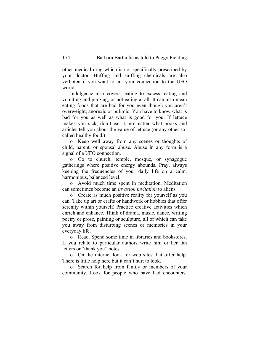other medical drug which is not specifically prescribed by your doctor. Huffing and sniffing chemicals are also verboten if you want to cut your connection to the UFO world.

Indulgence also covers: eating to excess, eating and vomiting and purging, or not eating at all. It can also mean eating foods that are bad for you even though you aren't overweight, anorexic or bulimic. You have to know what is bad for you as well as what is good for you. If lettuce makes you sick, don't eat it, no matter what books and articles tell you about the value of lettuce (or any other socalled healthy food.)

o Keep well away from any scenes or thoughts of child, parent, or spousal abuse. Abuse in any form is a signal of a UFO connection.

o Go to church, temple, mosque, or synagogue gatherings where positive energy abounds. Pray, always keeping the frequencies of your daily life on a calm, harmonious, balanced level.

o Avoid much time spent in meditation. Meditation can sometimes become an *invasion invitation* to aliens.

o Create as much positive reality for yourself as you can. Take up art or crafts or handwork or hobbies that offer serenity within yourself. Practice creative activities which enrich and enhance. Think of drama, music, dance, writing poetry or prose, painting or sculpture, all of which can take you away from disturbing scenes or memories in your everyday life.

o Read. Spend some time in libraries and bookstores. If you relate to particular authors write him or her fan letters or "thank you" notes.

o On the internet look for web sites that offer help. There is little help here but it can't hurt to look.

o Search for help from family or members of your community. Look for people who have had encounters.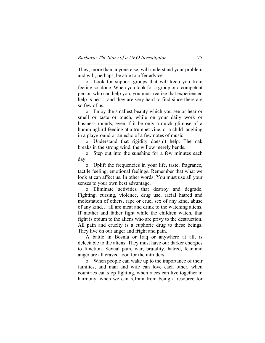They, more than anyone else, will understand your problem and will, perhaps, be able to offer advice.

o Look for support groups that will keep you from feeling so alone. When you look for a group or a competent person who can help you, you must realize that experienced help is best... and they are very hard to find since there are so few of us.

o Enjoy the smallest beauty which you see or hear or smell or taste or touch, while on your daily work or business rounds, even if it be only a quick glimpse of a hummingbird feeding at a trumpet vine, or a child laughing in a playground or an echo of a few notes of music.

o Understand that rigidity doesn't help. The oak breaks in the strong wind, the willow merely bends.

o Step out into the sunshine for a few minutes each day.

o Uplift the frequencies in your life, taste, fragrance, tactile feeling, emotional feelings. Remember that what we look at can affect us. In other words: You must use all your senses to your own best advantage.

o Eliminate activities that destroy and degrade. Fighting, cursing, violence, drug use, racial hatred and molestation of others, rape or cruel sex of any kind, abuse of any kind… all are meat and drink to the watching aliens. If mother and father fight while the children watch, that fight is opium to the aliens who are privy to the destruction. All pain and cruelty is a euphoric drug to these beings. They live on our anger and fright and pain.

A battle in Bosnia or Iraq or anywhere at all, is delectable to the aliens. They must have our darker energies to function. Sexual pain, war, brutality, hatred, fear and anger are all craved food for the intruders.

o When people can wake up to the importance of their families, and man and wife can love each other, when countries can stop fighting, when races can live together in harmony, when we can refrain from being a resource for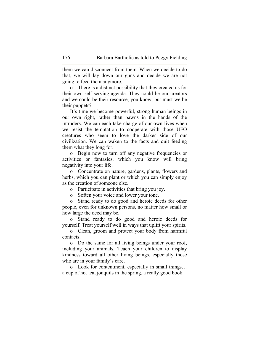them we can disconnect from them. When we decide to do that, we will lay down our guns and decide we are not going to feed them anymore.

o There is a distinct possibility that they created us for their own self-serving agenda. They could be our creators and we could be their resource, you know, but must we be their puppets?

It's time we become powerful, strong human beings in our own right, rather than pawns in the hands of the intruders. We can each take charge of our own lives when we resist the temptation to cooperate with those UFO creatures who seem to love the darker side of our civilization. We can waken to the facts and quit feeding them what they long for.

o Begin now to turn off any negative frequencies or activities or fantasies, which you know will bring negativity into your life.

o Concentrate on nature, gardens, plants, flowers and herbs, which you can plant or which you can simply enjoy as the creation of someone else.

o Participate in activities that bring you joy.

o Soften your voice and lower your tone.

Stand ready to do good and heroic deeds for other people, even for unknown persons, no matter how small or how large the deed may be.

o Stand ready to do good and heroic deeds for yourself. Treat yourself well in ways that uplift your spirits.

o Clean, groom and protect your body from harmful contacts.

o Do the same for all living beings under your roof, including your animals. Teach your children to display kindness toward all other living beings, especially those who are in your family's care.

o Look for contentment, especially in small things… a cup of hot tea, jonquils in the spring, a really good book.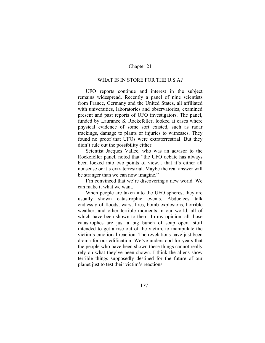## Chapter 21

## WHAT IS IN STORE FOR THE U.S.A?

UFO reports continue and interest in the subject remains widespread. Recently a panel of nine scientists from France, Germany and the United States, all affiliated with universities, laboratories and observatories, examined present and past reports of UFO investigators. The panel, funded by Laurance S. Rockefeller, looked at cases where physical evidence of some sort existed, such as radar trackings, damage to plants or injuries to witnesses. They found no proof that UFOs were extraterrestrial. But they didn't rule out the possibility either.

Scientist Jacques Vallee, who was an advisor to the Rockefeller panel, noted that "the UFO debate has always been locked into two points of view... that it's either all nonsense or it's extraterrestrial. Maybe the real answer will be stranger than we can now imagine."

I'm convinced that we're discovering a new world. We can make it what we want.

When people are taken into the UFO spheres, they are usually shown catastrophic events. Abductees talk endlessly of floods, wars, fires, bomb explosions, horrible weather, and other terrible moments in our world, all of which have been shown to them. In my opinion, all those catastrophes are just a big bunch of soap opera stuff intended to get a rise out of the victim, to manipulate the victim's emotional reaction. The revelations have just been drama for our edification. We've understood for years that the people who have been shown these things cannot really rely on what they've been shown. I think the aliens show terrible things supposedly destined for the future of our planet just to test their victim's reactions.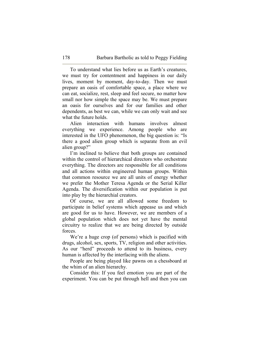To understand what lies before us as Earth's creatures, we must try for contentment and happiness in our daily lives, moment by moment, day-to-day. Then we must prepare an oasis of comfortable space, a place where we can eat, socialize, rest, sleep and feel secure, no matter how small nor how simple the space may be. We must prepare an oasis for ourselves and for our families and other dependents, as best we can, while we can only wait and see what the future holds.

Alien interaction with humans involves almost everything we experience. Among people who are interested in the UFO phenomenon, the big question is: "Is there a good alien group which is separate from an evil alien group?"

I'm inclined to believe that both groups are contained within the control of hierarchical directors who orchestrate everything. The directors are responsible for all conditions and all actions within engineered human groups. Within that common resource we are all units of energy whether we prefer the Mother Teresa Agenda or the Serial Killer Agenda. The diversification within our population is put into play by the hierarchial creators.

Of course, we are all allowed some freedom to participate in belief systems which appease us and which are good for us to have. However, we are members of a global population which does not yet have the mental circuitry to realize that we are being directed by outside forces.

We're a huge crop (of persons) which is pacified with drugs, alcohol, sex, sports, TV, religion and other activities. As our "herd" proceeds to attend to its business, every human is affected by the interfacing with the aliens.

People are being played like pawns on a chessboard at the whim of an alien hierarchy.

Consider this: If you feel emotion you are part of the experiment. You can be put through hell and then you can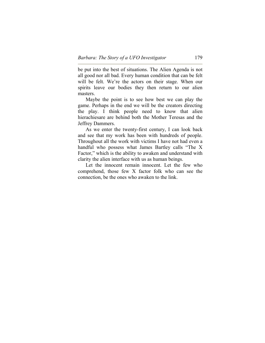be put into the best of situations. The Alien Agenda is not all good nor all bad. Every human condition that can be felt will be felt. We're the actors on their stage. When our spirits leave our bodies they then return to our alien masters.

Maybe the point is to see how best we can play the game. Perhaps in the end we will be the creators directing the play. I think people need to know that alien hierachiesare are behind both the Mother Teresas and the Jeffrey Dammers.

As we enter the twenty-first century, I can look back and see that my work has been with hundreds of people. Throughout all the work with victims I have not had even a handful who possess what James Bartley calls "The X Factor," which is the ability to awaken and understand with clarity the alien interface with us as human beings.

Let the innocent remain innocent. Let the few who comprehend, those few X factor folk who can see the connection, be the ones who awaken to the link.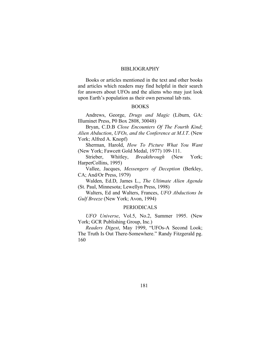### BIBLIOGRAPHY

Books or articles mentioned in the text and other books and articles which readers may find helpful in their search for answers about UFOs and the aliens who may just look upon Earth's population as their own personal lab rats.

#### BOOKS

Andrews, George, *Drugs and Magic* (Liburn, GA: Illuminet Press, P0 Box 2808, 30048)

Bryan, C.D.B *Close Encounters Of The Fourth Kind*; *Alien Abduction*, *UFOs, and the Conference at M.I.T*. (New York; Alfred A. Knopf)

Sherman, Harold, *How To Picture What You Want* (New York; Fawcett Gold Medal, 1977) 109-111.

Strieber, Whitley, *Breakthrough* (New York; HarperCollins, 1995)

Vallee, Jacques, *Messengers of Deception* (Berkley, CA; And/Or Press, 1979)

Walden, Ed.D, James L., *The Ultimate Alien Agenda* (St. Paul, Minnesota; Lewellyn Press, 1998)

Walters, Ed and Walters, Frances, *UFO Abductions In Gulf Breeze* (New York; Avon, 1994)

#### PERIODICALS

*UFO Universe*, Vol.5, No.2, Summer 1995. (New York; GCR Publishing Group, Inc.)

*Readers Digest*, May 1999, "UFOs-A Second Look; The Truth Is Out There-Somewhere." Randy Fitzgerald pg. 160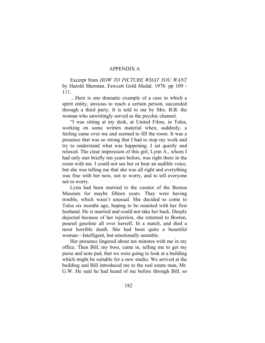## APPENDIX A

Excerpt from *HOW TO PICTURE WHAT YOU WANT* by Harold Sherman. Fawcett Gold Medal. 1978. pp 109 - 111.

…Here is one dramatic example of a case in which a spirit entity, anxious to reach a certain person, succeeded through a third party. It is told to me by Mrs. B.B. the woman who unwittingly served as the psychic channel.

"I was sitting at my desk, at United Films, in Tulsa, working on some written material when, suddenly, a feeling came over me and seemed to fill the room. It was a presence that was so strong that I had to stop my work and try to understand what was happening. I sat quietly and relaxed. The clear impression of this girl, Lynn A., whom I had only met briefly ten years before, was right there in the room with me. I could not see her or hear an audible voice, but she was telling me that she was all right and everything was fine with her now, not to worry, and to tell everyone not to worry.

Lynn had been married to the curator of the Boston Museum for maybe fifteen years. They were having trouble, which wasn't unusual. She decided to come to Tulsa six months ago, hoping to be reunited with her first husband. He is married and could not take her back. Deeply dejected because of her rejection, she returned to Boston, poured gasoline all over herself, lit a match, and died a most horrible death. She had been quite a beautiful woman—Intelligent, but emotionally unstable.

Her presence lingered about ten minutes with me in my office. Then Bill, my boss, came in, telling me to get my purse and note pad, that we were going to look at a building which might be suitable for a new studio. We arrived at the building and Bill introduced me to the real estate man, Mr. G.W. He said he had heard of me before through Bill, so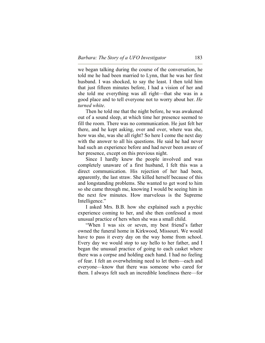we began talking during the course of the conversation, he told me he had been married to Lynn, that he was her first husband. I was shocked, to say the least. I then told him that just fifteen minutes before, I had a vision of her and she told me everything was all right—that she was in a good place and to tell everyone not to worry about her. *He turned white*.

Then he told me that the night before, he was awakened out of a sound sleep, at which time her presence seemed to fill the room. There was no communication. He just felt her there, and he kept asking, over and over, where was she, how was she, was she all right? So here I come the next day with the answer to all his questions. He said he had never had such an experience before and had never been aware of her presence, except on this previous night.

Since I hardly knew the people involved and was completely unaware of a first husband, I felt this was a direct communication. His rejection of her had been, apparently, the last straw. She killed herself because of this and longstanding problems. She wanted to get word to him so she came through me, knowing I would be seeing him in the next few minutes. How marvelous is the Supreme Intelligence."

I asked Mrs. B.B. how she explained such a psychic experience coming to her, and she then confessed a most unusual practice of hers when she was a small child.

"When I was six or seven, my best friend's father owned the funeral home in Kirkwood, Missouri. We would have to pass it every day on the way home from school. Every day we would stop to say hello to her father, and I began the unusual practice of going to each casket where there was a corpse and holding each hand. I had no feeling of fear. I felt an overwhelming need to let them—each and everyone—know that there was someone who cared for them. I always felt such an incredible loneliness there—for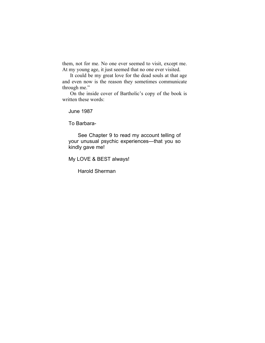them, not for me. No one ever seemed to visit, except me. At my young age, it just seemed that no one ever visited.

It could be my great love for the dead souls at that age and even now is the reason they sometimes communicate through me."

On the inside cover of Bartholic's copy of the book is written these words:

June 1987

To Barbara-

See Chapter 9 to read my account telling of your unusual psychic experiences—that you so kindly gave me!

My LOVE & BEST always!

Harold Sherman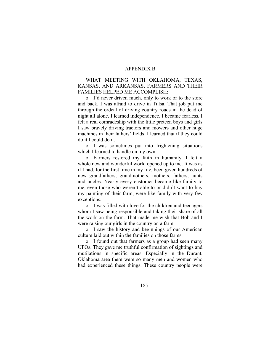### APPENDIX B

WHAT MEETING WITH OKLAHOMA, TEXAS, KANSAS, AND ARKANSAS, FARMERS AND THEIR FAMILIES HELPED ME ACCOMPLISH:

o I'd never driven much, only to work or to the store and back. I was afraid to drive in Tulsa. That job put me through the ordeal of driving country roads in the dead of night all alone. I learned independence. I became fearless. I felt a real comradeship with the little preteen boys and girls I saw bravely driving tractors and mowers and other huge machines in their fathers' fields. I learned that if they could do it I could do it.

o I was sometimes put into frightening situations which I learned to handle on my own.

o Farmers restored my faith in humanity. I felt a whole new and wonderful world opened up to me. It was as if I had, for the first time in my life, been given hundreds of new grandfathers, grandmothers, mothers, fathers, aunts and uncles. Nearly every customer became like family to me, even those who weren't able to or didn't want to buy my painting of their farm, were like family with very few exceptions.

o I was filled with love for the children and teenagers whom I saw being responsible and taking their share of all the work on the farm. That made me wish that Bob and I were raising our girls in the country on a farm.

o I saw the history and beginnings of our American culture laid out within the families on those farms.

o I found out that farmers as a group had seen many UFOs. They gave me truthful confirmation of sightings and mutilations in specific areas. Especially in the Durant, Oklahoma area there were so many men and women who had experienced these things. These country people were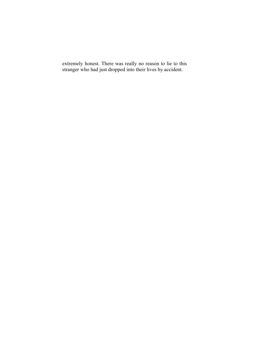extremely honest. There was really no reason to lie to this stranger who had just dropped into their lives by accident.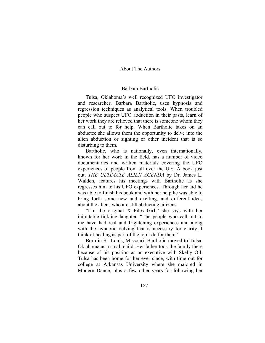# About The Authors

#### Barbara Bartholic

Tulsa, Oklahoma's well recognized UFO investigator and researcher, Barbara Bartholic, uses hypnosis and regression techniques as analytical tools. When troubled people who suspect UFO abduction in their pasts, learn of her work they are relieved that there is someone whom they can call out to for help. When Bartholic takes on an abductee she allows them the opportunity to delve into the alien abduction or sighting or other incident that is so disturbing to them.

Bartholic, who is nationally, even internationally, known for her work in the field, has a number of video documentaries and written materials covering the UFO experiences of people from all over the U.S. A book just out, *THE ULTIMATE ALIEN AGENDA* by Dr. James L. Walden, features his meetings with Bartholic as she regresses him to his UFO experiences. Through her aid he was able to finish his book and with her help he was able to bring forth some new and exciting, and different ideas about the aliens who are still abducting citizens.

"I'm the original X Files Girl," she says with her inimitable tinkling laughter. "The people who call out to me have had real and frightening experiences and along with the hypnotic delving that is necessary for clarity, I think of healing as part of the job I do for them."

Born in St. Louis, Missouri, Bartholic moved to Tulsa, Oklahoma as a small child. Her father took the family there because of his position as an executive with Skelly Oil. Tulsa has been home for her ever since, with time out for college at Arkansas University where she majored in Modern Dance, plus a few other years for following her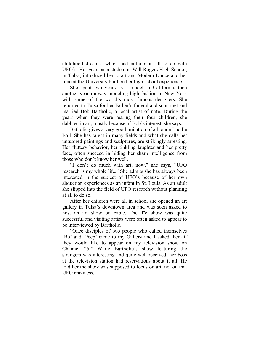childhood dream... which had nothing at all to do with UFO's. Her years as a student at Will Rogers High School, in Tulsa, introduced her to art and Modern Dance and her time at the University built on her high school experience.

She spent two years as a model in California, then another year runway modeling high fashion in New York with some of the world's most famous designers. She returned to Tulsa for her Father's funeral and soon met and married Bob Bartholic, a local artist of note. During the years when they were rearing their four children, she dabbled in art, mostly because of Bob's interest, she says.

Batholic gives a very good imitation of a blonde Lucille Ball. She has talent in many fields and what she calls her untutored paintings and sculptures, are strikingly arresting. Her fluttery behavior, her tinkling laughter and her pretty face, often succeed in hiding her sharp intelligence from those who don't know her well.

"I don't do much with art, now," she says, "UFO research is my whole life." She admits she has always been interested in the subject of UFO's because of her own abduction experiences as an infant in St. Louis. As an adult she slipped into the field of UFO research without planning at all to do so.

After her children were all in school she opened an art gallery in Tulsa's downtown area and was soon asked to host an art show on cable. The TV show was quite successful and visiting artists were often asked to appear to be interviewed by Bartholic.

"Once disciples of two people who called themselves 'Bo' and 'Peep' came to my Gallery and I asked them if they would like to appear on my television show on Channel 25." While Bartholic's show featuring the strangers was interesting and quite well received, her boss at the television station had reservations about it all. He told her the show was supposed to focus on art, not on that UFO craziness.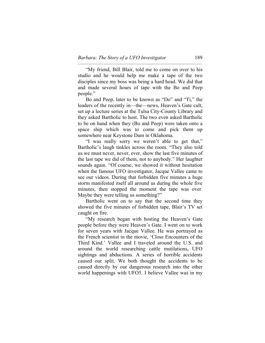"My friend, Bill Blair, told me to come on over to his studio and he would help me make a tape of the two disciples since my boss was being a hard head. We did that and made several hours of tape with the Bo and Peep people."

Bo and Peep, later to be known as "Do" and "Ti," the leaders of the recently in—the—news, Heaven's Gate cult, set up a lecture series at the Tulsa City-County Library and they asked Bartholic to host. The two even asked Bartholic to be on hand when they (Bo and Peep) were taken onto a space ship which was to come and pick them up somewhere near Keystone Dam in Oklahoma.

"I was really sorry we weren't able to get that," Bartholic's laugh tinkles across the room. "They also told us we must never, never, ever, show the last five minutes of the last tape we did of them, not to anybody." Her laughter sounds again. "Of course, we showed it without hesitation when the famous UFO investigator, Jacque Vallee came to see our videos. During that forbidden five minutes a huge storm manifested itself all around us during the whole five minutes, then stopped the moment the tape was over. Maybe they were telling us something?"

Bartholic went on to say that the second time they showed the five minutes of forbidden tape, Blair's TV set caught on fire.

"My research began with hosting the Heaven's Gate people before they were Heaven's Gate. I went on to work for seven years with Jacque Vallee. He was portrayed as the French scientist in the movie, 'Close Encounters of the Third Kind.' Vallee and I traveled around the U.S. and around the world researching cattle mutilations, UFO sightings and abductions. A series of horrible accidents caused our split. We both thought the accidents to be caused directly by our dangerous research into the other world happenings with UFO5. I believe Vallee was in my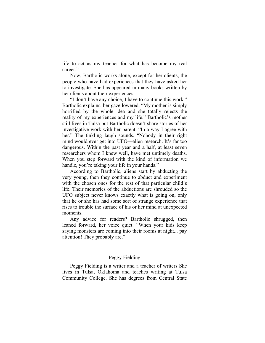life to act as my teacher for what has become my real career."

Now, Bartholic works alone, except for her clients, the people who have had experiences that they have asked her to investigate. She has appeared in many books written by her clients about their experiences.

"I don't have any choice, I have to continue this work," Bartholic explains, her gaze lowered. "My mother is simply horrified by the whole idea and she totally rejects the reality of my experiences and my life." Bartholic's mother still lives in Tulsa but Bartholic doesn't share stories of her investigative work with her parent. "In a way I agree with her." The tinkling laugh sounds. "Nobody in their right mind would ever get into UFO—alien research. It's far too dangerous. Within the past year and a half, at least seven researchers whom I knew well, have met untimely deaths. When you step forward with the kind of information we handle, you're taking your life in your hands."

According to Bartholic, aliens start by abducting the very young, then they continue to abduct and experiment with the chosen ones for the rest of that particular child's life. Their memories of the abductions are shrouded so the UFO subject never knows exactly what is going on, only that he or she has had some sort of strange experience that rises to trouble the surface of his or her mind at unexpected moments.

Any advice for readers? Bartholic shrugged, then leaned forward, her voice quiet. "When your kids keep saying monsters are coming into their rooms at night... pay attention! They probably are."

### Peggy Fielding

Peggy Fielding is a writer and a teacher of writers She lives in Tulsa, Oklahoma and teaches writing at Tulsa Community College. She has degrees from Central State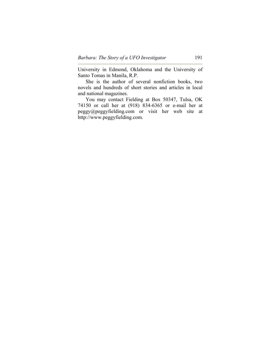University in Edmond, Oklahoma and the University of Santo Tomas in Manila, R.P.

She is the author of several nonfiction books, two novels and hundreds of short stories and articles in local and national magazines.

You may contact Fielding at Box 50347, Tulsa, OK 74150 or call her at (918) 834-6365 or e-mail her at peggy@peggyfielding.com or visit her web site at http://www.peggyfielding.com.